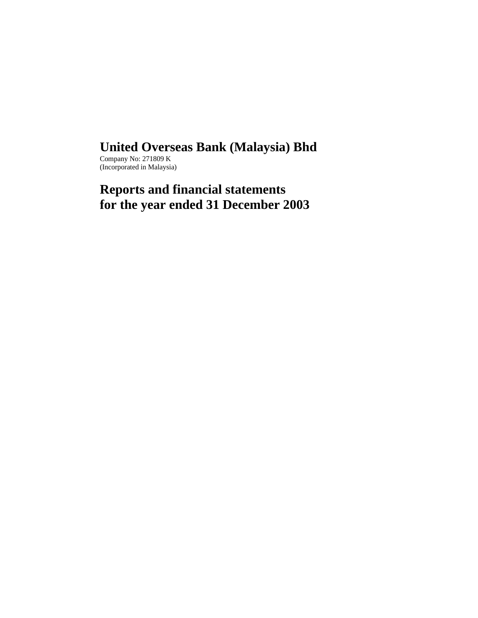Company No: 271809 K (Incorporated in Malaysia)

**Reports and financial statements for the year ended 31 December 2003**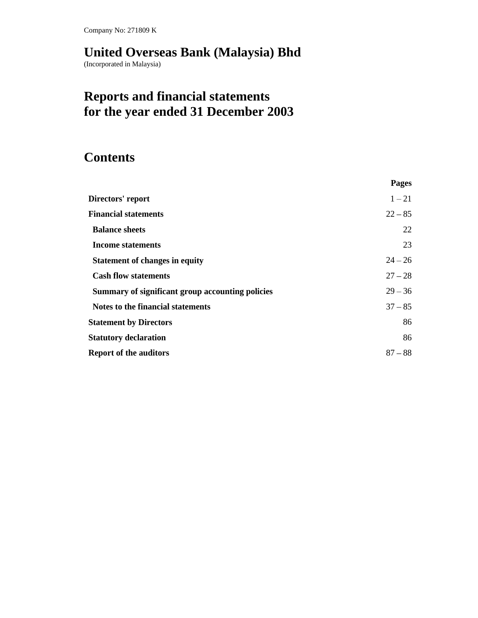(Incorporated in Malaysia)

# **Reports and financial statements for the year ended 31 December 2003**

## **Contents**

|                                                  | Pages     |
|--------------------------------------------------|-----------|
| Directors' report                                | $1 - 21$  |
| <b>Financial statements</b>                      | $22 - 85$ |
| <b>Balance sheets</b>                            | 22        |
| <b>Income statements</b>                         | 23        |
| <b>Statement of changes in equity</b>            | $24 - 26$ |
| <b>Cash flow statements</b>                      | $27 - 28$ |
| Summary of significant group accounting policies | $29 - 36$ |
| Notes to the financial statements                | $37 - 85$ |
| <b>Statement by Directors</b>                    | 86        |
| <b>Statutory declaration</b>                     | 86        |
| <b>Report of the auditors</b>                    | $87 - 88$ |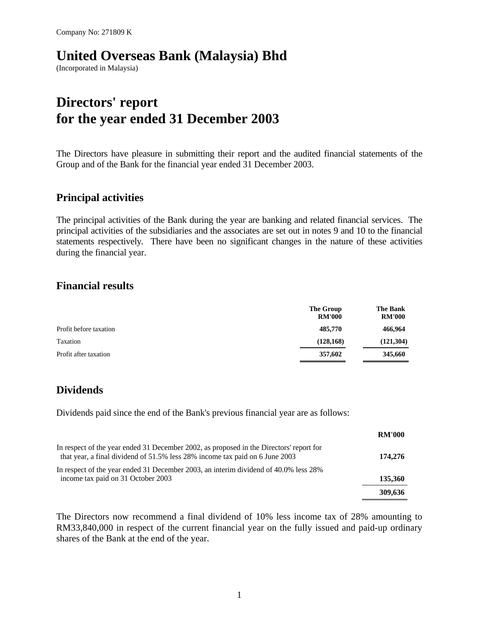(Incorporated in Malaysia)

# **Directors' report for the year ended 31 December 2003**

The Directors have pleasure in submitting their report and the audited financial statements of the Group and of the Bank for the financial year ended 31 December 2003.

## **Principal activities**

The principal activities of the Bank during the year are banking and related financial services. The principal activities of the subsidiaries and the associates are set out in notes 9 and 10 to the financial statements respectively. There have been no significant changes in the nature of these activities during the financial year.

## **Financial results**

|                        |                                                                                            | <b>The Bank</b> |
|------------------------|--------------------------------------------------------------------------------------------|-----------------|
|                        | The Group<br>RM'000                                                                        | <b>RM'000</b>   |
| Profit before taxation | 485,770                                                                                    | 466,964         |
| Taxation               | (128, 168)                                                                                 | (121, 304)      |
| Profit after taxation  | the contract of the contract of the contract of the contract of the contract of<br>357,602 | 345,660         |

## **Dividends**

Dividends paid since the end of the Bank's previous financial year are as follows:

|                                                                                                                                                                         | <b>RM'000</b> |
|-------------------------------------------------------------------------------------------------------------------------------------------------------------------------|---------------|
| In respect of the year ended 31 December 2002, as proposed in the Directors' report for<br>that year, a final dividend of 51.5% less 28% income tax paid on 6 June 2003 | 174,276       |
| In respect of the year ended 31 December 2003, an interim dividend of 40.0% less 28%                                                                                    |               |
| income tax paid on 31 October 2003                                                                                                                                      | 135,360       |
|                                                                                                                                                                         | 309,636       |

The Directors now recommend a final dividend of 10% less income tax of 28% amounting to RM33,840,000 in respect of the current financial year on the fully issued and paid-up ordinary shares of the Bank at the end of the year.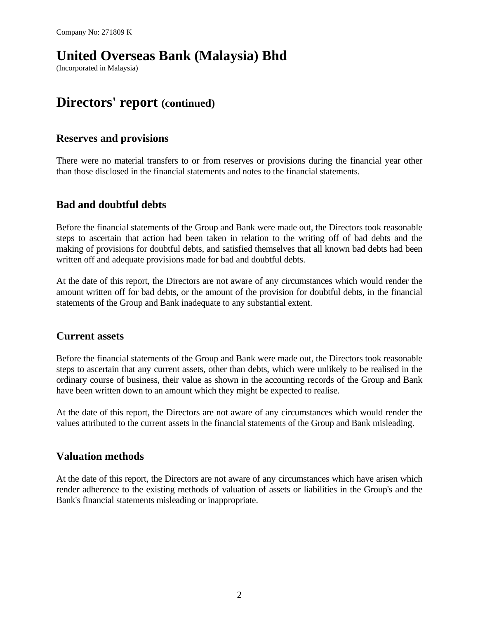(Incorporated in Malaysia)

## **Directors' report (continued)**

### **Reserves and provisions**

There were no material transfers to or from reserves or provisions during the financial year other than those disclosed in the financial statements and notes to the financial statements.

### **Bad and doubtful debts**

Before the financial statements of the Group and Bank were made out, the Directors took reasonable steps to ascertain that action had been taken in relation to the writing off of bad debts and the making of provisions for doubtful debts, and satisfied themselves that all known bad debts had been written off and adequate provisions made for bad and doubtful debts.

At the date of this report, the Directors are not aware of any circumstances which would render the amount written off for bad debts, or the amount of the provision for doubtful debts, in the financial statements of the Group and Bank inadequate to any substantial extent.

## **Current assets**

Before the financial statements of the Group and Bank were made out, the Directors took reasonable steps to ascertain that any current assets, other than debts, which were unlikely to be realised in the ordinary course of business, their value as shown in the accounting records of the Group and Bank have been written down to an amount which they might be expected to realise.

At the date of this report, the Directors are not aware of any circumstances which would render the values attributed to the current assets in the financial statements of the Group and Bank misleading.

## **Valuation methods**

At the date of this report, the Directors are not aware of any circumstances which have arisen which render adherence to the existing methods of valuation of assets or liabilities in the Group's and the Bank's financial statements misleading or inappropriate.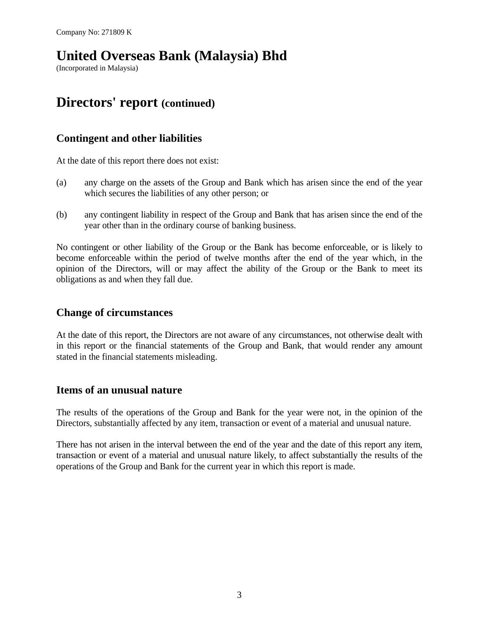(Incorporated in Malaysia)

## **Directors' report (continued)**

### **Contingent and other liabilities**

At the date of this report there does not exist:

- (a) any charge on the assets of the Group and Bank which has arisen since the end of the year which secures the liabilities of any other person; or
- (b) any contingent liability in respect of the Group and Bank that has arisen since theend of the year other than in the ordinary course of banking business.

No contingent or other liability of the Group or the Bank has become enforceable, or is likely to become enforceable within the period of twelve months after the end of the year which, in the opinion of the Directors, will or may affect the ability of the Group or the Bank to meet its obligations as and when they fall due.

### **Change of circumstances**

At the date of this report, the Directors are not aware of any circumstances, not otherwise dealt with in this report or the financial statements of the Group and Bank, that would render any amount stated in the financial statements misleading.

### **Items of an unusual nature**

The results of the operations of the Group and Bank for the year were not, in the opinion of the Directors, substantially affected by any item, transaction or event of a material and unusual nature.

There has not arisen in the interval between the end of the year and the date of this report any item, transaction or event of a material and unusual nature likely, to affect substantially the results of the operations of the Group and Bank for the current year in which this report is made.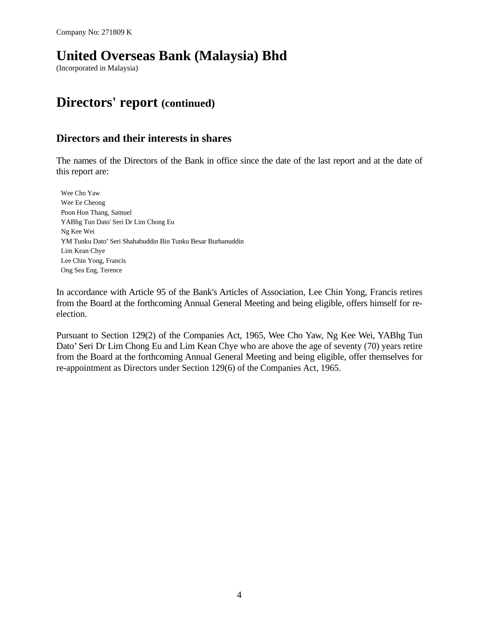(Incorporated in Malaysia)

# **Directors' report (continued)**

### **Directors and their interests in shares**

The names of the Directors of the Bank in office since the date of the last report and at the date of this report are:

Wee Cho Yaw Wee Ee Cheong Poon Hon Thang, Samuel YABhg Tun Dato' Seri Dr Lim Chong Eu Ng Kee Wei YM Tunku Dato' Seri Shahabuddin Bin Tunku Besar Burhanuddin Lim Kean Chye Lee Chin Yong, Francis Ong Sea Eng, Terence

In accordance with Article 95 of the Bank's Articles of Association, Lee Chin Yong, Francis retires from the Board at the forthcoming Annual General Meeting and being eligible, offers himself for re election.

Pursuant to Section 129(2) of the Companies Act, 1965, Wee Cho Yaw, Ng Kee Wei, YABhg Tun Dato' Seri Dr Lim Chong Eu and Lim Kean Chye who are above the age of seventy (70) years retire from the Board at the forthcoming Annual General Meeting and being eligible, offer themselves for re-appointment as Directors under Section 129(6) of the Companies Act, 1965.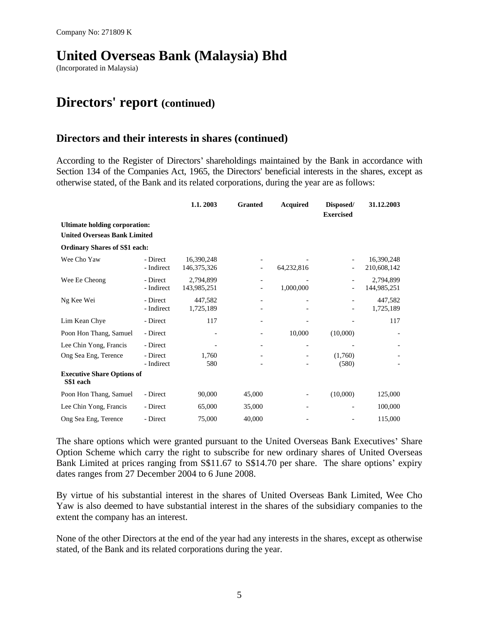(Incorporated in Malaysia)

## **Directors' report (continued)**

### **Directors and their interests in shares (continued)**

According to the Register of Directors' shareholdings maintained by the Bank in accordance with Section 134 of the Companies Act, 1965, the Directors' beneficial interests in the shares, except as otherwise stated, of the Bank and its related corporations, during the year are as follows:

|                                                                             |                        | 1.1.2003                  | Granted                          | Acquired             | Disposed/<br><b>Exercised</b> | 31.12.2003                   |
|-----------------------------------------------------------------------------|------------------------|---------------------------|----------------------------------|----------------------|-------------------------------|------------------------------|
| <b>Ultimate holding corporation:</b><br><b>United Overseas Bank Limited</b> |                        |                           |                                  |                      |                               |                              |
| <b>Ordinary Shares of S\$1 each:</b>                                        |                        |                           |                                  |                      |                               |                              |
| Wee Cho Yaw                                                                 | - Direct<br>- Indirect | 16,390,248<br>146,375,326 | $\sim$<br>$\sim$ $-$             | $\sim$<br>64,232,816 | $\sim$ $\sim$                 | 16,390,248<br>$-210,608,142$ |
| Wee Ee Cheong                                                               | - Direct<br>- Indirect | 2,794,899<br>143,985,251  | $\sim$ $-$<br>$\sim$ $ \sim$     | $\sim$<br>1,000,000  | $\sim$                        | 2,794,899<br>$-144,985,251$  |
| Ng Kee Wei                                                                  | - Direct<br>- Indirect | 447,582<br>1,725,189      | $\sim$ $ \sim$<br>$\sim$ $ \sim$ | $\sim$<br>$\sim$     | $\sim$                        | 447,582<br>1,725,189         |
| Lim Kean Chye                                                               | - Direct               | 117                       | $\sim$                           | $\sim$               |                               | 117                          |
| Poon Hon Thang, Samuel                                                      | - Direct               | $\sim$                    | $\sim$                           | 10,000               | (10,000)                      | $\sim$                       |
| Lee Chin Yong, Francis                                                      | - Direct               | $\sim$ $ \sim$            |                                  | $\sim$               | $\sim$                        | $\sim$ $ \sim$               |
| Ong Sea Eng, Terence                                                        | - Direct<br>- Indirect | 1,760<br>580              | $\sim$ $ \sim$<br>$\sim$ $-$     | $\sim$<br>$\sim$     | (1,760)<br>(580)              | $\sim$ $-$<br>$\sim$         |
| <b>Executive Share Options of</b><br>S\$1 each                              |                        |                           |                                  |                      |                               |                              |
| Poon Hon Thang, Samuel                                                      | - Direct               | 90,000                    | 45,000                           | $\sim$               | (10,000)                      | 125,000                      |
| Lee Chin Yong, Francis                                                      | - Direct               | 65,000                    | 35,000                           | $\sim$               |                               | 100,000                      |
| Ong Sea Eng, Terence                                                        | - Direct               | 75,000                    | 40,000                           | $\sim$               |                               | 115,000                      |

The share options which were granted pursuant to the United Overseas Bank Executives' Share Option Scheme which carry the right to subscribe for new ordinary shares of United Overseas Bank Limited at prices ranging from S\$11.67 to S\$14.70 per share. The share options' expiry dates ranges from 27 December 2004 to 6 June 2008.

By virtue of his substantial interest in the shares of United Overseas Bank Limited, Wee Cho Yaw is also deemed to have substantial interest in the shares of the subsidiary companies to the extent the company has an interest.

None of the other Directors at the end of the year had any interests in the shares, except as otherwise stated, of the Bank and its related corporations during the year.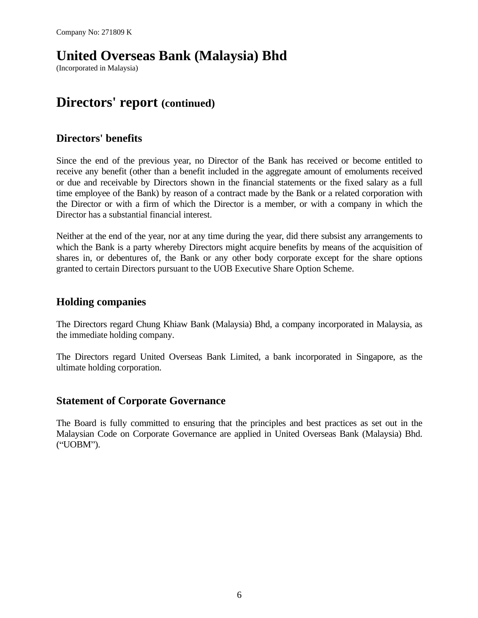(Incorporated in Malaysia)

## **Directors' report (continued)**

## **Directors' benefits**

Since the end of the previous year, no Director of the Bank has received or become entitled to receive any benefit (other than a benefit included in the aggregate amount of emoluments received or due and receivable by Directors shown in the financial statements or the fixed salary as a full time employee of the Bank) by reason of a contract made by the Bank or a related corporation with the Director or with a firm of which the Directoris a member, or with a company in which the Director has a substantial financial interest.

Neither at the end of the year, nor at any time during the year, did there subsist any arrangements to which the Bank is a party whereby Directors might acquire benefits by means of the acquisition of shares in, or debentures of, the Bank or any other body corporate except for the share options granted to certain Directors pursuant to the UOB Executive Share Option Scheme.

### **Holding companies**

The Directors regard Chung Khiaw Bank (Malaysia) Bhd, a company incorporated in Malaysia, as the immediate holding company.

The Directors regard United Overseas Bank Limited, a bank incorporated in Singapore, as the ultimate holding corporation.

### **Statement of Corporate Governance**

The Board is fully committed to ensuring that the principles and best practices as set out in the Malaysian Code on Corporate Governance are applied in United Overseas Bank (Malaysia) Bhd. ("UOBM").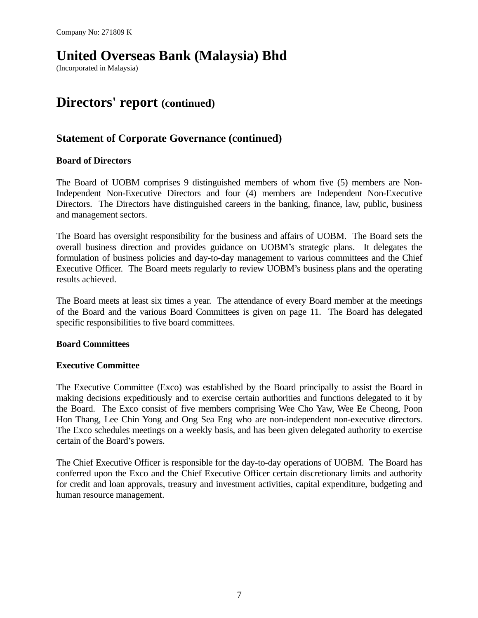(Incorporated in Malaysia)

## **Directors' report (continued)**

### **Statement of Corporate Governance (continued)**

#### **Board of Directors**

The Board of UOBM comprises 9 distinguished members of whom five (5) members are Non-Independent Non-Executive Directors and four (4) members are Independent Non-Executive Directors. The Directors have distinguished careers in the banking, finance, law, public, business and management sectors.

The Board has oversight responsibility for the business and affairs of UOBM. The Board sets the overall business direction and provides guidance on UOBM's strategic plans. It delegates the formulation of business policies and day-to-day management to various committees and the Chief Executive Officer. The Board meets regularly to review UOBM's business plans and the operating results achieved.

The Board meets at least six times a year. The attendance of every Board member at the meetings of the Board and the various Board Committees is given on page 11. The Board has delegated specific responsibilities to five board committees.

#### **Board Committees**

#### **Executive Committee**

The Executive Committee (Exco) was established by the Board principally to assist the Board in making decisions expeditiously and to exercise certain authorities and functions delegated to it by the Board. The Exco consist of five members comprising Wee Cho Yaw, Wee Ee Cheong, Poon Hon Thang, Lee Chin Yong and Ong Sea Eng who are non-independent non-executive directors. The Exco schedules meetings on a weekly basis, and has been given delegated authority to exercise certain of the Board's powers.

The Chief Executive Officer is responsible for the day-to-day operations of UOBM. The Board has conferred upon the Exco and the Chief Executive Officer certain discretionary limits and authority for credit and loan approvals, treasury and investment activities, capital expenditure, budgeting and human resource management.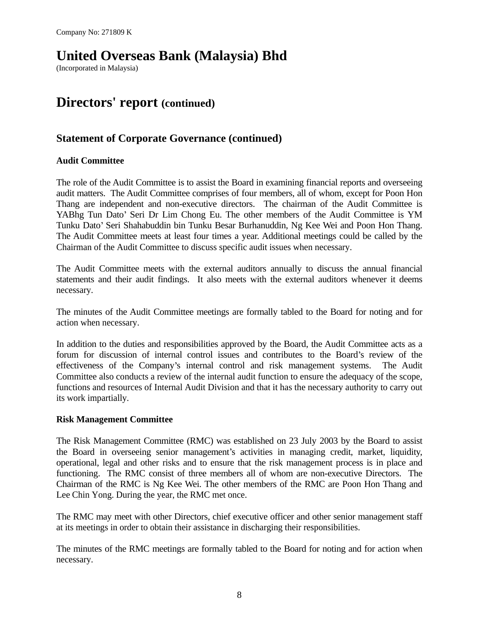(Incorporated in Malaysia)

## **Directors' report (continued)**

### **Statement of Corporate Governance (continued)**

### **Audit Committee**

The role of the Audit Committee is to assist the Board in examining financial reports and overseeing audit matters. The Audit Committee comprises of four members, all of whom, except for Poon Hon Thang are independent and non-executive directors. The chairman of the Audit Committee is YABhg Tun Dato' Seri Dr Lim Chong Eu. The other members of the Audit Committee is YM Tunku Dato' Seri Shahabuddin bin Tunku Besar Burhanuddin, Ng Kee Wei and Poon Hon Thang. The Audit Committee meets at least four times a year. Additional meetings could be called by the Chairman of the Audit Committee to discuss specific audit issues when necessary.

The Audit Committee meets with the external auditors annually to discuss the annual financial statements and their audit findings. It also meets with the external auditors whenever it deems necessary.

The minutes of the Audit Committee meetings are formally tabled to the Board for noting and for action when necessary.

In addition to the duties and responsibilities approved by the Board, the Audit Committee acts as a forum for discussion of internal control issues and contributes to the Board's review of the effectiveness of the Company's internal control and risk management systems. The Audit Committee also conducts a review of the internal audit function to ensure the adequacy of the scope, functions and resources of Internal Audit Division and that it has the necessary authority to carry out its work impartially.

#### **Risk Management Committee**

The Risk Management Committee (RMC) was established on 23 July 2003 by the Board to assist the Board in overseeing senior management's activities in managing credit, market, liquidity, operational, legal and other risks and to ensure that the risk management process is in place and functioning. The RMC consist of three members all of whom are non-executive Directors. The Chairman of the RMC is Ng Kee Wei. The other members of the RMC are Poon Hon Thang and Lee Chin Yong. During the year, the RMC met once.

The RMC may meet with other Directors, chief executive officer and other senior management staff at its meetings in order to obtain their assistance in discharging their responsibilities.

The minutes of the RMC meetings are formally tabled to the Board for noting and for action when necessary.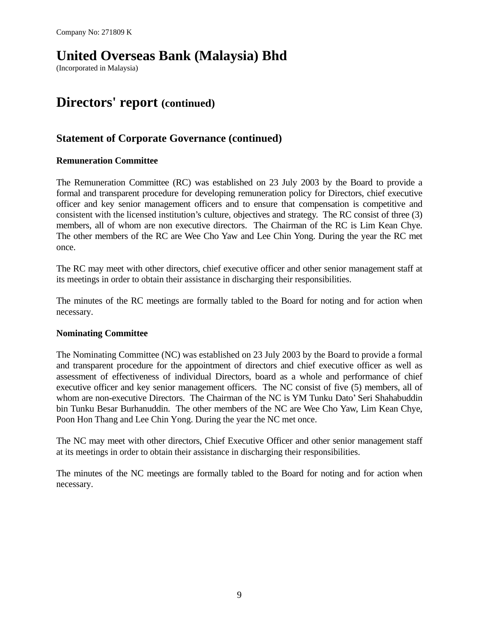(Incorporated in Malaysia)

## **Directors' report (continued)**

### **Statement of Corporate Governance (continued)**

### **Remuneration Committee**

The Remuneration Committee (RC) was established on 23 July 2003 by the Board to provide a formal and transparent procedure for developing remuneration policy for Directors, chief executive officer and key senior management officers and to ensure that compensation is competitive and consistent with the licensed institution's culture, objectives and strategy. The RC consist of three (3) members, all of whom are non executive directors. The Chairman of the RC is Lim Kean Chye. The other members of the RC are Wee Cho Yaw and Lee Chin Yong. During the year the RC met once.

The RC may meet with other directors, chief executive officer and other senior management staff at its meetings in order to obtain their assistance in discharging their responsibilities.

The minutes of the RC meetings are formally tabled to the Board for noting and for action when necessary.

#### **Nominating Committee**

The Nominating Committee (NC) was established on 23 July 2003 by the Board to provide a formal and transparent procedure for the appointment of directors and chief executive officer as well as assessment of effectiveness of individual Directors, board as a whole and performance of chief executive officer and key senior management officers. The NC consist of five (5) members, all of whom are non-executive Directors. The Chairman of the NC is YM Tunku Dato' Seri Shahabuddin bin Tunku Besar Burhanuddin. The other members of the NC are Wee Cho Yaw, Lim Kean Chye, Poon Hon Thang and Lee Chin Yong. During the year the NC met once.

The NC may meet with other directors, Chief Executive Officer and other senior management staff at its meetings in order to obtain their assistance in discharging their responsibilities.

The minutes of the NC meetings are formally tabled to the Board for noting and for action when necessary.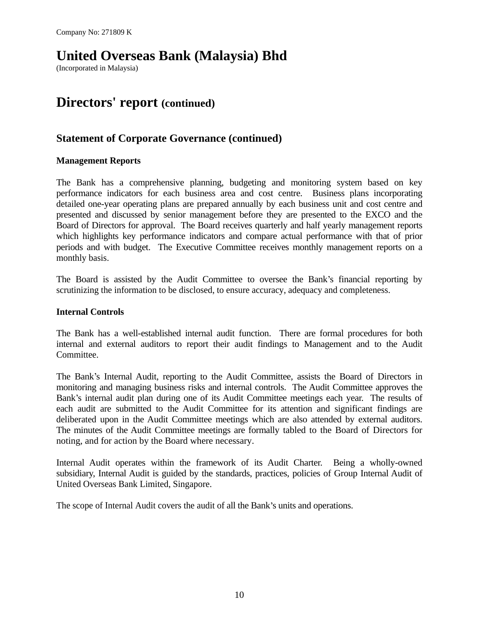(Incorporated in Malaysia)

## **Directors' report (continued)**

### **Statement of Corporate Governance (continued)**

### **Management Reports**

The Bank has a comprehensive planning, budgeting and monitoring system based on key performance indicators for each business area and cost centre. Business plans incorporating detailed one-year operating plans are prepared annually by each business unit and cost centre and presented and discussed by senior management before they are presented to the EXCO and the Board of Directors for approval. The Board receives quarterly and half yearly management reports which highlights key performance indicators and compare actual performance with that of prior periods and with budget. The Executive Committee receives monthly management reports on a monthly basis.

The Board is assisted by the Audit Committee to oversee the Bank's financial reporting by scrutinizing the information to be disclosed, to ensure accuracy, adequacy and completeness.

### **Internal Controls**

The Bank has a well-established internal audit function. There are formal proceduresfor both internal and external auditors to report their audit findings to Management and to the Audit Committee.

The Bank's Internal Audit, reporting to the Audit Committee, assists the Board of Directors in monitoring and managing business risks and internal controls. The Audit Committee approves the Bank's internal audit plan during one of its Audit Committee meetings each year. The results of each audit are submitted to the Audit Committee for its attention and significant findings are deliberated upon in the Audit Committee meetings which are also attended by external auditors. The minutes of the Audit Committee meetings are formally tabled to the Board of Directors for noting, and for action by the Board where necessary.

Internal Audit operates within the framework of its Audit Charter. Being a wholly-owned subsidiary, Internal Audit is guided by the standards, practices, policies of Group Internal Audit of United Overseas Bank Limited, Singapore.

The scope of Internal Audit covers the audit of all the Bank's units and operations.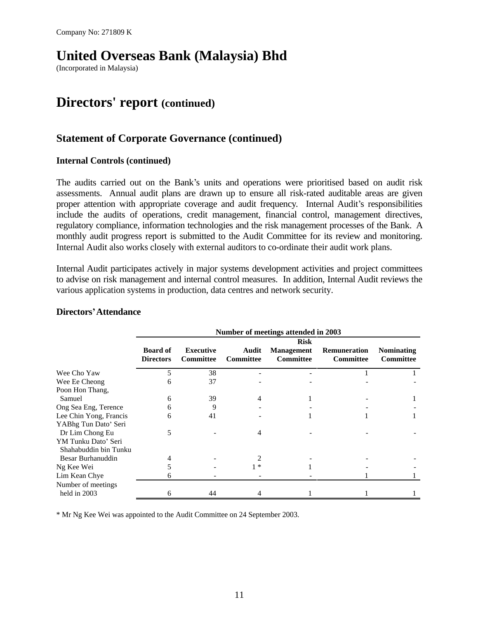(Incorporated in Malaysia)

## **Directors' report (continued)**

## **Statement of Corporate Governance (continued)**

#### **Internal Controls (continued)**

The audits carried out on the Bank's units and operations were prioritised based on audit risk assessments. Annual audit plans are drawn up to ensure all risk-rated auditable areas are given proper attention with appropriate coverage and audit frequency. Internal Audit's responsibilities include the audits of operations, credit management, financial control, management directives, regulatory compliance, information technologies and the risk management processes of the Bank. A monthly audit progress report is submitted to the Audit Committee for its review and monitoring. Internal Audit also works closely with external auditors to co-ordinate their audit work plans.

Internal Audit participates actively in major systems development activities and project committees to advise on risk management and internal control measures. In addition, Internal Audit reviews the various application systems in production, data centres and network security.

|                        |                 | Number of meetings attended in 2003 |           |             |                                                              |           |  |  |  |  |  |  |  |
|------------------------|-----------------|-------------------------------------|-----------|-------------|--------------------------------------------------------------|-----------|--|--|--|--|--|--|--|
|                        |                 |                                     |           | <b>Risk</b> |                                                              |           |  |  |  |  |  |  |  |
|                        | <b>Board of</b> | Executive                           |           |             | <b>Audit Management Remuneration Nominating</b><br>Committee |           |  |  |  |  |  |  |  |
|                        |                 | Directors Committee                 | Committee | Committee   |                                                              | Committee |  |  |  |  |  |  |  |
| Wee Cho Yaw            |                 |                                     |           |             |                                                              |           |  |  |  |  |  |  |  |
| Wee Ee Cheong          |                 |                                     |           |             |                                                              |           |  |  |  |  |  |  |  |
| Poon Hon Thang,        |                 |                                     |           |             |                                                              |           |  |  |  |  |  |  |  |
| Samuel                 |                 |                                     |           |             |                                                              |           |  |  |  |  |  |  |  |
| Ong Sea Eng, Terence   |                 |                                     |           |             |                                                              |           |  |  |  |  |  |  |  |
| Lee Chin Yong, Francis |                 |                                     |           |             |                                                              |           |  |  |  |  |  |  |  |
| YABhg Tun Dato' Seri   |                 |                                     |           |             |                                                              |           |  |  |  |  |  |  |  |
| Dr Lim Chong Eu        |                 |                                     |           |             |                                                              |           |  |  |  |  |  |  |  |
| YM Tunku Dato' Seri    |                 |                                     |           |             |                                                              |           |  |  |  |  |  |  |  |
| Shahabuddin bin Tunku  |                 |                                     |           |             |                                                              |           |  |  |  |  |  |  |  |
| Besar Burhanuddin      |                 |                                     |           |             |                                                              |           |  |  |  |  |  |  |  |
| Ng Kee Wei             |                 |                                     | $1 *$     |             |                                                              |           |  |  |  |  |  |  |  |
| Lim Kean Chye          |                 |                                     |           |             |                                                              |           |  |  |  |  |  |  |  |
| Number of meetings     |                 |                                     |           |             |                                                              |           |  |  |  |  |  |  |  |
| held in 2003           |                 |                                     |           |             |                                                              |           |  |  |  |  |  |  |  |

### **Directors Attendance**

\* Mr Ng Kee Wei was appointed to the Audit Committee on 24 September 2003.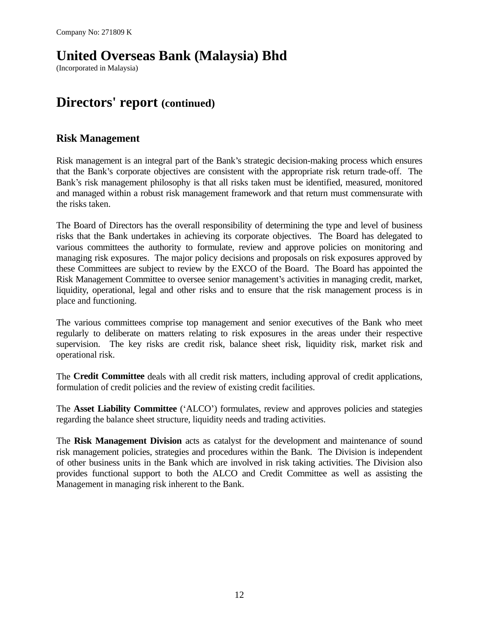(Incorporated in Malaysia)

## **Directors' report (continued)**

### **Risk Management**

Risk management is an integral part of the Bank's strategic decision-making process which ensures that the Bank's corporate objectives are consistent with the appropriate risk return trade-off. The Bank's risk management philosophy is that all risks taken must be identified, measured, monitored and managed within a robust risk management framework and that return must commensurate with the risks taken.

The Board of Directors has the overall responsibility of determining the type and level of business risks that the Bank undertakes in achieving its corporate objectives. The Board has delegated to various committees the authority to formulate, review and approve policies on monitoring and managing risk exposures. The major policy decisions and proposals on risk exposures approved by these Committees are subject to review by the EXCO of the Board. The Board has appointed the Risk Management Committee to oversee senior management's activities in managing credit, market, liquidity, operational, legal and other risks and to ensure that the risk management process is in place and functioning.

The various committees comprise top management and senior executives of the Bank who meet regularly to deliberate on matters relating to risk exposures in the areas under their respective supervision. The key risks are credit risk, balance sheet risk, liquidity risk, market risk and operational risk.

The **Credit Committee** deals with all credit risk matters, including approval of credit applications, formulation of credit policies and the review of existing credit facilities.

The **Asset Liability Committee** ( ALCO ) formulates, review and approves policies and stategies regarding the balance sheet structure, liquidity needs and trading activities.

The **Risk Management Division** acts as catalyst for the development and maintenance of sound risk management policies, strategies and procedures within the Bank. The Division is independent of other business units in the Bank which are involved in risk taking activities. The Division also provides functional support to both the ALCO and Credit Committee as well as assisting the Management in managing risk inherent to the Bank.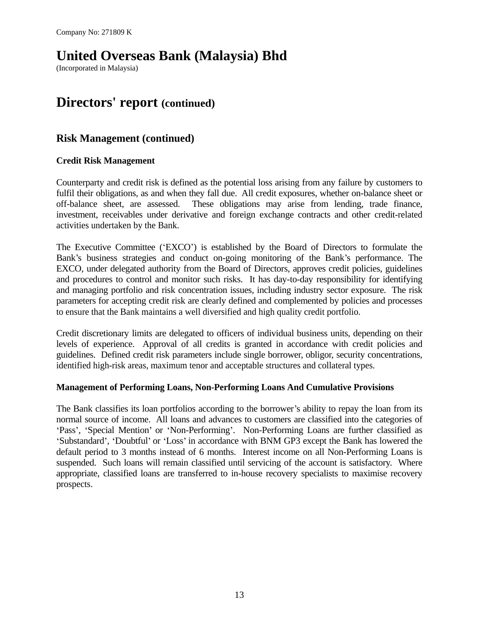(Incorporated in Malaysia)

## **Directors' report (continued)**

### **Risk Management (continued)**

### **Credit Risk Management**

Counterparty and credit risk is defined as the potential loss arising from any failure by customers to fulfil their obligations, as and when they fall due. All credit exposures, whether on-balance sheet or off-balance sheet, are assessed. These obligations may arise from lending, trade finance, investment, receivables under derivative and foreign exchange contracts and other credit-related activities undertaken by the Bank.

The Executive Committee ('EXCO') is established by the Board of Directors to formulate the Bank's business strategies and conduct on-going monitoring of the Bank's performance. The EXCO, under delegated authority from the Board of Directors, approves credit policies, guidelines and procedures to control and monitor such risks. It has day-to-day responsibility for identifying and managing portfolio and risk concentration issues, including industry sector exposure. The risk parameters for accepting credit risk are clearly defined and complemented by policies and processes to ensure that the Bank maintains a well diversified and high quality credit portfolio.

Credit discretionary limits are delegated to officers of individual business units, depending on their levels of experience. Approval of all credits is granted in accordance with credit policies and guidelines. Defined credit risk parameters include single borrower, obligor, security concentrations, identified high-risk areas, maximum tenor and acceptable structures and collateral types.

#### **Management of Performing Loans, Non-Performing Loans And Cumulative Provisions**

The Bank classifies its loan portfolios according to the borrower's ability to repay the loan from its normal source of income. All loans and advances to customers are classified into the categories of 'Pass', 'Special Mention' or 'Non-Performing'. Non-Performing Loans are further classified as Substandard , Doubtful or Loss in accordance with BNM GP3 except the Bank has lowered the default period to 3 months instead of 6 months. Interest income on all Non-Performing Loans is suspended. Such loans will remain classified until servicing of the account is satisfactory. Where appropriate, classified loans are transferred to in-house recovery specialists to maximise recovery prospects.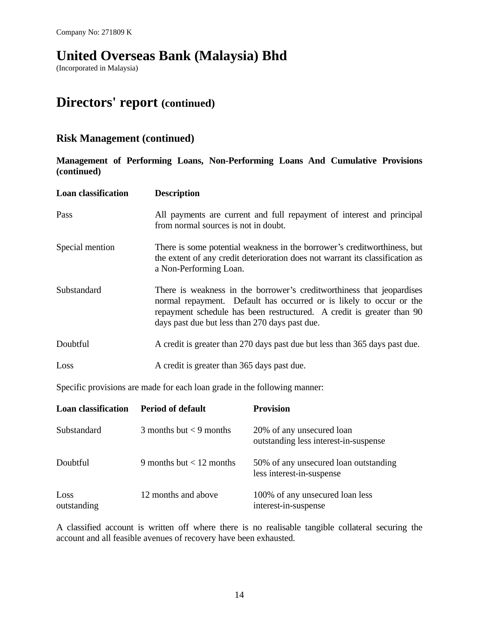(Incorporated in Malaysia)

## **Directors' report (continued)**

## **Risk Management (continued)**

**Management of Performing Loans, Non-Performing Loans And Cumulative Provisions (continued)**

| <b>Loan classification</b> | <b>Description</b>                                                                                                                                                                                                                                                      |
|----------------------------|-------------------------------------------------------------------------------------------------------------------------------------------------------------------------------------------------------------------------------------------------------------------------|
| Pass                       | All payments are current and full repayment of interest and principal<br>from normal sources is not in doubt.                                                                                                                                                           |
| Special mention            | There is some potential weakness in the borrower's creditworthiness, but<br>the extent of any credit deterioration does not warrant its classification as<br>a Non-Performing Loan.                                                                                     |
| Substandard                | There is weakness in the borrower's creditworthiness that jeopardises<br>normal repayment. Default has occurred or is likely to occur or the<br>repayment schedule has been restructured. A credit is greater than 90<br>days past due but less than 270 days past due. |
| Doubtful                   | A credit is greater than 270 days past due but less than 365 days past due.                                                                                                                                                                                             |
| Loss                       | A credit is greater than 365 days past due.                                                                                                                                                                                                                             |

Specific provisions are made for each loan grade in the following manner:

| <b>Loan classification</b> | <b>Period of default</b>   | <b>Provision</b>                                                   |
|----------------------------|----------------------------|--------------------------------------------------------------------|
| Substandard                | 3 months but $<$ 9 months  | 20% of any unsecured loan<br>outstanding less interest-in-suspense |
| Doubtful                   | 9 months but $<$ 12 months | 50% of any unsecured loan outstanding<br>less interest-in-suspense |
| Loss<br>outstanding        | 12 months and above        | 100% of any unsecured loan less<br>interest-in-suspense            |

A classified account is written off where there is no realisable tangible collateral securing the account and all feasible avenues of recovery have been exhausted.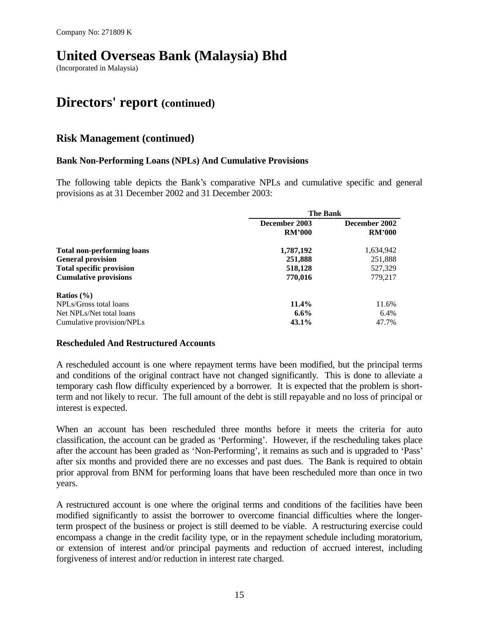(Incorporated in Malaysia)

## **Directors' report (continued)**

### **Risk Management (continued)**

#### **Bank Non-Performing Loans (NPLs) And Cumulative Provisions**

The following table depicts the Bank's comparative NPLs and cumulative specific and general provisions as at 31 December 2002 and 31 December 2003:

|                                                                                                                | <b>The Bank</b>           |               |
|----------------------------------------------------------------------------------------------------------------|---------------------------|---------------|
|                                                                                                                | December 200 <sup>~</sup> | December 2002 |
|                                                                                                                | <b>RM'000</b>             | <b>RM'000</b> |
|                                                                                                                | 1,787,192                 | 1,634,942     |
|                                                                                                                | 251,888                   | 251,888       |
|                                                                                                                | 518,128                   | 527,329       |
| <b>Total non-performing loans<br/>General provision<br/>Total specific provision<br/>Cumulative provisions</b> | 770,016                   | 779,217       |
| Ratios (%)<br>NPLs/Gross total loans<br>Net NPLs/Net total loans<br>Cumulative provision/NPLs                  |                           |               |
|                                                                                                                | 11.4%                     | 11.6%         |
|                                                                                                                | $6.6\%$                   | 6.4%          |
|                                                                                                                | 43.1%                     | 47.7%         |

#### **Rescheduled And Restructured Accounts**

A rescheduled account is one where repayment terms have been modified, but the principal terms and conditions of the original contract have not changed significantly. This is done to alleviate a temporary cash flow difficulty experienced by a borrower. It is expected that the problem is shortterm and not likely to recur. The full amount of the debt is still repayable and no loss of principal or interest is expected.

When an account has been rescheduled three months before it meets the criteria for auto classification, the account can be graded as 'Performing'. However, if the rescheduling takes place after the account has been graded as 'Non-Performing', it remains as such and is upgraded to 'Pass' after six months and provided there are no excesses and past dues. The Bank is required to obtain prior approval from BNM for performing loans that have been rescheduled more than once in two years.

A restructured account is one where the original terms and conditions of the facilities have been modified significantly to assist the borrower to overcome financial difficulties where the longerterm prospect of the business or project is still deemed to be viable. A restructuring exercise could encompass a change in the credit facility type, or in the repayment schedule including moratorium, or extension of interest and/or principal payments and reduction of accrued interest, including forgiveness of interest and/or reduction in interest rate charged.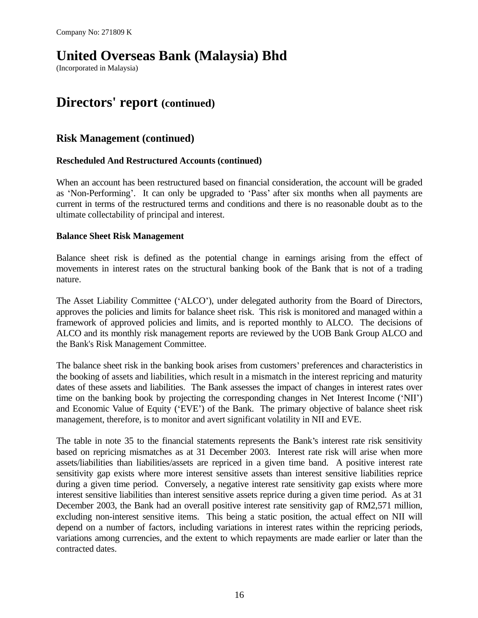(Incorporated in Malaysia)

## **Directors' report (continued)**

### **Risk Management (continued)**

#### **Rescheduled And Restructured Accounts (continued)**

When an account has been restructured based on financial consideration, the account will be graded as 'Non-Performing'. It can only be upgraded to 'Pass' after six months when all payments are current in terms of the restructured terms and conditions and there is no reasonable doubt as to the ultimate collectability of principal and interest.

#### **Balance Sheet Risk Management**

Balance sheet risk is defined as the potential change in earnings arising from the effect of movements in interest rates on the structural banking book of the Bank that is not of a trading nature.

The Asset Liability Committee ('ALCO'), under delegated authority from the Board of Directors, approves the policies and limits for balance sheet risk. This risk is monitored and managed within a framework of approved policies and limits, and is reported monthly to ALCO. The decisions of ALCO and its monthly risk management reports are reviewed by the UOB Bank Group ALCO and the Bank's Risk Management Committee.

The balance sheet risk in the banking book arises from customers' preferences and characteristics in the booking of assets and liabilities, which result in a mismatch in the interest repricing and maturity dates of these assets and liabilities. The Bank assesses the impact of changes in interest rates over time on the banking book by projecting the corresponding changes in Net Interest Income ('NII') and Economic Value of Equity ('EVE') of the Bank. The primary objective of balance sheet risk management, therefore, is to monitor and avert significant volatility in NII and EVE.

The table in note 35 to the financial statements represents the Bank's interest rate risk sensitivity based on repricing mismatches as at 31 December 2003. Interest rate risk will arise when more assets/liabilities than liabilities/assets are repriced in a given time band. A positive interest rate sensitivity gap exists where more interest sensitive assets than interest sensitive liabilities reprice during a given time period. Conversely, a negative interest rate sensitivity gap exists where more interest sensitive liabilities than interest sensitive assets reprice during a given time period. As at 31 December 2003, the Bank had an overall positive interest rate sensitivity gap of RM2,571 million, excluding non-interest sensitive items. This being a static position, the actual effect on NII will depend on a number of factors, including variations in interest rates within the repricing periods, variations among currencies, and the extent to which repayments are made earlier or later than the contracted dates.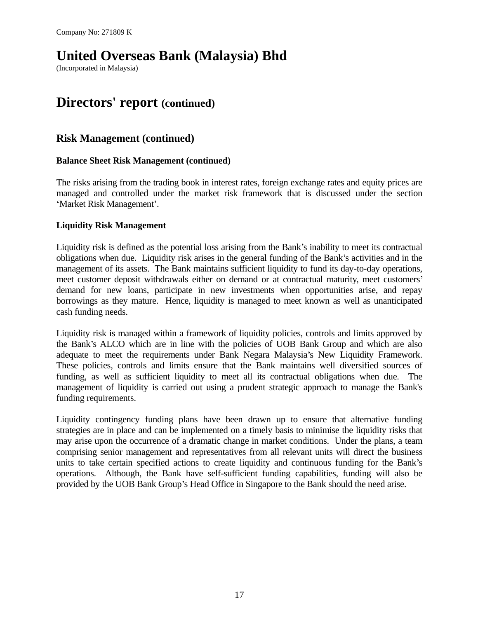(Incorporated in Malaysia)

## **Directors' report (continued)**

### **Risk Management (continued)**

#### **Balance Sheet Risk Management (continued)**

The risks arising from the trading book in interest rates, foreign exchange rates and equity prices are managed and controlled under the market risk framework that is discussed under the section Market Risk Management'.

### **Liquidity Risk Management**

Liquidity risk is defined as the potential loss arising from the Bank's inability to meet its contractual obligations when due. Liquidity risk arises in the general funding of the Bank's activities and in the management of its assets. The Bank maintains sufficient liquidity to fund its day-to-day operations, meet customer deposit withdrawals either on demand or at contractual maturity, meet customers demand for new loans, participate in new investments when opportunities arise, and repay borrowings as they mature. Hence, liquidity is managed to meet known as well as unanticipated cash funding needs.

Liquidity risk is managed within a framework of liquidity policies, controls and limits approved by the Bank's ALCO which are in line with the policies of UOB Bank Group and which are also adequate to meet the requirements under Bank Negara Malaysia's New Liquidity Framework. These policies, controls and limits ensure that the Bank maintains well diversified sources of funding, as well as sufficient liquidity to meet all its contractual obligations when due. The management of liquidity is carried out using a prudent strategic approach to manage the Bank's funding requirements.

Liquidity contingency funding plans have been drawn up to ensure that alternative funding strategies are in place and can be implemented on a timely basis to minimise the liquidity risks that may arise upon the occurrence of a dramatic change in market conditions. Under the plans, a team comprising senior management and representatives from all relevant units will direct the business units to take certain specified actions to create liquidity and continuous funding for the Bank s operations. Although, the Bank have self-sufficient funding capabilities, funding will also be provided by the UOB Bank Group's Head Office in Singapore to the Bank should the need arise.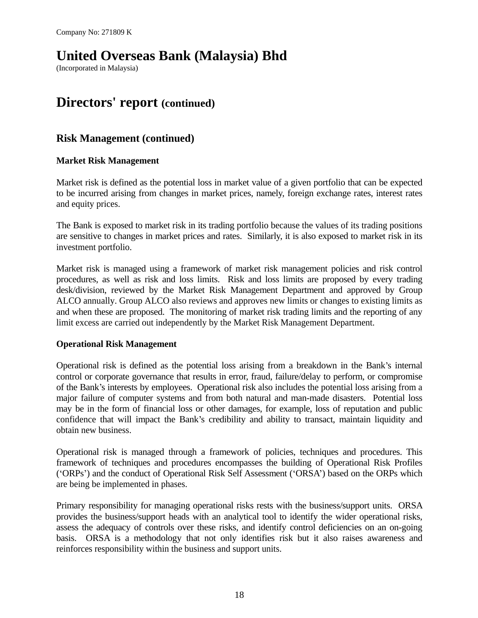(Incorporated in Malaysia)

## **Directors' report (continued)**

### **Risk Management (continued)**

#### **Market Risk Management**

Market risk is defined as the potential loss in market value of a given portfolio that can be expected to be incurred arising from changes in market prices, namely, foreign exchange rates, interest rates and equity prices.

The Bank is exposed to market risk in its trading portfolio because the values of its trading positions are sensitive to changes in market prices and rates. Similarly, it is also exposed to market risk in its investment portfolio.

Market risk is managed using a framework of market risk management policies and risk control procedures, as well as risk and loss limits. Risk and loss limits are proposed by every trading desk/division, reviewed by the Market Risk Management Department and approved by Group ALCO annually. Group ALCO also reviews and approves new limits or changes to existing limits as and when these are proposed. The monitoring of market risk trading limits and the reporting of any limit excess are carried out independently by the Market Risk Management Department.

#### **Operational Risk Management**

Operational risk is defined as the potential loss arising from a breakdown in the Bank's internal control or corporate governance that results in error, fraud, failure/delay to perform, or compromise of the Bank's interests by employees. Operational risk also includes the potential loss arising from a major failure of computer systems and from both natural and man-made disasters. Potential loss may be in the form of financial loss or other damages, for example, loss of reputation and public confidence that will impact the Bank's credibility and ability to transact, maintain liquidity and obtain new business.

Operational risk is managed through a framework of policies, techniques and procedures. This framework of techniques and procedures encompasses the building of Operational Risk Profiles ('ORPs') and the conduct of Operational Risk Self Assessment ('ORSA') based on the ORPs which are being be implemented in phases.

Primary responsibility for managing operational risks rests with the business/support units. ORSA provides the business/support heads with an analytical tool to identify the wider operational risks, assess the adequacy of controls over these risks, and identify control deficiencies on an on-going basis. ORSA is a methodology that not only identifies risk but it also raises awareness and reinforces responsibility within the business and support units.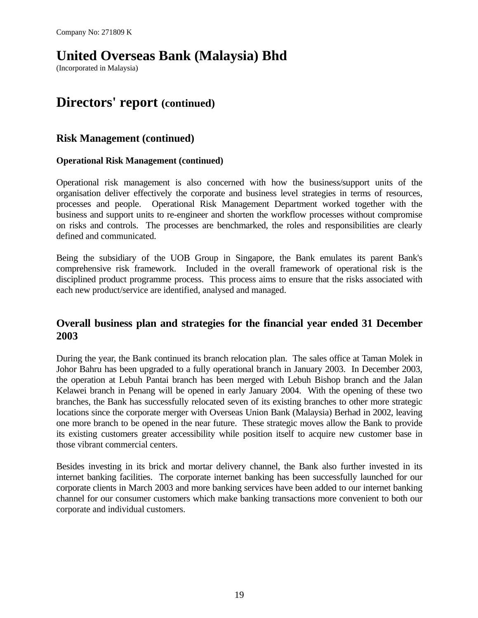(Incorporated in Malaysia)

## **Directors' report (continued)**

### **Risk Management (continued)**

#### **Operational Risk Management (continued)**

Operational risk management is also concerned with how the business/support units of the organisation deliver effectively the corporate and business level strategies in terms of resources, processes and people. Operational Risk Management Department worked together with the business and support units to re-engineer and shorten the workflow processes without compromise on risks and controls. The processes are benchmarked, the roles and responsibilities are clearly defined and communicated.

Being the subsidiary of the UOB Group in Singapore, the Bank emulates its parent Bank's comprehensive risk framework. Included in the overall framework of operational risk is the disciplined product programme process. This process aims to ensure that the risks associated with each new product/service are identified, analysed and managed.

## **Overall business plan and strategies for the financial year ended 31 December 2003**

During the year, the Bank continued its branch relocation plan. The sales office at Taman Molek in Johor Bahru has been upgraded to a fully operational branch in January 2003. In December 2003, the operation at Lebuh Pantai branch has been merged with Lebuh Bishop branch and the Jalan Kelawei branch in Penang will be opened in early January 2004. With the opening of these two branches, the Bank has successfully relocated seven of its existing branches to other more strategic locations since the corporate merger with Overseas Union Bank (Malaysia) Berhad in 2002, leaving one more branch to be opened in the near future. These strategic moves allow the Bank to provide its existing customers greater accessibility while position itself to acquire new customer base in those vibrant commercial centers.

Besides investing in its brick and mortar delivery channel, the Bank also further invested in its internet banking facilities. The corporate internet banking has been successfully launched for our corporate clients in March 2003 and more banking services have been added to our internet banking channel for our consumer customers which make banking transactions more convenient to both our corporate and individual customers.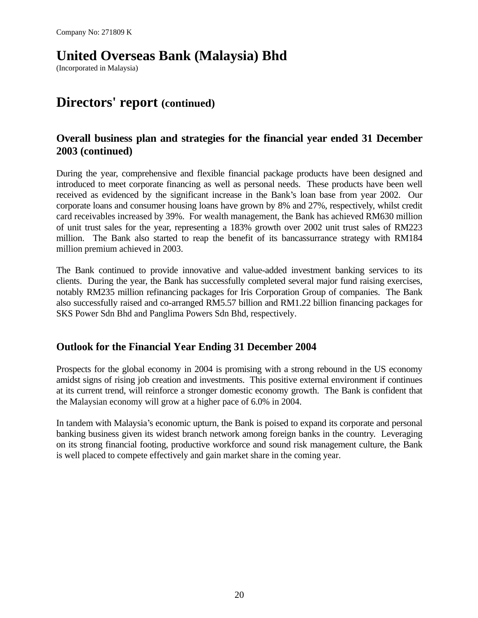(Incorporated in Malaysia)

## **Directors' report (continued)**

## **Overall business plan and strategies for the financial year ended 31 December 2003 (continued)**

During the year, comprehensive and flexible financial package products have been designed and introduced to meet corporate financing as well as personal needs. These products have been well received as evidenced by the significant increase in the Bank's loan base from year 2002. Our corporate loans and consumer housing loans have grown by 8% and 27%, respectively, whilst credit card receivables increased by 39%. For wealth management, the Bank has achieved RM630 million of unit trust sales for the year, representing a 183% growth over 2002 unit trust sales of RM223 million. The Bank also started to reap the benefit of its bancassurrance strategy with RM184 million premium achieved in 2003.

The Bank continued to provide innovative and value-added investment banking services to its clients. During the year, the Bank has successfully completed several major fund raising exercises, notably RM235 million refinancing packages for Iris Corporation Group of companies. The Bank also successfully raised and co-arranged RM5.57 billion and RM1.22 billion financing packages for SKS Power Sdn Bhd and Panglima Powers Sdn Bhd, respectively.

## **Outlook for the Financial Year Ending 31 December 2004**

Prospects for the global economy in 2004 is promising with a strong rebound in the US economy amidst signs of rising job creation and investments. This positive external environment if continues at its current trend, will reinforce a stronger domestic economy growth. The Bank is confident that the Malaysian economy will grow at a higher pace of 6.0% in 2004.

In tandem with Malaysia's economic upturn, the Bank is poised to expand its corporate and personal banking business given its widest branch network among foreign banks in the country. Leveraging on its strong financial footing, productive workforce and sound risk management culture, the Bank is well placed to compete effectively and gain market share in the coming year.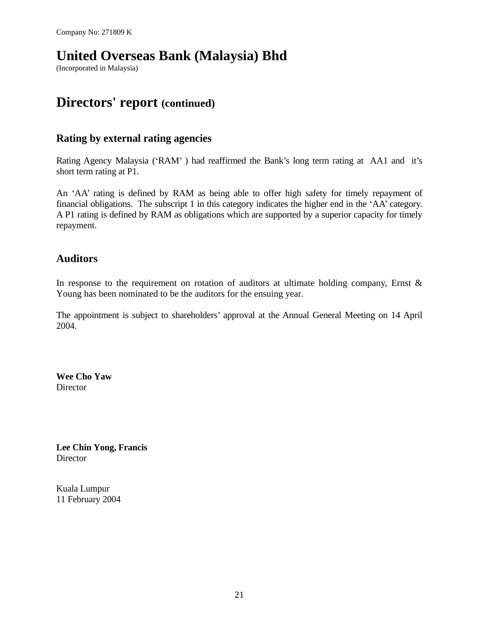(Incorporated in Malaysia)

## **Directors' report (continued)**

### **Rating by external rating agencies**

Rating Agency Malaysia ('RAM') had reaffirmed the Bank's long term rating at AA1 and it's short term rating at P1.

An 'AA' rating is defined by RAM as being able to offer high safety for timely repayment of financial obligations. The subscript 1 in this category indicates the higher end in the 'AA' category. A P1 rating is defined by RAM as obligations which are supported by a superior capacity for timely repayment.

## **Auditors**

In response to the requirement on rotation of auditors at ultimate holding company, Ernst  $\&$ Young has been nominated to be the auditors for the ensuing year.

The appointment is subject to shareholders' approval at the Annual General Meeting on 14 April 2004.

**Wee Cho Yaw** Director **Executive Contract Contract Contract Contract Contract Contract Contract Contract Contract Contract Contract Contract Contract Contract Contract Contract Contract Contract Contract Contract Contract Contract Cont** 

**Lee Chin Yong, Francis** Director **Executive Contract Contract Contract Contract Contract Contract Contract Contract Contract Contract Contract Contract Contract Contract Contract Contract Contract Contract Contract Contract Contract Contract Cont** 

Kuala Lumpur 11 February 2004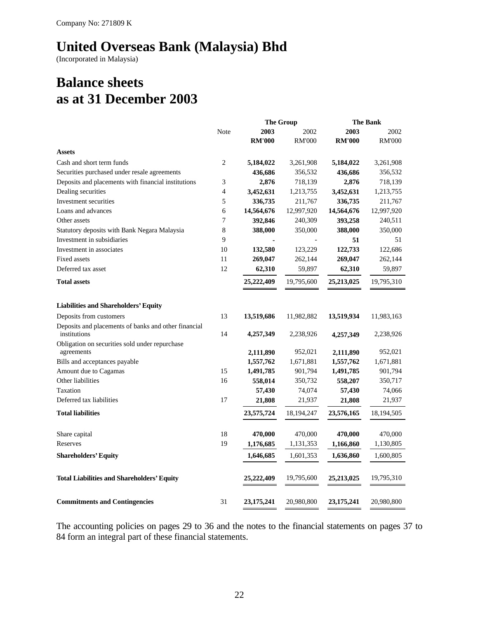(Incorporated in Malaysia)

# **Balance sheets as at 31 December 2003**

|                                                      |                |                        | The Group     |                       | The Bank                                                  |
|------------------------------------------------------|----------------|------------------------|---------------|-----------------------|-----------------------------------------------------------|
|                                                      | Note           | 2003                   | 2002          | 2003                  | 2002                                                      |
|                                                      |                | <b>RM'000</b>          | <b>RM'000</b> | <b>RM'000</b>         | <b>RM'000</b>                                             |
| Assets                                               |                |                        |               |                       |                                                           |
| Cash and short term funds                            |                | 5,184,022              | 3,261,908     | 5,184,022             | 3,261,908                                                 |
| Securities purchased under resale agreements         |                | 436,686                | 356,532       | 436,686               | 356,532                                                   |
| Deposits and placements with financial institutions  | $\mathcal{R}$  | 2,876                  | 718,139       | 2,876                 | 718,139                                                   |
| Dealing securities                                   | $\overline{4}$ | 3,452,631              | 1,213,755     | 3,452,631             | 1,213,755                                                 |
| Investment securities                                |                | 336,735                | 211,767       | 336,735               | 211,767                                                   |
| Loans and advances                                   |                | 14,564,676             | 12,997,920    | 14,564,676            | 2,997,920                                                 |
| Other assets                                         |                | 392,846                | 240,309       | 393,258               | 240,511                                                   |
| Statutory deposits with Bank Negara Malaysia         |                | 388,000                | 350,000       | 388,000               | 350,000                                                   |
| Investment in subsidiaries                           | - 9            |                        |               | - 51                  | 51                                                        |
| Investment in associates                             | 10             | 132,580                | 123,229       | 122,733               | 122,686                                                   |
| Fixed assets                                         | 11             | 269,047                | 262,144       | 269,047               | 262,144                                                   |
| Deferred tax asset                                   | 12             | 62,31                  | 59,897        | 62,310                | 59,897                                                    |
| <b>Total assets</b>                                  |                | 25,222,409             | 19,795,600    | 25,213,025            | 19,795,310                                                |
|                                                      |                |                        |               |                       |                                                           |
|                                                      |                |                        |               |                       |                                                           |
| <b>Liabilities and Shareholders' Equity</b>          |                |                        |               |                       |                                                           |
| Deposits from customers                              | 13             | 13,519,686             | 11.982.882    | 13.519.934            | 11,983,163                                                |
| Deposits and placements of banks and other financial |                |                        |               |                       |                                                           |
| institutions                                         | 14             | 4,257,349              | 2,238,926     | 4,257,349             | 2,238,926                                                 |
| Obligation on securities sold under repurchase       |                |                        | 952,021       | 2,111,890             | 952,021                                                   |
| agreements<br>Bills and acceptances payable          |                | 2,111,890<br>1,557,762 | 1,671,881     | 1,557,762             | 1,671,881                                                 |
| Amount due to Cagamas                                | 15             | 1,491,785              | 901,794       | 1,491,785             | 901,794                                                   |
| Other liabilities                                    | 16             | 558,014                | 350,732       | 558,207               | 350,717                                                   |
| Taxation                                             |                | 57,430                 | 74,074        | 57,430                | 74,066                                                    |
| Deferred tax liabilities                             | 17             | 21,808                 | 21,937        | 21,808                | 21,937                                                    |
|                                                      |                |                        |               |                       |                                                           |
| <b>Total liabilities</b>                             |                | 23,575,724             | 18,194,247    | 23,576,165            | 18,194,505<br>the control of the control of the           |
|                                                      | 18             | 470.000                | 470,000       | 470.000               | 470,000                                                   |
| Share capital                                        |                |                        |               |                       |                                                           |
| Reserves                                             | 19             | 1,176,685              | 1,131,353     | 1,166,860             | 1,130,805                                                 |
| <b>Shareholders' Equity</b>                          |                | 1,646,685              | 1,601,353     | 1,636,860             | 1,600,805<br>the control of the control of the control of |
| <b>Total Liabilities and Shareholders' Equity</b>    |                | 25,222,409             | 19,795,600    | 25,213,025            | 19,795,310                                                |
|                                                      |                |                        |               |                       |                                                           |
| <b>Commitments and Contingencies</b>                 | 31             | 23, 175, 241           | 20,980,800    | 23,175,241 20,980,800 |                                                           |
|                                                      |                |                        |               |                       |                                                           |

The accounting policies on pages 29 to 36 and the notes to the financial statements on pages 37 to 84 form an integral part of these financial statements.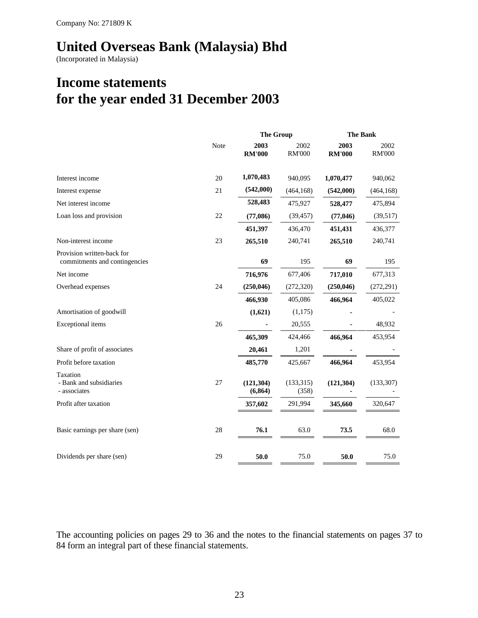(Incorporated in Malaysia)

# **Income statements for the year ended 31 December 2003**

|                                                             |      |                        | The Group             |                             | The Bank                                                                                                                                                                                                                                        |  |
|-------------------------------------------------------------|------|------------------------|-----------------------|-----------------------------|-------------------------------------------------------------------------------------------------------------------------------------------------------------------------------------------------------------------------------------------------|--|
|                                                             | Note | 2003<br><b>RM'000</b>  | 2002<br><b>RM'000</b> | 2003<br><b>RM'000</b>       | 2002<br><b>RM'000</b>                                                                                                                                                                                                                           |  |
| Interest income                                             | 20   | 1,070,483              | 940,095               | 1,070,477                   | 940,062                                                                                                                                                                                                                                         |  |
| Interest expense                                            | 21   | (542,000)              | (464, 168)            | (542,000)                   | (464, 168)                                                                                                                                                                                                                                      |  |
| Net interest income                                         |      | 528,483                | 475,927               | 528,477                     | <u> a shekara ta 1989 a shekara ta 1989 a shekara ta 1989 a shekara ta 1989 a shekara ta 1989 a shekara ta 1989 a shekara ta 1989 a shekara ta 1989 a shekara ta 1989 a shekara ta 1989 a shekara ta 1989 a shekara ta 1989 a sh</u><br>475,894 |  |
| Loan loss and provision                                     | 22   |                        | (39, 457)             | (77, 046)                   | (39, 517)                                                                                                                                                                                                                                       |  |
|                                                             |      | (77,086)               |                       |                             |                                                                                                                                                                                                                                                 |  |
|                                                             |      | 451,397                | 436,470               | 451,431                     | 436,377                                                                                                                                                                                                                                         |  |
| Non-interest income                                         | 23   | 265,510                | 240,741               | 265,510                     | 240,741                                                                                                                                                                                                                                         |  |
| Provision written-back for<br>commitments and contingencies |      | 69                     | 195                   | 69                          | 195                                                                                                                                                                                                                                             |  |
| Net income                                                  |      | 716,976                | 677,406               | 717,010                     | 677,313                                                                                                                                                                                                                                         |  |
| Overhead expenses                                           | 24   | (250, 046)             | (272, 320)            | (250, 046)                  | (272, 291)                                                                                                                                                                                                                                      |  |
|                                                             |      |                        | 405,086               |                             | 405,022                                                                                                                                                                                                                                         |  |
|                                                             |      | 466,930                |                       | 466,964                     |                                                                                                                                                                                                                                                 |  |
| Amortisation of goodwill                                    |      | (1,621)                | (1,175)               | $\sim$                      | $\sim$ $-$                                                                                                                                                                                                                                      |  |
| Exceptional items                                           | 26   | $\sim$                 | 20,555                | $\sim$ 100 $\mu$            | 48,932                                                                                                                                                                                                                                          |  |
|                                                             |      | 465,309                | 424,466               | 466,964                     | 453,954                                                                                                                                                                                                                                         |  |
| Share of profit of associates                               |      | 20,461                 | 1,201                 | $\sim$                      | $\sim$ $-$                                                                                                                                                                                                                                      |  |
| Profit before taxation                                      |      | 485,770                | 425,667               | 466,964                     | 453,954                                                                                                                                                                                                                                         |  |
| Taxation<br>- Bank and subsidiaries<br>- associates         | 27   | (121, 304)<br>(6, 864) | (133, 315)<br>(358)   | (121, 304)<br>$\sim$        | (133, 307)<br>$\sim 100$ km s $^{-1}$                                                                                                                                                                                                           |  |
| Profit after taxation                                       |      | 357,602                | 291,994               | 345,660                     | 320,647                                                                                                                                                                                                                                         |  |
|                                                             |      |                        |                       | $\sim$ $\sim$ $\sim$ $\sim$ |                                                                                                                                                                                                                                                 |  |
| Basic earnings per share (sen)                              | 28   | 76.1                   | 63.0                  | 73.5                        | 68.0                                                                                                                                                                                                                                            |  |
|                                                             |      |                        |                       |                             |                                                                                                                                                                                                                                                 |  |
| Dividends per share (sen)                                   | 29   | 50.0<br>--             | 75.0<br>$\equiv$      | 50.0<br>$\equiv$            | 75.0<br>$\equiv$                                                                                                                                                                                                                                |  |

The accounting policies on pages 29 to 36 and the notes to the financial statements on pages 37 to 84 form an integral part of these financial statements.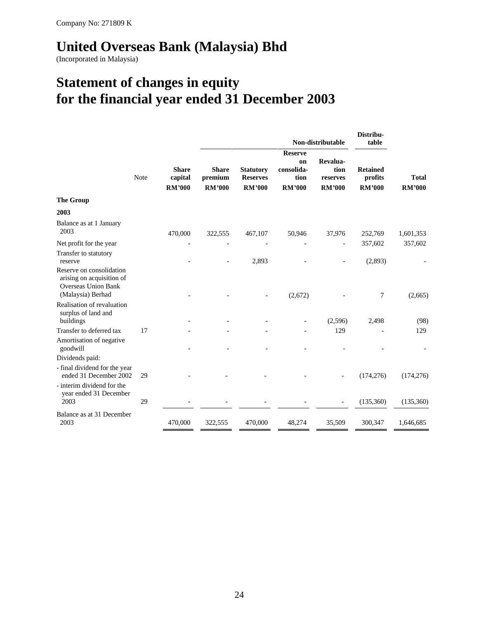(Incorporated in Malaysia)

# **Statement of changes in equity for the financial year ended 31 December 2003**

|                                                      |         |                                                      |                 |         |                   |                                                                                                   | Distribu-                  |                                                                            |
|------------------------------------------------------|---------|------------------------------------------------------|-----------------|---------|-------------------|---------------------------------------------------------------------------------------------------|----------------------------|----------------------------------------------------------------------------|
|                                                      |         |                                                      |                 |         | Non-distributable |                                                                                                   | table                      |                                                                            |
|                                                      |         |                                                      |                 |         | Reserve           |                                                                                                   |                            |                                                                            |
|                                                      |         |                                                      |                 |         | - on              | <b>Revalua-</b>                                                                                   | tion Retained              |                                                                            |
| Note                                                 |         |                                                      | <b>Reserves</b> |         |                   |                                                                                                   |                            | Total                                                                      |
|                                                      | RM'000  | RM'000                                               | <b>RM'000</b>   |         | <b>RM'000</b>     |                                                                                                   | <b>RM'000 RM'000</b>       | <b>RM'000</b>                                                              |
| The Group                                            |         |                                                      |                 |         |                   |                                                                                                   |                            |                                                                            |
|                                                      |         |                                                      |                 |         |                   |                                                                                                   |                            |                                                                            |
| 2003                                                 |         |                                                      |                 |         |                   |                                                                                                   |                            |                                                                            |
| Balance as at 1 January                              |         |                                                      |                 |         |                   |                                                                                                   |                            |                                                                            |
| 2003                                                 |         | 470,000 322,555                                      | 467,107         |         | 50,946            |                                                                                                   |                            | 37,976 252,769 1,601,353                                                   |
| Net profit for the year                              |         | $-357,602$                                           |                 |         |                   |                                                                                                   |                            | 357,602                                                                    |
| Transfer to statutory                                |         |                                                      |                 |         |                   |                                                                                                   |                            |                                                                            |
| reserve                                              |         | and the company of the<br>and the state of the state | 2,893           |         |                   |                                                                                                   | (2,893)                    | and the state of the                                                       |
| Reserve on consolidation                             |         |                                                      |                 |         |                   |                                                                                                   |                            |                                                                            |
| arising on acquisition of<br>Overseas Union Bank     |         |                                                      |                 |         |                   |                                                                                                   |                            |                                                                            |
| (Malaysia) Berhad                                    |         | the company's company's company's                    |                 | (2,672) |                   | $\mathcal{L}(\mathcal{L})$ and $\mathcal{L}(\mathcal{L})$ . The set of $\mathcal{L}(\mathcal{L})$ |                            | 7(2,665)                                                                   |
| Realisation of revaluation                           |         |                                                      |                 |         |                   |                                                                                                   |                            |                                                                            |
| surplus of land and                                  |         |                                                      |                 |         |                   |                                                                                                   |                            |                                                                            |
| buildings                                            |         | $     (2,596)$                                       |                 |         |                   |                                                                                                   | 2,498                      | (98)                                                                       |
| Transfer to deferred tax                             |         | 이 우리 사이에서 이 사이 우리 사이에 대한 사이 우리 사이에 대해 보이는 것이다.       |                 |         |                   | 129                                                                                               | and the state of the state | 129                                                                        |
| Amortisation of negative                             |         |                                                      |                 |         |                   |                                                                                                   |                            |                                                                            |
| goodwill                                             |         |                                                      |                 |         |                   |                                                                                                   |                            | 1. 우리 시간이 있는 그 사람들은 이 사람들은 이 사람들은 사람들의 사람들을 만들어 있다. 그 사람들은 이 사람들은 아이들이 있다. |
| Dividends paid:                                      |         |                                                      |                 |         |                   |                                                                                                   |                            |                                                                            |
| - final dividend for the year                        |         |                                                      |                 |         |                   |                                                                                                   |                            |                                                                            |
| ended 31 December 2002                               |         |                                                      |                 |         |                   |                                                                                                   |                            | $(174,276)$ $(174,276)$ $(174,276)$                                        |
| - interim dividend for the<br>year ended 31 December |         |                                                      |                 |         |                   |                                                                                                   |                            |                                                                            |
| 2003                                                 |         |                                                      |                 |         |                   |                                                                                                   |                            | $(135,360)$ $(135,360)$ $(135,360)$                                        |
| Balance as at 31 December                            |         |                                                      |                 |         |                   |                                                                                                   |                            |                                                                            |
| 2003                                                 | 470,000 | 322,555                                              |                 |         |                   |                                                                                                   |                            | 470,000 48,274 35,509 300,347 1,646,685                                    |
|                                                      |         |                                                      |                 |         |                   |                                                                                                   |                            |                                                                            |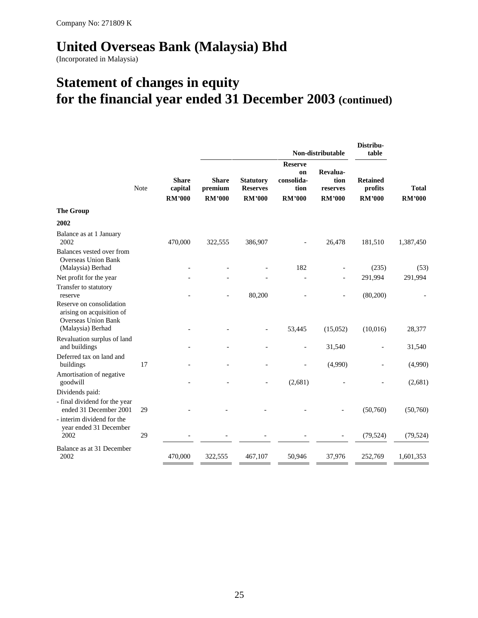(Incorporated in Malaysia)

# **Statement of changes in equity for the financial year ended 31 December 2003 (continued)**

|                                                                       |               |                                   |                                                                                                       |                      | Non-distributable | Distribu-<br>table                |                                  |
|-----------------------------------------------------------------------|---------------|-----------------------------------|-------------------------------------------------------------------------------------------------------|----------------------|-------------------|-----------------------------------|----------------------------------|
|                                                                       |               |                                   |                                                                                                       | Reserve              |                   |                                   |                                  |
|                                                                       |               |                                   |                                                                                                       |                      | on Revalua-       |                                   |                                  |
| Note                                                                  | Share         | Share<br>remium                   | <b>Statutory</b><br><b>Reserves</b>                                                                   | tion                 | reserves          | tion Retained<br>profits          | Total                            |
|                                                                       | <b>RM'000</b> | <b>RM'000</b>                     |                                                                                                       | RM'000 RM'000 RM'000 |                   | <b>RM'000</b>                     | <b>RM'000</b>                    |
| <b>The Group</b>                                                      |               |                                   |                                                                                                       |                      |                   |                                   |                                  |
| 2002                                                                  |               |                                   |                                                                                                       |                      |                   |                                   |                                  |
| Balance as at 1 January                                               |               |                                   |                                                                                                       |                      |                   |                                   |                                  |
| 2002                                                                  |               | 470,000 322,555                   | 386,907                                                                                               |                      |                   |                                   | $-26,478$ $181,510$ $1,387,450$  |
| Balances vested over from                                             |               |                                   |                                                                                                       |                      |                   |                                   |                                  |
| Overseas Union Bank<br>(Malaysia) Berhad<br>Net profit for the year   |               | the company's company's company's |                                                                                                       | 182                  |                   | (235)<br><b>Contract Contract</b> | (53)                             |
|                                                                       |               |                                   |                                                                                                       |                      |                   | $-$ 291,994                       | 291,994                          |
| Transfer to statutory<br>reserve                                      |               | $-80,200$                         |                                                                                                       |                      |                   | $-$ (80,200)                      | <b>Contract Contract</b>         |
| Reserve on consolidation                                              |               |                                   |                                                                                                       |                      |                   |                                   |                                  |
|                                                                       |               |                                   |                                                                                                       |                      |                   |                                   |                                  |
| arising on acquisition of<br>Overseas Union Bank<br>(Malaysia) Berhad |               | the company's company's company's | $\mathcal{L}_{\text{max}}$ and $\mathcal{L}_{\text{max}}$ . The set of the $\mathcal{L}_{\text{max}}$ | 53,445               | (15,052)          |                                   | $(10,016)$ 28,377                |
|                                                                       |               |                                   |                                                                                                       |                      |                   |                                   |                                  |
| Revaluation surplus of land<br>and buildings                          |               | the company's company's company's | and the state of the state                                                                            | $-31,540$            |                   |                                   | $-31,540$                        |
| Deferred tax on land and<br>17                                        |               |                                   |                                                                                                       |                      |                   |                                   |                                  |
| buildings<br>Amortisation of negative                                 |               | <b>Contract Contract</b>          |                                                                                                       | (4,990)              |                   |                                   | (4,990)                          |
|                                                                       |               | $-$ (2,681)                       |                                                                                                       |                      |                   |                                   | $  (2,681)$                      |
| goodwill<br>Dividends paid:                                           |               |                                   |                                                                                                       |                      |                   |                                   |                                  |
| - final dividend for the year<br>ended 31 December 2001               |               |                                   |                                                                                                       |                      |                   |                                   |                                  |
| - interim dividend for the                                            |               |                                   |                                                                                                       |                      |                   |                                   | $(50,760)$ $(50,760)$ $(50,760)$ |
| year ended 31 December<br>2002                                        |               |                                   |                                                                                                       |                      |                   |                                   |                                  |
|                                                                       |               |                                   |                                                                                                       |                      |                   |                                   | $(79,524)$ (79,524) $(79,524)$   |
| Balance as at 31 December                                             |               |                                   |                                                                                                       |                      |                   |                                   |                                  |
| 2002                                                                  | 470,000       | 322,555                           |                                                                                                       | 467,107 50,946       |                   | 37,976 252,769                    | 1,601,353                        |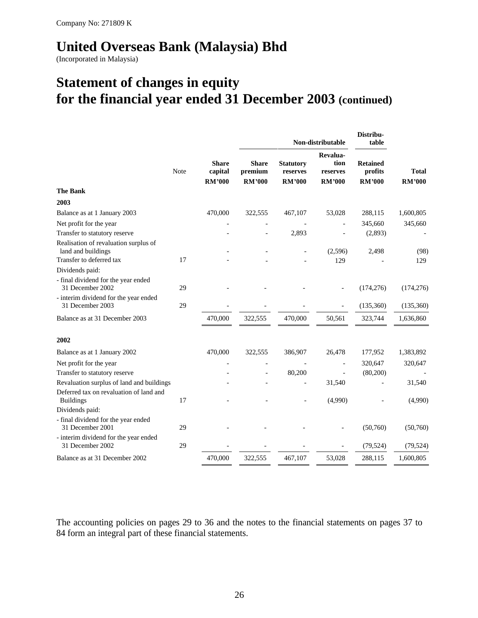(Incorporated in Malaysia)

# **Statement of changes in equity for the financial year ended 31 December 2003 (continued)**

|                                                             |      |               |                                      |                                |                          | Non-distributable        | Distribu-<br>table                |                                                  |  |
|-------------------------------------------------------------|------|---------------|--------------------------------------|--------------------------------|--------------------------|--------------------------|-----------------------------------|--------------------------------------------------|--|
|                                                             |      |               |                                      |                                |                          | <b>Revalua-</b>          |                                   |                                                  |  |
|                                                             |      | <b>Share</b>  | <b>Share</b>                         | Statutory                      |                          |                          | tion Retained                     |                                                  |  |
|                                                             | Note |               | remium                               |                                | reserves                 | reserves                 | profits                           | Total                                            |  |
| The Bank                                                    |      | <b>RM'000</b> | <b>RM'000</b>                        |                                |                          |                          | RM'000 RM'000 RM'000              | <b>RM'000</b>                                    |  |
| 2003                                                        |      |               |                                      |                                |                          |                          |                                   |                                                  |  |
| Balance as at 1 January 2003                                |      | 470,000       | 322,555                              |                                | 467,107                  | 53,028                   | 288,115                           | 1,600,805                                        |  |
| Net profit for the year                                     |      |               | the company's company's programs to  |                                | <b>Contract Contract</b> |                          | $-345,660$                        | 345,660                                          |  |
| Transfer to statutory reserve                               |      |               | the company's state of the company's |                                | 2,893                    | <b>Contractor</b>        | (2,893)                           | <b>Service</b>                                   |  |
|                                                             |      |               |                                      |                                |                          |                          |                                   |                                                  |  |
| Realisation of revaluation surplus of<br>land and buildings |      |               | the company's company's program      |                                | and the state of the     | (2,596)                  | 2,498                             | (98)                                             |  |
| Transfer to deferred tax                                    | 17   |               |                                      | $\sim$ $\sim$ $\sim$           | <b>Contract Contract</b> | 129                      | <b>Contract Contract Contract</b> | 129                                              |  |
| Dividends paid:                                             |      |               |                                      |                                |                          |                          |                                   |                                                  |  |
| - final dividend for the year ended<br>31 December 2002     | 29   |               |                                      |                                |                          |                          |                                   | $(174,276)$ $(174,276)$ $(174,276)$              |  |
|                                                             |      |               |                                      |                                |                          |                          |                                   |                                                  |  |
| - interim dividend for the year ended<br>31 December 2003   | 29   |               |                                      |                                |                          |                          |                                   | $(135,360)$ $(135,360)$ $(135,360)$              |  |
| Balance as at 31 December 2003                              |      | 470.000       | 322,555                              |                                | 470,000                  |                          | 50,561 323,744                    | 1,636,860                                        |  |
|                                                             |      |               |                                      |                                |                          |                          |                                   |                                                  |  |
| 2002                                                        |      |               |                                      |                                |                          |                          |                                   |                                                  |  |
| Balance as at 1 January 2002                                |      | 470,000       | 322,555                              |                                | 386,907                  | 26,478                   | 177,952                           | 1,383,892                                        |  |
| Net profit for the year                                     |      |               | the company's company's program      |                                |                          | <b>Contract Contract</b> | 320,647                           | 320,647                                          |  |
| Transfer to statutory reserve                               |      |               | the company's company's program      |                                | 80,200                   |                          | $-$ (80,200)                      | <b>Contract Contract</b>                         |  |
| Revaluation surplus of land and buildings                   |      |               | the company's company's              |                                | <b>State State</b>       | 31,540                   |                                   | $-31,540$                                        |  |
| Deferred tax on revaluation of land and                     |      |               |                                      |                                |                          |                          |                                   |                                                  |  |
| Buildings<br>Dividends paid:                                | 17   |               |                                      | <b>Contract Contract</b>       | and the state of the     | (4,990)                  |                                   | (4,990)                                          |  |
| - final dividend for the year ended                         |      |               |                                      |                                |                          |                          |                                   |                                                  |  |
| 31 December 2001                                            | 29   |               |                                      | and the company of the company |                          |                          |                                   | $(50,760)$ $(50,760)$                            |  |
| - interim dividend for the year ended                       |      |               |                                      |                                |                          |                          |                                   |                                                  |  |
| 31 December 2002                                            | 29   |               |                                      |                                |                          |                          | (79,524)                          | (79, 524)                                        |  |
| Balance as at 31 December 2002                              |      |               |                                      |                                |                          |                          |                                   | 470,000 322,555 467,107 53,028 288,115 1,600,805 |  |

The accounting policies on pages 29 to 36 and the notes to the financial statements on pages 37 to 84 form an integral part of these financial statements.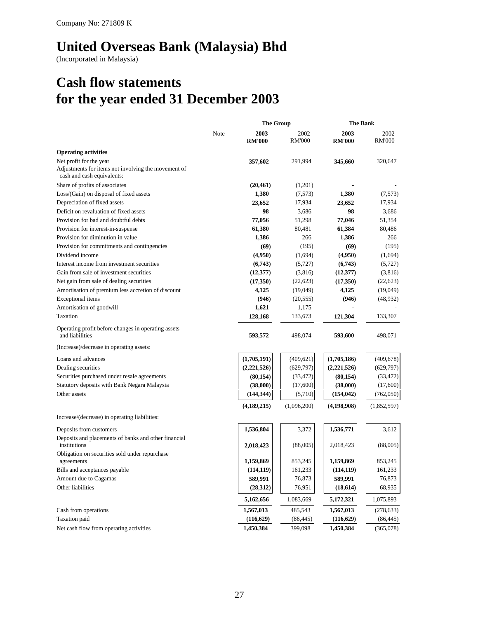(Incorporated in Malaysia)

# **Cash flow statements for the year ended 31 December 2003**

|                                                                                                              |               | <b>The Group</b> | The Bank         |               |
|--------------------------------------------------------------------------------------------------------------|---------------|------------------|------------------|---------------|
|                                                                                                              | Note<br>2003  | 2002             | 2003             | 2002          |
|                                                                                                              | <b>RM'000</b> | <b>RM'000</b>    | <b>RM'000</b>    | <b>RM'000</b> |
| <b>Operating activities</b>                                                                                  |               |                  |                  |               |
| Net profit for the year<br>Adjustments for items not involving the movement of<br>cash and cash equivalents: | 357,602       | 291,994          | 345,660          | 320,647       |
| Share of profits of associates                                                                               | (20, 461)     | (1,201)          | $\sim$ 100 $\mu$ | $\sim$        |
| Loss/(Gain) on disposal of fixed assets                                                                      | 1,380         | (7,573)          | 1,380            | (7,573)       |
| Depreciation of fixed assets                                                                                 | 23,652        | 17,934           | 23,652           | 17,934        |
| Deficit on revaluation of fixed assets                                                                       | 98            | 3,686            | -98              | 3,686         |
| Provision for bad and doubtful debts                                                                         | 77,056        | 51,298           | 77,046           | 51,354        |
| Provision for interest-in-suspense                                                                           | 61,380        | 80,481           | 61,384           | 80,486        |
| Provision for diminution in value                                                                            | 1,386         | 266              | 1,386            | 266           |
| Provision for commitments and contingencies                                                                  | (69)          | (195)            | (69)             | (195)         |
| Dividend income                                                                                              | (4,950)       | (1,694)          | (4,950)          | (1,694)       |
| Interest income from investment securities                                                                   | (6,743)       | (5,727)          | (6,743)          | (5,727)       |
| Gain from sale of investment securities                                                                      | (12, 377)     | (3,816)          | (12, 377)        | (3,816)       |
| Net gain from sale of dealing securities                                                                     | (17,350)      | (22, 623)        | (17,350)         | (22, 623)     |
| Amortisation of premium less accretion of discount                                                           | 4,125         | (19,049)         | 4,125            | (19,049)      |
| Exceptional items                                                                                            | (946)         | (20, 555)        | (946)            | (48,932)      |
|                                                                                                              |               | 1,175            |                  |               |
| Amortisation of goodwill<br>Taxation                                                                         | 1,621         | 133,673          |                  |               |
|                                                                                                              | 128,168       |                  | 121,304          | 133,307       |
| Operating profit before changes in operating assets                                                          |               |                  |                  |               |
| and liabilities                                                                                              | 593,572       | 498,074          | 593,600          | 498,071       |
| (Increase)/decrease in operating assets:                                                                     |               |                  |                  |               |
|                                                                                                              |               |                  |                  |               |
| Loans and advances                                                                                           | (1,705,191)   | (409, 621)       | (1,705,186)      | (409, 678)    |
| Dealing securities                                                                                           | (2,221,526)   | (629, 797)       | (2,221,526)      | (629, 797)    |
| Securities purchased under resale agreements                                                                 | (80, 154)     | (33, 472)        | (80, 154)        | (33, 472)     |
| Statutory deposits with Bank Negara Malaysia                                                                 | (38,000)      | (17,600)         | (38,000)         | (17,600)      |
| Other assets                                                                                                 | (144, 344)    | (5,710)          | (154, 042)       | (762,050)     |
|                                                                                                              | (4,189,215)   | (1,096,200)      | (4,198,908)      | (1,852,597)   |
| Increase/(decrease) in operating liabilities:                                                                |               |                  |                  |               |
|                                                                                                              |               |                  |                  |               |
| Deposits from customers                                                                                      | 1,536,804     | 3,372            | 1,536,771        | 3,612         |
| Deposits and placements of banks and other financial                                                         |               |                  |                  |               |
| institutions                                                                                                 | 2,018,423     | (88,005)         | 2,018,423        | (88,005)      |
| Obligation on securities sold under repurchase                                                               |               |                  |                  |               |
| agreements                                                                                                   | 1,159,869     | 853,245          | 1,159,869        | 853,245       |
| Bills and acceptances payable                                                                                | (114, 119)    | 161,233          | (114, 119)       | 161,233       |
| Amount due to Cagamas                                                                                        | 589,991       | 76,873           | 589,991          | 76,873        |
| Other liabilities                                                                                            | (28,312)      | 76,951           | (18,614)         | 68,935        |
|                                                                                                              | 5,162,656     | 1,083,669        | 5,172,321        | 1,075,893     |
| Cash from operations                                                                                         | 1,567,013     | 485,543          | 1,567,013        | (278, 633)    |
| Taxation paid                                                                                                | (116, 629)    | (86, 445)        | (116, 629)       | (86, 445)     |
|                                                                                                              |               | 399,098          |                  |               |
| Net cash flow from operating activities                                                                      | 1,450,384     |                  | 1,450,384        | (365,078)     |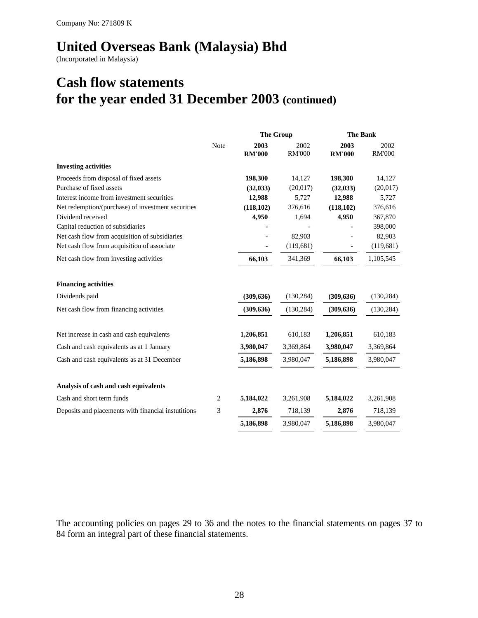(Incorporated in Malaysia)

# **Cash flow statements for the year ended 31 December 2003 (continued)**

|                                                     |      |                                                                                           | The Group                                      |                                                                                                  | The Bank                                                                                              |
|-----------------------------------------------------|------|-------------------------------------------------------------------------------------------|------------------------------------------------|--------------------------------------------------------------------------------------------------|-------------------------------------------------------------------------------------------------------|
|                                                     | Note | 2003<br><b>RM'000</b>                                                                     | 2002<br><b>RM'000</b>                          | 2003<br><b>RM'000</b>                                                                            | 2002<br><b>RM'000</b>                                                                                 |
|                                                     |      |                                                                                           |                                                |                                                                                                  |                                                                                                       |
| <b>Investing activities</b>                         |      |                                                                                           |                                                |                                                                                                  |                                                                                                       |
| Proceeds from disposal of fixed assets              |      | 198,300                                                                                   | 14,127                                         | 198,300                                                                                          | 14,127                                                                                                |
| Purchase of fixed assets                            |      | (32, 033)                                                                                 | (20,017)                                       | (32, 033)                                                                                        | (20,017)                                                                                              |
| Interest income from investment securities          |      | 12,988                                                                                    | 5,727                                          | 12,988                                                                                           | 5,727                                                                                                 |
| Net redemption/(purchase) of investment securities  |      | (118, 102)                                                                                | 376,616                                        | (118, 102)                                                                                       | 376,616                                                                                               |
| Dividend received                                   |      | 4,950                                                                                     | 1,694                                          | 4,950                                                                                            | 367,870                                                                                               |
| Capital reduction of subsidiaries                   |      | $\sim$                                                                                    | $\sim$                                         |                                                                                                  | 398,000                                                                                               |
| Net cash flow from acquisition of subsidiaries      |      | $\sim$                                                                                    | 82,903                                         | $\sim$ 10 $\pm$                                                                                  | 82,903                                                                                                |
| Net cash flow from acquisition of associate         |      | $\sim$                                                                                    | (119,681)                                      | <b>College</b>                                                                                   | (119,681)                                                                                             |
| Net cash flow from investing activities             |      | and the control of the control of<br>66,103<br>and the state of the state of the state of | 341,369<br>the contract of the contract of the | the control of the control of the con-<br>66,103<br>the control of the control of the control of | and the contract of the contract of<br>1,105,545<br><u> The Communication of the Communication of</u> |
|                                                     |      |                                                                                           |                                                |                                                                                                  |                                                                                                       |
| <b>Financing activities</b>                         |      |                                                                                           |                                                |                                                                                                  |                                                                                                       |
| Dividends paid                                      |      | (309, 636)                                                                                | (130, 284)                                     | (309, 636)                                                                                       | (130, 284)                                                                                            |
| Net cash flow from financing activities             |      | (309, 636)                                                                                | (130, 284)                                     | (309, 636)                                                                                       | (130, 284)                                                                                            |
|                                                     |      |                                                                                           |                                                |                                                                                                  |                                                                                                       |
| Net increase in cash and cash equivalents           |      | 1,206,851                                                                                 | 610,183                                        | 1,206,851                                                                                        | 610,183                                                                                               |
| Cash and cash equivalents as at 1 January           |      | 3,980,047                                                                                 | 3,369,864                                      | 3,980,047                                                                                        | 3,369,864                                                                                             |
| Cash and cash equivalents as at 31 December         |      | 5,186,898                                                                                 | 3,980,047                                      | 5,186,898                                                                                        | 3,980,047                                                                                             |
|                                                     |      |                                                                                           |                                                |                                                                                                  |                                                                                                       |
| Analysis of cash and cash equivalents               |      |                                                                                           |                                                |                                                                                                  |                                                                                                       |
| Cash and short term funds                           |      | 5,184,022                                                                                 | 3,261,908                                      | 5,184,022                                                                                        | 3,261,908                                                                                             |
| Deposits and placements with financial instutitions |      | 2,876                                                                                     | 718,139                                        | 2,876                                                                                            | 718,139                                                                                               |
|                                                     |      | 5,186,898                                                                                 | 3,980,047                                      | 5,186,898                                                                                        | 3,980,047                                                                                             |

The accounting policies on pages 29 to 36 and the notes to the financial statements on pages 37 to 84 form an integral part of these financial statements.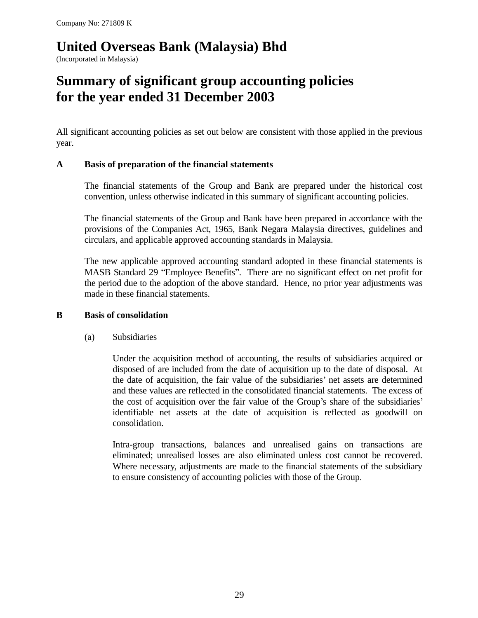(Incorporated in Malaysia)

# **Summary of significant group accounting policies for the year ended 31 December 2003**

All significant accounting policies as set out below are consistent with those applied in the previous year.

### **A Basis of preparation of the financial statements**

The financial statements of the Group and Bank are prepared under the historical cost convention, unless otherwise indicated in this summary of significant accounting policies.

The financial statements of the Group and Bank have been prepared in accordance with the provisions of the Companies Act, 1965, Bank Negara Malaysia directives, guidelines and circulars, and applicable approved accounting standards in Malaysia.

The new applicable approved accounting standard adopted in these financial statements is MASB Standard 29 "Employee Benefits". There are no significant effect on net profit for the period due to the adoption of the above standard. Hence, no prior year adjustments was made in these financial statements.

### **B Basis of consolidation**

(a) Subsidiaries

Under the acquisition method of accounting, the results of subsidiaries acquired or disposed of are included from the date of acquisition up to the date of disposal. At the date of acquisition, the fair value of the subsidiaries' net assets are determined and these values are reflected in the consolidated financial statements. The excess of the cost of acquisition over the fair value of the Group's share of the subsidiaries' identifiable net assets at the date of acquisition is reflected as goodwill on consolidation.

Intra-group transactions, balances and unrealised gains on transactions are eliminated; unrealised losses are also eliminated unless cost cannot be recovered. Where necessary, adjustments are made to the financial statements of the subsidiary to ensure consistency of accounting policies with those of the Group.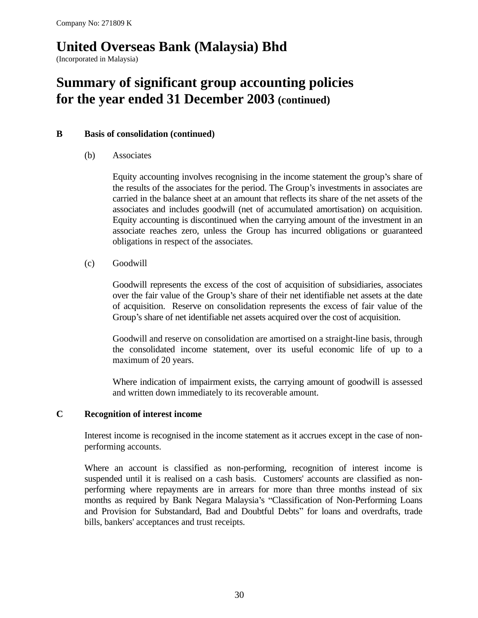(Incorporated in Malaysia)

# **Summary of significant group accounting policies for the year ended 31 December 2003 (continued)**

### **B Basis of consolidation (continued)**

#### (b) Associates

Equity accounting involves recognising in the income statement the group's share of the results of the associates for the period. The Group's investments in associates are carried in the balance sheet at an amount that reflects its share of the net assets of the associates and includes goodwill (net of accumulated amortisation) on acquisition. Equity accounting is discontinued when the carrying amount of the investment in an associate reaches zero, unless the Group has incurred obligations or guaranteed obligations in respect of the associates.

#### (c) Goodwill

Goodwill represents the excess of the cost of acquisition of subsidiaries, associates over the fair value of the Group's share of their net identifiable net assets at the date of acquisition. Reserve on consolidation represents the excess of fair value of the Group's share of net identifiable net assets acquired over the cost of acquisition.

Goodwill and reserve on consolidation are amortised on a straight-line basis, through the consolidated income statement, over its useful economic life of up to a maximum of 20 years.

Where indication of impairment exists, the carrying amount of goodwill is assessed and written down immediately to its recoverable amount.

#### **C Recognition of interest income**

Interest income is recognised in the income statement as it accrues except in the case of non performing accounts.

Where an account is classified as non-performing, recognition of interest income is suspended until it is realised on a cash basis. Customers' accounts are classified as non performing where repayments are in arrears for more than three months instead of six months as required by Bank Negara Malaysia's "Classification of Non-Performing Loans" and Provision for Substandard, Bad and Doubtful Debts" for loans and overdrafts, trade bills, bankers' acceptances and trust receipts.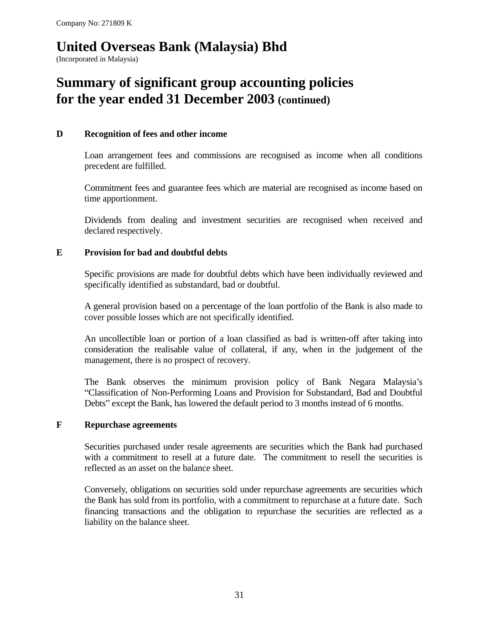(Incorporated in Malaysia)

# **Summary of significant group accounting policies for the year ended 31 December 2003 (continued)**

#### **D Recognition of fees and other income**

Loan arrangement fees and commissions are recognised as income when all conditions precedent are fulfilled.

Commitment fees and guarantee fees which are material are recognised as income based on time apportionment.

Dividends from dealing and investment securities are recognised when received and declared respectively.

### **E Provision for bad and doubtful debts**

Specific provisions are made for doubtful debts which have been individually reviewed and specifically identified as substandard, bad or doubtful.

A general provision based on a percentage of the loan portfolio of the Bank is also made to cover possible losses which are not specifically identified.

An uncollectible loan or portion of a loan classified as bad is written-off after taking into consideration the realisable value of collateral, if any, when in the judgement of the management, there is no prospect of recovery.

The Bank observes the minimum provision policy of Bank Negara Malaysia's Classification of Non-Performing Loans and Provision for Substandard, Bad and Doubtful Debts" except the Bank, has lowered the default period to 3 months instead of 6 months.

#### **F Repurchase agreements**

Securities purchased under resale agreements are securities which the Bank had purchased with a commitment to resell at a future date. The commitment to resell the securities is reflected as an asset on the balance sheet.

Conversely, obligations on securities sold under repurchase agreements are securities which the Bank has sold from its portfolio, with a commitment to repurchase at a future date. Such financing transactions and the obligation to repurchase the securities are reflected as a liability on the balance sheet.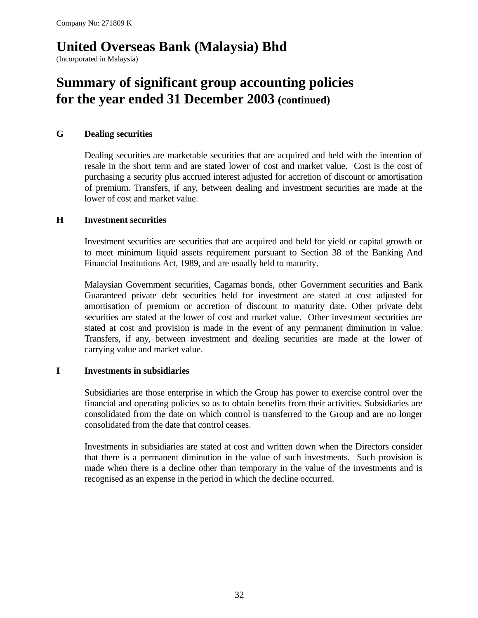(Incorporated in Malaysia)

# **Summary of significant group accounting policies for the year ended 31 December 2003 (continued)**

### **G Dealing securities**

Dealing securities are marketable securities that are acquired and held with the intention of resale in the short term and are stated lower of cost and market value. Cost is the cost of purchasing a security plus accrued interest adjusted for accretion of discount or amortisation of premium. Transfers, if any, between dealing and investment securities are made at the lower of cost and market value.

#### **H Investment securities**

Investment securities are securities that are acquired and held for yield or capital growth or to meet minimum liquid assets requirement pursuant to Section 38 of the Banking And Financial Institutions Act, 1989, and are usually held to maturity.

Malaysian Government securities, Cagamas bonds, other Government securities and Bank Guaranteed private debt securities held for investment are stated at cost adjusted for amortisation of premium or accretion of discount to maturity date. Other private debt securities are stated at the lower of cost and market value. Other investment securities are stated at cost and provision is made in the event of any permanent diminution in value. Transfers, if any, between investment and dealing securities are made at the lower of carrying value and market value.

#### **I Investments in subsidiaries**

Subsidiaries are those enterprise in which the Group has power to exercise control over the financial and operating policies so as to obtain benefits from their activities. Subsidiaries are consolidated from the date on which control is transferred to the Group and are no longer consolidated from the date that control ceases.

Investments in subsidiaries are stated at cost and written down when the Directors consider that there is a permanent diminution in the value of such investments. Such provision is made when there is a decline other than temporary in the value of the investments and is recognised as an expense in the period in which the decline occurred.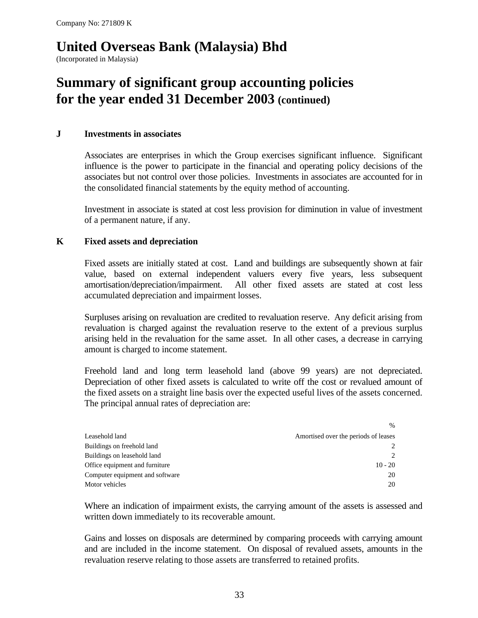(Incorporated in Malaysia)

# **Summary of significant group accounting policies for the year ended 31 December 2003 (continued)**

#### **J Investments in associates**

Associates are enterprises in which the Group exercises significant influence. Significant influence is the power to participate in the financial and operating policy decisions of the associates but not control over those policies. Investments in associates are accounted for in the consolidated financial statements by the equity method of accounting.

Investment in associate is stated at cost less provision for diminution in value of investment of a permanent nature, if any.

### **K Fixed assets and depreciation**

Fixed assets are initially stated at cost. Land and buildings are subsequently shown at fair value, based on external independent valuers every five years, less subsequent amortisation/depreciation/impairment. All other fixed assets are stated at cost less accumulated depreciation and impairment losses.

Surpluses arising on revaluation are credited to revaluation reserve. Any deficit arising from revaluation is charged against the revaluation reserve to the extent of a previous surplus arising held in the revaluation for the same asset. In all other cases, a decrease in carrying amount is charged to income statement.

Freehold land and long term leasehold land (above 99 years) are not depreciated. Depreciation of other fixed assets is calculated to write off the cost or revalued amount of the fixed assets on a straight line basis over the expected useful lives of the assets concerned. The principal annual rates of depreciation are:

| Leasehold land                  | Amortised over the periods of leases |
|---------------------------------|--------------------------------------|
| Buildings on freehold land      |                                      |
| Buildings on leasehold land     |                                      |
| Office equipment and furniture  |                                      |
| Computer equipment and software |                                      |
| Motor vehicles                  |                                      |

Where an indication of impairment exists, the carrying amount of the assets is assessed and written down immediately to its recoverable amount.

Gains and losses on disposals are determined by comparing proceeds with carrying amount and are included in the income statement. On disposal of revalued assets, amounts in the revaluation reserve relating to those assets are transferred to retained profits.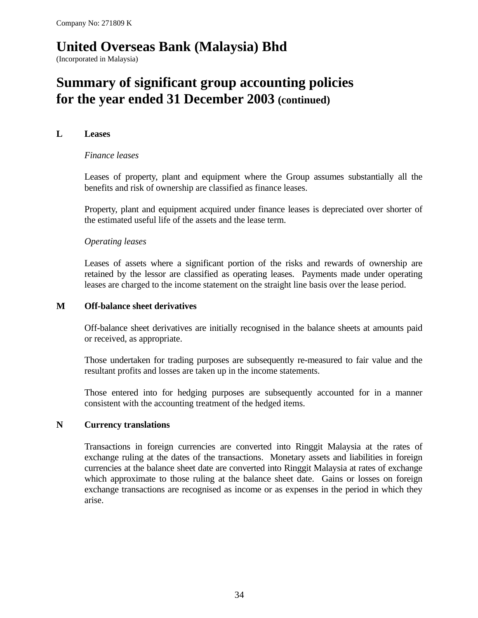(Incorporated in Malaysia)

# **Summary of significant group accounting policies for the year ended 31 December 2003 (continued)**

### **L Leases**

#### *Finance leases*

Leases of property, plant and equipment where the Group assumes substantially all the benefits and risk of ownership are classified as finance leases.

Property, plant and equipment acquired under finance leases is depreciated over shorter of the estimated useful life of the assets and the lease term.

#### *Operating leases*

Leases of assets where a significant portion of the risks and rewards of ownership are retained by the lessor are classified as operating leases. Payments made under operating leases are charged to the income statement on the straight line basis over the lease period.

#### **M Off-balance sheet derivatives**

Off-balance sheet derivatives are initially recognised in the balance sheets at amounts paid or received, as appropriate.

Those undertaken for trading purposes are subsequently re-measured to fair value and the resultant profits and losses are taken up in the income statements.

Those entered into for hedging purposes are subsequently accounted for in a manner consistent with the accounting treatment of the hedged items.

#### **N Currency translations**

Transactions in foreign currencies areconverted into Ringgit Malaysia at the rates of exchange ruling at the dates of the transactions. Monetary assets and liabilities in foreign currencies at the balance sheet date are converted into Ringgit Malaysia at rates of exchange which approximate to those ruling at the balance sheet date. Gains or losses on foreign exchange transactions are recognised as income or as expenses in the period in which they arise.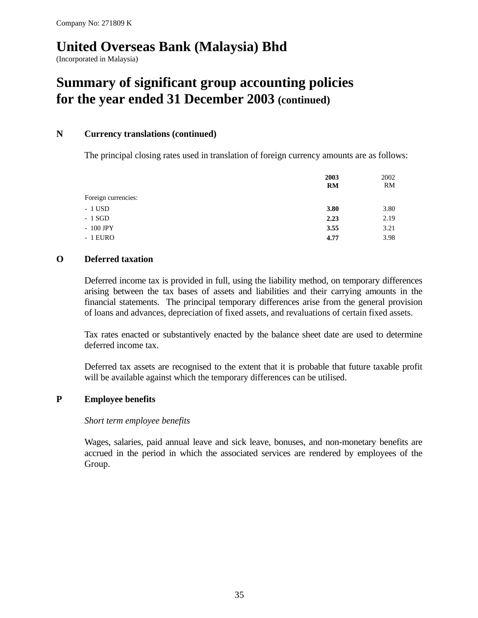(Incorporated in Malaysia)

# **Summary of significant group accounting policies for the year ended 31 December 2003 (continued)**

#### **N Currency translations (continued)**

The principal closing rates used in translation of foreign currency amounts are as follows:

|                                                                    | 2003<br>RM | 2002<br><b>RM</b> |
|--------------------------------------------------------------------|------------|-------------------|
| Foreign currencies:<br>- 1 USD<br>- 1 SGD<br>- 100 JPY<br>- 1 EURO |            |                   |
|                                                                    | 3.80       | 3.80              |
|                                                                    | 2.23       | 2.19              |
|                                                                    | 3.55       | 3.21              |
|                                                                    |            | 3.98              |

#### **O Deferred taxation**

Deferred income tax is provided in full, using the liability method, on temporary differences arising between the tax bases of assets and liabilities and their carrying amounts in the financial statements. The principal temporary differences arise from the general provision of loans and advances, depreciation of fixed assets, and revaluations of certain fixed assets.

Tax rates enacted or substantively enacted by the balance sheet date are used to determine deferred income tax.

Deferred tax assets are recognised to the extent that it is probable that future taxable profit will be available against which the temporary differences can be utilised.

#### **P Employee benefits**

#### *Short term employee benefits*

Wages, salaries, paid annual leave and sick leave, bonuses, and non-monetary benefits are accrued in the period in which the associated services are rendered by employees of the Group.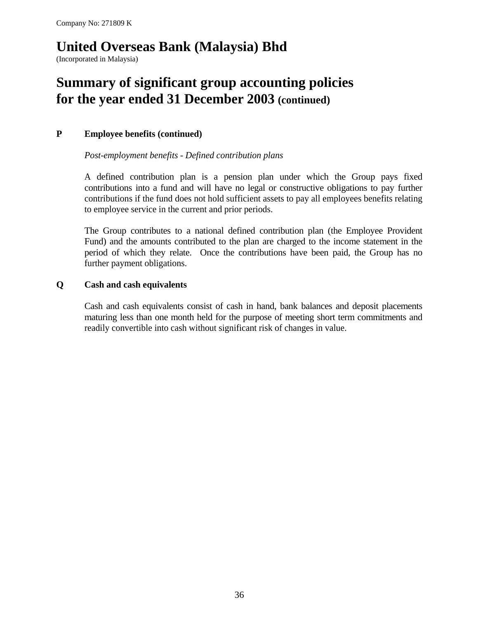(Incorporated in Malaysia)

# **Summary of significant group accounting policies for the year ended 31 December 2003 (continued)**

#### **P Employee benefits (continued)**

#### *Post-employment benefits - Defined contribution plans*

A defined contribution plan is a pension plan under which the Group pays fixed contributions into a fund and will have no legal or constructive obligations to pay further contributions if the fund does not hold sufficient assets to pay all employees benefits relating to employee service in the current and prior periods.

The Group contributes to a national defined contribution plan (the Employee Provident Fund) and the amounts contributed to the plan are charged to the income statement in the period of which they relate. Once the contributions have been paid, the Group has no further payment obligations.

#### **Q Cash and cash equivalents**

Cash and cash equivalents consist of cash in hand, bank balances and deposit placements maturing less than one month held for the purpose of meeting short term commitments and readily convertible into cash without significant risk of changes in value.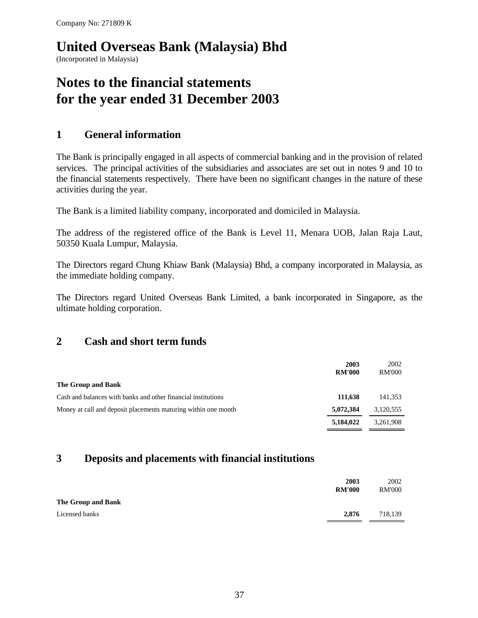(Incorporated in Malaysia)

# **Notes to the financial statements for the year ended 31 December 2003**

## **1 General information**

The Bank is principally engaged in all aspects of commercial banking and in the provision of related services. The principal activities of the subsidiaries and associates are set out in notes 9 and 10 to the financial statements respectively. There have been no significant changes in the nature of these activities during the year.

The Bank is a limited liability company, incorporated and domiciled in Malaysia.

The address of the registered office of the Bank is Level 11, Menara UOB, Jalan Raja Laut, 50350 Kuala Lumpur, Malaysia.

The Directors regard Chung Khiaw Bank (Malaysia) Bhd, a company incorporated in Malaysia, as the immediate holding company.

The Directors regard United Overseas Bank Limited, a bank incorporated in Singapore, as the ultimate holding corporation.

## **2 Cash and short term funds**

|                                                                | $\boldsymbol{\omega}$ $\boldsymbol{\omega}$ | 2002          |
|----------------------------------------------------------------|---------------------------------------------|---------------|
|                                                                | <b>RM'000</b>                               | <b>RM'000</b> |
| The Group and Bank                                             |                                             |               |
| Cash and balances with banks and other financial institutions  | 111,638                                     | 141,353       |
| Money at call and deposit placements maturing within one month | 5,072,384                                   | 3,120,555     |
|                                                                | 5,184,022                                   | 3,261,908     |

## **3 Deposits and placements with financial institutions**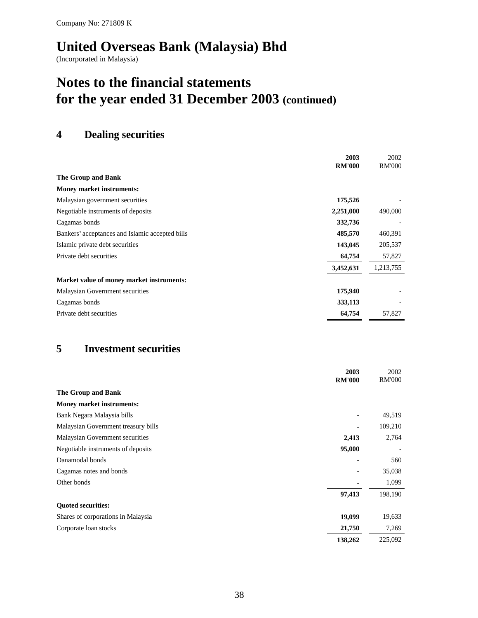(Incorporated in Malaysia)

# **Notes to the financial statements for the year ended 31 December 2003 (continued)**

## **4 Dealing securities**

|                                                 | 2003                                                                                                                                                                                                                                           | 2002                                         |
|-------------------------------------------------|------------------------------------------------------------------------------------------------------------------------------------------------------------------------------------------------------------------------------------------------|----------------------------------------------|
|                                                 | <b>RM'000</b>                                                                                                                                                                                                                                  | <b>RM'000</b>                                |
| The Group and Bank                              |                                                                                                                                                                                                                                                |                                              |
| <b>Money market instruments:</b>                |                                                                                                                                                                                                                                                |                                              |
| Malaysian government securities                 | 175,526                                                                                                                                                                                                                                        | $\overline{\phantom{a}}$                     |
| Negotiable instruments of deposits              | 2,251,000                                                                                                                                                                                                                                      | 490,000                                      |
| Cagamas bonds                                   | 332,736                                                                                                                                                                                                                                        | $\overline{\phantom{0}}$                     |
| Bankers' acceptances and Islamic accepted bills | 485,570                                                                                                                                                                                                                                        | 460,391                                      |
| Islamic private debt securities                 | 143,045                                                                                                                                                                                                                                        | 205,537                                      |
| Private debt securities                         | 64,754                                                                                                                                                                                                                                         | 57,827                                       |
|                                                 | 3,452,631                                                                                                                                                                                                                                      | the contract of the contract of<br>1,213,755 |
| Market value of money market instruments:       |                                                                                                                                                                                                                                                |                                              |
| Malaysian Government securities                 | 175,940                                                                                                                                                                                                                                        | $\overline{\phantom{a}}$                     |
| Cagamas bonds                                   | 333,113                                                                                                                                                                                                                                        | $\overline{\phantom{0}}$                     |
| Private debt securities                         | 64,754<br><u> The Common Second Common Second Common Second Common Second Common Second Common Second Common Second Common Second Common Second Common Second Common Second Common Second Common Second Common Second Common Second Common</u> | 57,827                                       |

## **5 Investment securities**

|                                     | 2003              | 2002                                           |
|-------------------------------------|-------------------|------------------------------------------------|
|                                     | <b>RM'000</b>     | <b>RM'000</b>                                  |
| The Group and Bank                  |                   |                                                |
| Money market instruments:           |                   |                                                |
| Bank Negara Malaysia bills          |                   | 49,519                                         |
| Malaysian Government treasury bills | <b>CONTRACTOR</b> | 109,210                                        |
| Malaysian Government securities     | 2,413             | 2,764                                          |
| Negotiable instruments of deposits  | 95,000            | $\sim$                                         |
| Danamodal bonds                     | <b>CONTRACTOR</b> | 560                                            |
| Cagamas notes and bonds             | $\sim$            | 35,038                                         |
| Other bonds                         |                   | 1,099                                          |
|                                     | 97,413            | the contract of the contract of the<br>198,190 |
| <b>Quoted securities:</b>           |                   |                                                |
| Shares of corporations in Malaysia  | 19,099            | 19,633                                         |
| Corporate loan stocks               | 21,750            | 7,269                                          |
|                                     | 138,262           | 225,092                                        |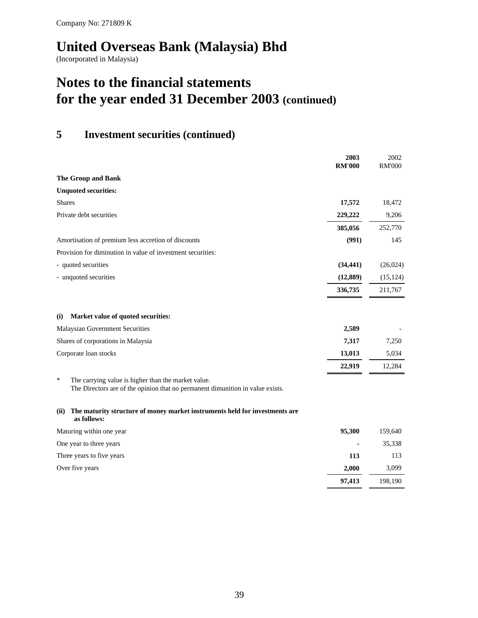(Incorporated in Malaysia)

# **Notes to the financial statements for the year ended 31 December 2003 (continued)**

## **5 Investment securities (continued)**

|                                                                                                                                             | 2003<br><b>RM'000</b> | 2002<br><b>RM'000</b> |
|---------------------------------------------------------------------------------------------------------------------------------------------|-----------------------|-----------------------|
| The Group and Bank                                                                                                                          |                       |                       |
| <b>Unquoted securities:</b>                                                                                                                 |                       |                       |
| Shares                                                                                                                                      | 17,572                | 18,472                |
| Private debt securities                                                                                                                     | 229,222               | 9,206                 |
|                                                                                                                                             | 385,056               | 252,770               |
| Amortisation of premium less accretion of discounts                                                                                         | (991)                 | 145                   |
| Provision for diminution in value of investment securities:                                                                                 |                       |                       |
| - quoted securities                                                                                                                         | (34, 441)             | (26, 024)             |
| unquoted securities                                                                                                                         | (12, 889)             | (15, 124)             |
|                                                                                                                                             | 336,735               | 211,767<br>_________  |
|                                                                                                                                             |                       |                       |
| (i) Market value of quoted securities:                                                                                                      |                       |                       |
| Malaysian Government Securities                                                                                                             | 2,589                 | $\sim$                |
| Shares of corporations in Malaysia                                                                                                          | 7,317                 | 7,250                 |
| Corporate loan stocks                                                                                                                       | 13,013                | 5,034                 |
|                                                                                                                                             | 22,919                | 12,284                |
| The carrying value is higher than the market value.<br>*.<br>The Directors are of the opinion that no permanent dimunition in value exists. |                       |                       |
| (ii) The maturity structure of money market instruments held for investments are<br>as follows:                                             |                       |                       |
| Maturing within one year                                                                                                                    | 95,300                | 159,640               |
| One year to three years                                                                                                                     | $\sim$                | 35,338                |
| Three years to five years                                                                                                                   | 113                   | 113                   |

Over five years **2,000** 3,099

**97,413** 198,190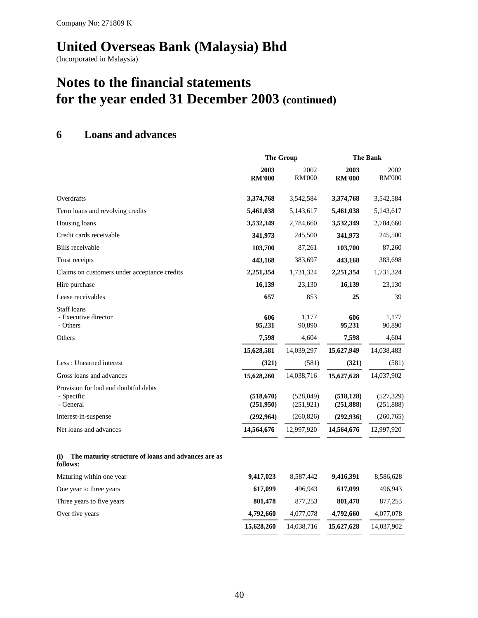(Incorporated in Malaysia)

# **Notes to the financial statements for the year ended 31 December 2003 (continued)**

## **6 Loans and advances**

| 2002<br>2002<br>2003<br>2003<br><b>RM'000</b><br><b>RM'000</b><br><b>RM'000</b><br><b>RM'000</b><br>3,374,768<br>3,542,584<br>3,542,584<br>3,374,768<br>5,461,038<br>5,143,617<br>5,143,617<br>5,461,038<br>3,532,349<br>3,532,349<br>2,784,660<br>2,784,660<br>341,973<br>245,500<br>341,973<br>245,500<br>103,700<br>87,260<br>87,261<br>103,700<br>443,168<br>383,697<br>443,168<br>383,698<br>2,251,354<br>1,731,324<br>1,731,324<br>2,251,354<br>16,139<br>23,130<br>23,130<br>16,139<br>853<br>657<br>25<br>39<br>1,177<br>606<br>606<br>1,177<br>- Executive director<br>95,231<br>95,231<br>90,890<br>- Others<br>90,890<br>7,598<br>7,598<br>4,604<br>4,604<br>14,039,297<br>15,628,581<br>15,627,949<br>14,038,483<br>(581)<br>(321)<br>(581)<br>(321)<br>14,037,902<br>15,628,260<br>14,038,716<br>15,627,628<br>(518,670)<br>(528,049)<br>(518, 128)<br>(527, 329)<br>- Specific<br>- General<br>(251,950)<br>(251, 888)<br>(251, 921)<br>(251, 888)<br>(292,964)<br>(260, 826)<br>(292, 936)<br>(260, 765)<br>14,564,676<br>12,997,920<br>14,564,676<br>12,997,920<br><u> The Common Seconds and Seconds and Seconds and Seconds and Seconds and Seconds and Seconds and Seconds and Seconds and Seconds and Seconds and Seconds and Seconds and Seconds and Seconds and Seconds and Seconds and Secon</u><br>$\sim$<br>8,587,442<br>8,586,628<br>9,417,023<br>9,416,391<br>617,099<br>496,943<br>496,943<br>617,099<br>801,478<br>877,253<br>801,478<br>877,253<br>4,077,078<br>4,792,660<br>4,077,078<br>4,792,660 |            |            | <b>The Group</b> | <b>The Bank</b> |            |  |
|-----------------------------------------------------------------------------------------------------------------------------------------------------------------------------------------------------------------------------------------------------------------------------------------------------------------------------------------------------------------------------------------------------------------------------------------------------------------------------------------------------------------------------------------------------------------------------------------------------------------------------------------------------------------------------------------------------------------------------------------------------------------------------------------------------------------------------------------------------------------------------------------------------------------------------------------------------------------------------------------------------------------------------------------------------------------------------------------------------------------------------------------------------------------------------------------------------------------------------------------------------------------------------------------------------------------------------------------------------------------------------------------------------------------------------------------------------------------------------------------------------------------------------------|------------|------------|------------------|-----------------|------------|--|
| <b>Bills</b> receivable<br>Lease receivables<br>Others<br>Less: Unearned interest<br>Provision for bad and doubtful debts<br>Interest-in-suspense<br>Net loans and advances                                                                                                                                                                                                                                                                                                                                                                                                                                                                                                                                                                                                                                                                                                                                                                                                                                                                                                                                                                                                                                                                                                                                                                                                                                                                                                                                                       |            |            |                  |                 |            |  |
| Term loans and revolving credits<br>Housing loans<br>Credit cards receivable<br>Trust receipts<br>Claims on customers under acceptance credits<br>Hire purchase<br>Staff loans<br>Gross loans and advances<br>(i) The maturity structure of loans and advances are as<br>follows:<br>Maturing within one year<br>One year to three years<br>Three years to five years<br>Over five years                                                                                                                                                                                                                                                                                                                                                                                                                                                                                                                                                                                                                                                                                                                                                                                                                                                                                                                                                                                                                                                                                                                                          | Overdrafts |            |                  |                 |            |  |
|                                                                                                                                                                                                                                                                                                                                                                                                                                                                                                                                                                                                                                                                                                                                                                                                                                                                                                                                                                                                                                                                                                                                                                                                                                                                                                                                                                                                                                                                                                                                   |            |            |                  |                 |            |  |
|                                                                                                                                                                                                                                                                                                                                                                                                                                                                                                                                                                                                                                                                                                                                                                                                                                                                                                                                                                                                                                                                                                                                                                                                                                                                                                                                                                                                                                                                                                                                   |            |            |                  |                 |            |  |
|                                                                                                                                                                                                                                                                                                                                                                                                                                                                                                                                                                                                                                                                                                                                                                                                                                                                                                                                                                                                                                                                                                                                                                                                                                                                                                                                                                                                                                                                                                                                   |            |            |                  |                 |            |  |
|                                                                                                                                                                                                                                                                                                                                                                                                                                                                                                                                                                                                                                                                                                                                                                                                                                                                                                                                                                                                                                                                                                                                                                                                                                                                                                                                                                                                                                                                                                                                   |            |            |                  |                 |            |  |
|                                                                                                                                                                                                                                                                                                                                                                                                                                                                                                                                                                                                                                                                                                                                                                                                                                                                                                                                                                                                                                                                                                                                                                                                                                                                                                                                                                                                                                                                                                                                   |            |            |                  |                 |            |  |
|                                                                                                                                                                                                                                                                                                                                                                                                                                                                                                                                                                                                                                                                                                                                                                                                                                                                                                                                                                                                                                                                                                                                                                                                                                                                                                                                                                                                                                                                                                                                   |            |            |                  |                 |            |  |
|                                                                                                                                                                                                                                                                                                                                                                                                                                                                                                                                                                                                                                                                                                                                                                                                                                                                                                                                                                                                                                                                                                                                                                                                                                                                                                                                                                                                                                                                                                                                   |            |            |                  |                 |            |  |
|                                                                                                                                                                                                                                                                                                                                                                                                                                                                                                                                                                                                                                                                                                                                                                                                                                                                                                                                                                                                                                                                                                                                                                                                                                                                                                                                                                                                                                                                                                                                   |            |            |                  |                 |            |  |
|                                                                                                                                                                                                                                                                                                                                                                                                                                                                                                                                                                                                                                                                                                                                                                                                                                                                                                                                                                                                                                                                                                                                                                                                                                                                                                                                                                                                                                                                                                                                   |            |            |                  |                 |            |  |
|                                                                                                                                                                                                                                                                                                                                                                                                                                                                                                                                                                                                                                                                                                                                                                                                                                                                                                                                                                                                                                                                                                                                                                                                                                                                                                                                                                                                                                                                                                                                   |            |            |                  |                 |            |  |
|                                                                                                                                                                                                                                                                                                                                                                                                                                                                                                                                                                                                                                                                                                                                                                                                                                                                                                                                                                                                                                                                                                                                                                                                                                                                                                                                                                                                                                                                                                                                   |            |            |                  |                 |            |  |
|                                                                                                                                                                                                                                                                                                                                                                                                                                                                                                                                                                                                                                                                                                                                                                                                                                                                                                                                                                                                                                                                                                                                                                                                                                                                                                                                                                                                                                                                                                                                   |            |            |                  |                 |            |  |
|                                                                                                                                                                                                                                                                                                                                                                                                                                                                                                                                                                                                                                                                                                                                                                                                                                                                                                                                                                                                                                                                                                                                                                                                                                                                                                                                                                                                                                                                                                                                   |            |            |                  |                 |            |  |
|                                                                                                                                                                                                                                                                                                                                                                                                                                                                                                                                                                                                                                                                                                                                                                                                                                                                                                                                                                                                                                                                                                                                                                                                                                                                                                                                                                                                                                                                                                                                   |            |            |                  |                 |            |  |
|                                                                                                                                                                                                                                                                                                                                                                                                                                                                                                                                                                                                                                                                                                                                                                                                                                                                                                                                                                                                                                                                                                                                                                                                                                                                                                                                                                                                                                                                                                                                   |            |            |                  |                 |            |  |
|                                                                                                                                                                                                                                                                                                                                                                                                                                                                                                                                                                                                                                                                                                                                                                                                                                                                                                                                                                                                                                                                                                                                                                                                                                                                                                                                                                                                                                                                                                                                   |            |            |                  |                 |            |  |
|                                                                                                                                                                                                                                                                                                                                                                                                                                                                                                                                                                                                                                                                                                                                                                                                                                                                                                                                                                                                                                                                                                                                                                                                                                                                                                                                                                                                                                                                                                                                   |            |            |                  |                 |            |  |
|                                                                                                                                                                                                                                                                                                                                                                                                                                                                                                                                                                                                                                                                                                                                                                                                                                                                                                                                                                                                                                                                                                                                                                                                                                                                                                                                                                                                                                                                                                                                   |            |            |                  |                 |            |  |
|                                                                                                                                                                                                                                                                                                                                                                                                                                                                                                                                                                                                                                                                                                                                                                                                                                                                                                                                                                                                                                                                                                                                                                                                                                                                                                                                                                                                                                                                                                                                   |            |            |                  |                 |            |  |
|                                                                                                                                                                                                                                                                                                                                                                                                                                                                                                                                                                                                                                                                                                                                                                                                                                                                                                                                                                                                                                                                                                                                                                                                                                                                                                                                                                                                                                                                                                                                   |            |            |                  |                 |            |  |
|                                                                                                                                                                                                                                                                                                                                                                                                                                                                                                                                                                                                                                                                                                                                                                                                                                                                                                                                                                                                                                                                                                                                                                                                                                                                                                                                                                                                                                                                                                                                   |            |            |                  |                 |            |  |
|                                                                                                                                                                                                                                                                                                                                                                                                                                                                                                                                                                                                                                                                                                                                                                                                                                                                                                                                                                                                                                                                                                                                                                                                                                                                                                                                                                                                                                                                                                                                   |            |            |                  |                 |            |  |
|                                                                                                                                                                                                                                                                                                                                                                                                                                                                                                                                                                                                                                                                                                                                                                                                                                                                                                                                                                                                                                                                                                                                                                                                                                                                                                                                                                                                                                                                                                                                   |            |            |                  |                 |            |  |
|                                                                                                                                                                                                                                                                                                                                                                                                                                                                                                                                                                                                                                                                                                                                                                                                                                                                                                                                                                                                                                                                                                                                                                                                                                                                                                                                                                                                                                                                                                                                   |            |            |                  |                 |            |  |
|                                                                                                                                                                                                                                                                                                                                                                                                                                                                                                                                                                                                                                                                                                                                                                                                                                                                                                                                                                                                                                                                                                                                                                                                                                                                                                                                                                                                                                                                                                                                   |            |            |                  |                 |            |  |
|                                                                                                                                                                                                                                                                                                                                                                                                                                                                                                                                                                                                                                                                                                                                                                                                                                                                                                                                                                                                                                                                                                                                                                                                                                                                                                                                                                                                                                                                                                                                   |            | 15,628,260 | 14,038,716       | 15,627,628      | 14,037,902 |  |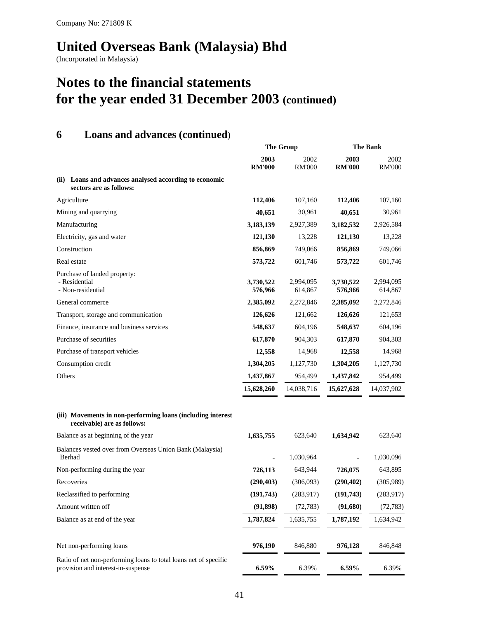(Incorporated in Malaysia)

# **Notes to the financial statements for the year ended 31 December 2003 (continued)**

# **6 Loans and advances (continued**)

|                                                                                                        | The Group             |                                    |                       | The Bank                                                                                                            |
|--------------------------------------------------------------------------------------------------------|-----------------------|------------------------------------|-----------------------|---------------------------------------------------------------------------------------------------------------------|
|                                                                                                        | 2003<br><b>RM'000</b> | 2002<br><b>RM'000</b>              | 2003<br><b>RM'000</b> | 2002<br><b>RM'000</b>                                                                                               |
| (ii) Loans and advances analysed according to economic<br>sectors are as follows:                      |                       |                                    |                       |                                                                                                                     |
| Agriculture                                                                                            | 112,406               | 107,160                            | 112,406               | 107,160                                                                                                             |
| Mining and quarrying                                                                                   | 40,651                | 30,961                             | 40,651                | 30,961                                                                                                              |
| Manufacturing                                                                                          | 3,183,139             | 2,927,389                          | 3,182,532             | 2,926,584                                                                                                           |
| Electricity, gas and water                                                                             | 121,130               | 13,228                             | 121,130               | 13,228                                                                                                              |
| Construction                                                                                           | 856,869               | 749,066                            | 856,869               | 749,066                                                                                                             |
| Real estate                                                                                            | 573,722               | 601,746                            | 573,722               | 601,746                                                                                                             |
| Purchase of landed property:<br>- Residential<br>- Non-residential                                     | 3,730,522<br>576,966  | 2,994,095<br>614,867               | 3,730,522<br>576,966  | 2,994,095<br>614,867                                                                                                |
| General commerce                                                                                       | 2,385,092             | 2,272,846                          | 2,385,092             | 2,272,846                                                                                                           |
| Transport, storage and communication                                                                   | 126,626               | 121,662                            | 126,626               | 121,653                                                                                                             |
| Finance, insurance and business services                                                               | 548,637               | 604,196                            | 548,637               | 604,196                                                                                                             |
| Purchase of securities                                                                                 | 617,870               | 904,303                            | 617,870               | 904,303                                                                                                             |
| Purchase of transport vehicles                                                                         | 12,558                | 14,968                             | 12,558                | 14,968                                                                                                              |
| Consumption credit                                                                                     | 1,304,205             | 1,127,730                          | 1,304,205             | 1,127,730                                                                                                           |
| Others                                                                                                 | 1,437,867             | 954,499                            |                       | 1,437,842 954,499                                                                                                   |
|                                                                                                        | 15,628,260            | 14,038,716  15,627,628  14,037,902 |                       |                                                                                                                     |
|                                                                                                        |                       |                                    |                       |                                                                                                                     |
| (iii) Movements in non-performing loans (including interest<br>receivable) are as follows:             |                       |                                    |                       |                                                                                                                     |
| Balance as at beginning of the year                                                                    | 1,635,755             | 623,640                            |                       | 1,634,942 623,640                                                                                                   |
| Balances vested over from Overseas Union Bank (Malaysia)<br>Berhad                                     |                       | $-1,030,964$                       |                       | $-1,030,096$                                                                                                        |
| Non-performing during the year                                                                         | 726,113               | 643,944                            | 726,075               | 643,895                                                                                                             |
| Recoveries                                                                                             | (290, 403)            | (306,093)                          | (290, 402)            | (305,989)                                                                                                           |
| Reclassified to performing                                                                             |                       |                                    |                       | $(191,743)$ $(283,917)$ $(191,743)$ $(283,917)$                                                                     |
| Amount written off                                                                                     |                       |                                    |                       |                                                                                                                     |
| Balance as at end of the year                                                                          |                       |                                    |                       | $\frac{(91,898)}{1,787,824}$ $\frac{(72,783)}{1,635,755}$ $\frac{(91,680)}{1,787,192}$ $\frac{(72,783)}{1,634,942}$ |
|                                                                                                        |                       |                                    |                       |                                                                                                                     |
| Net non-performing loans                                                                               |                       |                                    |                       | <b>976,190</b> 846,880 <b>976,128</b> 846,848                                                                       |
|                                                                                                        |                       |                                    |                       |                                                                                                                     |
| Ratio of net non-performing loans to total loans net of specific<br>provision and interest-in-suspense |                       |                                    |                       | <b>6.59%</b> 6.39% <b>6.59%</b> 6.39%                                                                               |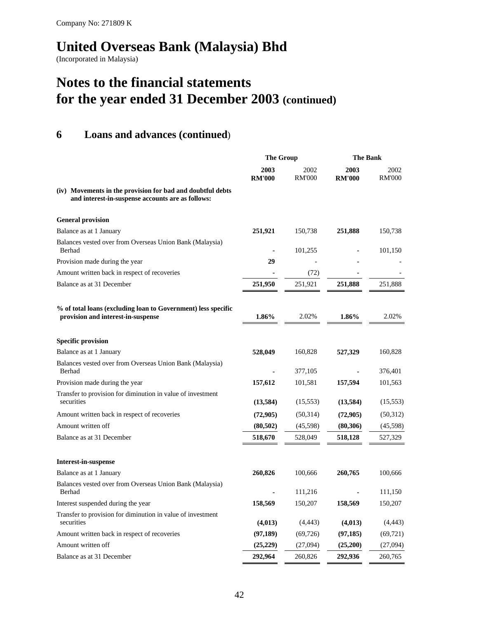(Incorporated in Malaysia)

# **Notes to the financial statements for the year ended 31 December 2003 (continued)**

## **6 Loans and advances (continued**)

|                                                                                                                 | <b>The Group</b>                                                                                      |                                                                                                                                 | The Bank                       |                                   |
|-----------------------------------------------------------------------------------------------------------------|-------------------------------------------------------------------------------------------------------|---------------------------------------------------------------------------------------------------------------------------------|--------------------------------|-----------------------------------|
|                                                                                                                 | 2003                                                                                                  | 2002                                                                                                                            |                                | 2003 2002<br>RM'000 RM'000        |
|                                                                                                                 | <b>RM'000</b>                                                                                         | <b>RM'000</b>                                                                                                                   |                                |                                   |
| (iv) Movements in the provision for bad and doubtful debts<br>and interest-in-suspense accounts are as follows: |                                                                                                       |                                                                                                                                 |                                |                                   |
| <b>General provision</b>                                                                                        |                                                                                                       |                                                                                                                                 |                                |                                   |
| Balance as at 1 January                                                                                         | 251,921                                                                                               | 150,738                                                                                                                         |                                | 251,888 150,738                   |
| Balances vested over from Overseas Union Bank (Malaysia)<br>Berhad                                              |                                                                                                       | $-101,255$                                                                                                                      |                                | $-101,150$                        |
| Provision made during the year                                                                                  | 29                                                                                                    |                                                                                                                                 | <b>Contract Contract</b>       | <b>Contract Contract</b>          |
| Amount written back in respect of recoveries                                                                    | <b>Contract Contract</b>                                                                              | (72)                                                                                                                            |                                | the company of the company of the |
| Balance as at 31 December                                                                                       | 251,950                                                                                               | 251,921 251,888 251,888                                                                                                         |                                |                                   |
|                                                                                                                 |                                                                                                       |                                                                                                                                 |                                |                                   |
| % of total loans (excluding loan to Government) less specific                                                   |                                                                                                       |                                                                                                                                 |                                |                                   |
| provision and interest-in-suspense                                                                              | $1.86\%$                                                                                              |                                                                                                                                 | 2.02% 1.86% 2.02%              |                                   |
| <b>Specific provision</b>                                                                                       |                                                                                                       |                                                                                                                                 |                                |                                   |
| Balance as at 1 January                                                                                         | 528,049                                                                                               | 160,828                                                                                                                         |                                | 527,329 160,828                   |
| Balances vested over from Overseas Union Bank (Malaysia)                                                        |                                                                                                       |                                                                                                                                 |                                |                                   |
| Berhad                                                                                                          |                                                                                                       | $-377,105$                                                                                                                      | <b>Contract Contract</b>       | 376,401                           |
| Provision made during the year                                                                                  | 157,612                                                                                               | 101,581                                                                                                                         |                                | 157,594 101,563                   |
| Transfer to provision for diminution in value of investment                                                     | (13,584)                                                                                              |                                                                                                                                 |                                | $(13,584)$ $(15,553)$             |
| securities                                                                                                      |                                                                                                       | (15,553)                                                                                                                        |                                |                                   |
| Amount written back in respect of recoveries                                                                    | (72,905)<br>(80,502)                                                                                  | (50,314)<br>(45.598)                                                                                                            | (72, 905)                      | (50,312)<br>(45,598)              |
| Amount written off<br>Balance as at 31 December                                                                 | 518,670                                                                                               | <u> — Andrew Andrew Andrew Andrew Andrew Andrew Andrew Andrew Andrew Andrew Andrew Andrew Andrew Andrew Andrew A</u><br>528,049 | (80, 306)                      | 518,128 527,329                   |
|                                                                                                                 |                                                                                                       |                                                                                                                                 |                                |                                   |
| Interest-in-suspense                                                                                            |                                                                                                       |                                                                                                                                 |                                |                                   |
| Balance as at 1 January                                                                                         | 260,826                                                                                               | 100,666                                                                                                                         | 260,765 100,666                |                                   |
| Balances vested over from Overseas Union Bank (Malaysia)                                                        |                                                                                                       |                                                                                                                                 |                                |                                   |
| Berhad                                                                                                          |                                                                                                       | $-111,216$                                                                                                                      |                                | $-111,150$                        |
| Interest suspended during the year                                                                              |                                                                                                       |                                                                                                                                 |                                | 158,569 150,207 158,569 150,207   |
| Transfer to provision for diminution in value of investment                                                     |                                                                                                       |                                                                                                                                 |                                |                                   |
| securities                                                                                                      | (4,013)                                                                                               | (4, 443)                                                                                                                        | (4,013)                        | (4, 443)                          |
| Amount written back in respect of recoveries<br>Amount written off                                              | (97, 189)                                                                                             |                                                                                                                                 | $(69,726)$ (97,185) $(69,721)$ |                                   |
| Balance as at 31 December                                                                                       | $\frac{(25,229)}{292,964} \frac{(27,094)}{260,826} \frac{(25,200)}{292,936} \frac{(27,094)}{260,765}$ |                                                                                                                                 |                                |                                   |
|                                                                                                                 |                                                                                                       |                                                                                                                                 |                                |                                   |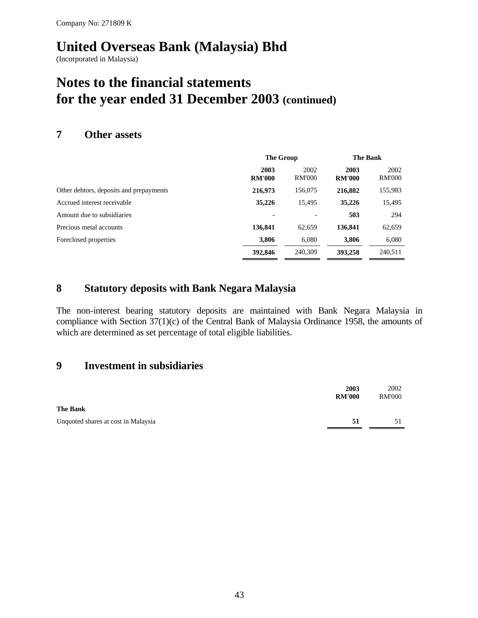(Incorporated in Malaysia)

# **Notes to the financial statements for the year ended 31 December 2003 (continued)**

## **7 Other assets**

|                                         | The Group             |                           |                       | The Bank              |
|-----------------------------------------|-----------------------|---------------------------|-----------------------|-----------------------|
|                                         | 2003<br><b>RM'000</b> | 2002<br>$\mathrm{RM}'000$ | 2003<br><b>RM'000</b> | 2002<br><b>RM'000</b> |
| Other debtors, deposits and prepayments | 216,973               | 156,075                   | 216,882               | 155,983               |
| Accrued interest receivable             | 35,226                | 15,495                    | 35,226                | 15,495                |
| Amount due to subsidiaries              |                       |                           | 503                   | 294                   |
| Precious metal accounts                 | 136,841               | 62,659                    | 136,841               | 62,659                |
| Foreclosed properties                   | 3,806                 | 6,080                     | 3,806                 | 6,080                 |
|                                         | 392,846               | 240,309                   | 393,258               | 240,511               |
|                                         |                       |                           |                       |                       |

## **8 Statutory deposits with Bank Negara Malaysia**

The non-interest bearing statutory deposits are maintained with Bank Negara Malaysia in compliance with Section 37(1)(c) of the Central Bank of Malaysia Ordinance 1958, the amounts of which are determined as set percentage of total eligible liabilities.

#### **9 Investment in subsidiaries**

|                                     | 2003<br><b>RM'000</b> | 2002<br><b>RM'000</b> |  |
|-------------------------------------|-----------------------|-----------------------|--|
| The Bank                            |                       |                       |  |
| Unquoted shares at cost in Malaysia | $ -$                  | $ -$                  |  |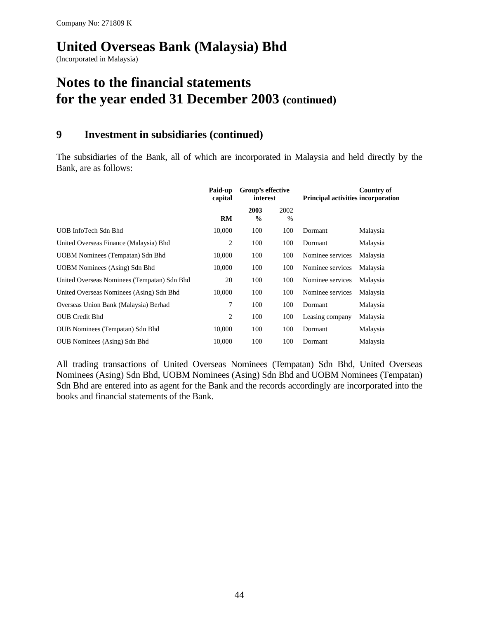(Incorporated in Malaysia)

# **Notes to the financial statements for the year ended 31 December 2003 (continued)**

## **9 Investment in subsidiaries (continued)**

The subsidiaries of the Bank, all of which are incorporated in Malaysia and held directly by the Bank, are as follows:

|                                             | Paid-up Group's effective<br>capital | interest | <b>Country of</b><br><b>Principal activities incorporation</b> |
|---------------------------------------------|--------------------------------------|----------|----------------------------------------------------------------|
|                                             |                                      | 2003     | 2002                                                           |
|                                             | $RM$ %                               |          |                                                                |
| UOB InfoTech Sdn Bhd                        | 10,000 100                           |          | 100 Dormant<br>Malaysia                                        |
| United Overseas Finance (Malaysia) Bhd      |                                      | 100      | 100 Dormant<br>Malaysia                                        |
| <b>UOBM Nominees (Tempatan) Sdn Bhd</b>     |                                      |          | 10,000 100 100 Nominee services Malaysia                       |
| <b>UOBM Nominees (Asing) Sdn Bhd</b>        |                                      |          | 10,000 100 100 Nominee services Malaysia                       |
| United Overseas Nominees (Tempatan) Sdn Bhd |                                      |          | 20 100 100 Nominee services Malaysia                           |
| United Overseas Nominees (Asing) Sdn Bhd    |                                      |          | 10,000 100 100 Nominee services Malaysia                       |
| Overseas Union Bank (Malaysia) Berhad       |                                      |          | Malaysia<br>100 100 Dormant                                    |
| OUB Credit Bhd                              |                                      |          | 2 100 100 Leasing company Malaysia                             |
| OUB Nominees (Tempatan) Sdn Bhd             | 10,000 100                           |          | Malaysia<br>100 Dormant                                        |
| OUB Nominees (Asing) Sdn Bhd                |                                      |          | 10,000 100 100 Dormant<br>Malaysia                             |

All trading transactions of United Overseas Nominees (Tempatan) Sdn Bhd, United Overseas Nominees (Asing) Sdn Bhd, UOBM Nominees (Asing) Sdn Bhd and UOBM Nominees (Tempatan) Sdn Bhd are entered into as agent for the Bank and the records accordingly are incorporated into the books and financial statements of the Bank.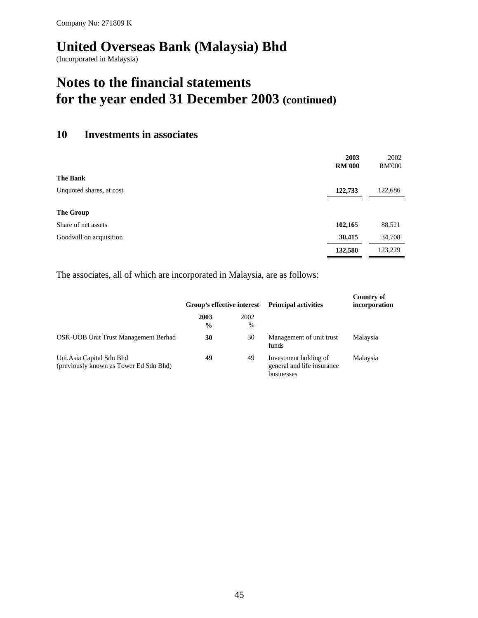(Incorporated in Malaysia)

# **Notes to the financial statements for the year ended 31 December 2003 (continued)**

## **10 Investments in associates**

|                          | 2003          | 2002          |
|--------------------------|---------------|---------------|
|                          | <b>RM'000</b> | <b>RM'000</b> |
| The Bank                 |               |               |
| Unquoted shares, at cost | 122,733       | 122,686       |
|                          |               | ____________  |
| The Group                |               |               |
| Share of net assets      | 102,165       | 88,521        |
|                          |               |               |
| Goodwill on acquisition  | 30,415        | 34,708        |

The associates, all of which are incorporated in Malaysia, are as follows:

|                                                                        |      | Group's effective interest Principal activities                                     | incorporation |
|------------------------------------------------------------------------|------|-------------------------------------------------------------------------------------|---------------|
|                                                                        | 2003 |                                                                                     |               |
| OSK-UOB Unit Trust Management Berhad                                   | 30   | 30 Management of unit trust Malaysia<br>tunds                                       |               |
| Uni.<br>Asia Capital Sdn Bhd<br>(previously known as Tower Ed Sdn Bhd) |      | Investment holding of Malaysia<br>-49 -<br>general and life insurance<br>businesses |               |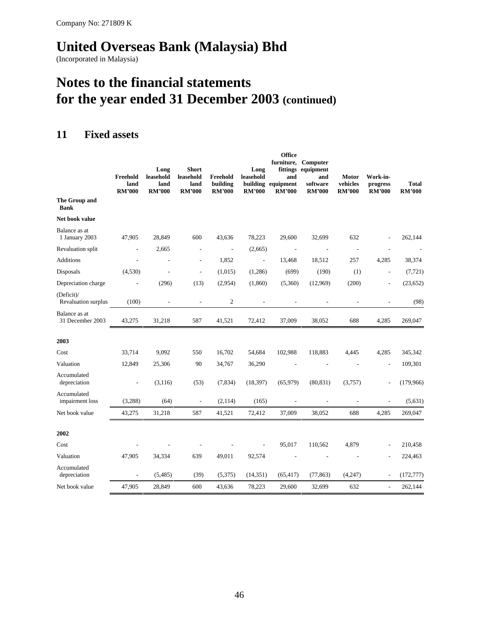(Incorporated in Malaysia)

# **Notes to the financial statements for the year ended 31 December 2003 (continued)**

## **11 Fixed assets**

|                                                                                  |                                                                                                                                                                                                                                                                                                                                                                                                                                                                            |      |                                                   |                   | Office              |                           |                |                                                                                   |
|----------------------------------------------------------------------------------|----------------------------------------------------------------------------------------------------------------------------------------------------------------------------------------------------------------------------------------------------------------------------------------------------------------------------------------------------------------------------------------------------------------------------------------------------------------------------|------|---------------------------------------------------|-------------------|---------------------|---------------------------|----------------|-----------------------------------------------------------------------------------|
|                                                                                  |                                                                                                                                                                                                                                                                                                                                                                                                                                                                            |      |                                                   |                   | furniture, Computer |                           |                |                                                                                   |
|                                                                                  | Freehold leasehold                                                                                                                                                                                                                                                                                                                                                                                                                                                         | Long | Short<br>leasehold<br>Freehold                    | Long<br>leasehold | and                 | fittings equipment<br>and | Motor Work-in- |                                                                                   |
|                                                                                  |                                                                                                                                                                                                                                                                                                                                                                                                                                                                            |      |                                                   |                   |                     |                           |                | Total<br>progress                                                                 |
|                                                                                  |                                                                                                                                                                                                                                                                                                                                                                                                                                                                            |      |                                                   |                   |                     |                           |                | RM'000 RM'000 RM'000 RM'000 RM'000 RM'000 RM'000 RM'000 RM'000 RM'000 RM'000      |
| The Group and<br><b>Bank</b>                                                     |                                                                                                                                                                                                                                                                                                                                                                                                                                                                            |      |                                                   |                   |                     |                           |                |                                                                                   |
| Net book value                                                                   |                                                                                                                                                                                                                                                                                                                                                                                                                                                                            |      |                                                   |                   |                     |                           |                |                                                                                   |
| Balance as at                                                                    |                                                                                                                                                                                                                                                                                                                                                                                                                                                                            |      |                                                   |                   |                     |                           |                |                                                                                   |
| 1 January 2003                                                                   | 47,905 28,849                                                                                                                                                                                                                                                                                                                                                                                                                                                              |      | 600 43,636 78,223 29,600 32,699                   |                   |                     |                           | 632            | $-262,144$                                                                        |
| Revaluation split                                                                | $-2,665$                                                                                                                                                                                                                                                                                                                                                                                                                                                                   |      | and the company                                   | (2,665)           |                     |                           |                | the second control of the second control of the second second                     |
| Additions                                                                        |                                                                                                                                                                                                                                                                                                                                                                                                                                                                            |      | $    1,852$                                       |                   | $-13,468$ $18,512$  |                           |                | 257 4,285 38,374                                                                  |
| Disposals                                                                        | (4,530)                                                                                                                                                                                                                                                                                                                                                                                                                                                                    |      | $ (1,015)$ $(1,286)$ $(699)$ $(190)$              |                   |                     |                           |                | $(1)$ - $(7,721)$                                                                 |
| Depreciation charge                                                              |                                                                                                                                                                                                                                                                                                                                                                                                                                                                            |      |                                                   |                   |                     |                           |                | (296) (13) (2,954) (1,860) (5,360) (12,969) (200) - (23,652)                      |
| (Deficit)/                                                                       |                                                                                                                                                                                                                                                                                                                                                                                                                                                                            |      |                                                   |                   |                     |                           |                |                                                                                   |
| Revaluation surplus                                                              |                                                                                                                                                                                                                                                                                                                                                                                                                                                                            |      |                                                   |                   |                     |                           |                | $(100)$ - - 2 - - - - - - - (98)                                                  |
| Balance as at                                                                    |                                                                                                                                                                                                                                                                                                                                                                                                                                                                            |      |                                                   |                   |                     |                           |                |                                                                                   |
| 31 December 2003 43,275 31,218 587 41,521 72,412 37,009 38,052 688 4,285 269,047 | $\frac{1}{2} \left( \frac{1}{2} \right) \left( \frac{1}{2} \right) \left( \frac{1}{2} \right) \left( \frac{1}{2} \right) \left( \frac{1}{2} \right) \left( \frac{1}{2} \right) \left( \frac{1}{2} \right) \left( \frac{1}{2} \right) \left( \frac{1}{2} \right) \left( \frac{1}{2} \right) \left( \frac{1}{2} \right) \left( \frac{1}{2} \right) \left( \frac{1}{2} \right) \left( \frac{1}{2} \right) \left( \frac{1}{2} \right) \left( \frac{1}{2} \right) \left( \frac$ |      |                                                   |                   |                     |                           |                | <u> 1989 - Andrea Santa Alexandria (h. 1989).</u>                                 |
|                                                                                  |                                                                                                                                                                                                                                                                                                                                                                                                                                                                            |      |                                                   |                   |                     |                           |                |                                                                                   |
| 2003                                                                             |                                                                                                                                                                                                                                                                                                                                                                                                                                                                            |      |                                                   |                   |                     |                           |                |                                                                                   |
| Cost                                                                             | 33,714 9,092                                                                                                                                                                                                                                                                                                                                                                                                                                                               |      | 550 16,702 54,684 102,988 118,883                 |                   |                     |                           |                | 4,445 4,285 345,342                                                               |
| Valuation                                                                        | 12,849 25,306                                                                                                                                                                                                                                                                                                                                                                                                                                                              |      | 90 34,767 36,290                                  |                   |                     |                           |                | $    109,301$                                                                     |
| Accumulated                                                                      |                                                                                                                                                                                                                                                                                                                                                                                                                                                                            |      |                                                   |                   |                     |                           |                |                                                                                   |
| depreciation                                                                     |                                                                                                                                                                                                                                                                                                                                                                                                                                                                            |      |                                                   |                   |                     |                           |                | (3,116) $(53)$ $(7,834)$ $(18,397)$ $(65,979)$ $(80,831)$ $(3,757)$ - $(179,966)$ |
| Accumulated<br>impairment loss                                                   |                                                                                                                                                                                                                                                                                                                                                                                                                                                                            |      | $(3,288)$ $(64)$ - $(2,114)$ $(165)$              |                   |                     |                           |                | $-$ (5,631)                                                                       |
|                                                                                  |                                                                                                                                                                                                                                                                                                                                                                                                                                                                            |      |                                                   |                   |                     |                           |                |                                                                                   |
| Net book value                                                                   |                                                                                                                                                                                                                                                                                                                                                                                                                                                                            |      |                                                   |                   |                     |                           |                | 43,275 31,218 587 41,521 72,412 37,009 38,052 688 4,285 269,047                   |
| 2002                                                                             |                                                                                                                                                                                                                                                                                                                                                                                                                                                                            |      |                                                   |                   |                     |                           |                |                                                                                   |
|                                                                                  |                                                                                                                                                                                                                                                                                                                                                                                                                                                                            |      |                                                   |                   |                     |                           |                |                                                                                   |
| Cost                                                                             |                                                                                                                                                                                                                                                                                                                                                                                                                                                                            |      |                                                   |                   |                     |                           |                | 4,879 - 210,458                                                                   |
| Valuation                                                                        | 47,905 34,334                                                                                                                                                                                                                                                                                                                                                                                                                                                              |      | 639 49,011 92,574                                 |                   |                     |                           |                | $-224,463$                                                                        |
| Accumulated<br>depreciation                                                      |                                                                                                                                                                                                                                                                                                                                                                                                                                                                            |      |                                                   |                   |                     |                           |                | (5,485) (39) (5,375) (14,351) (65,417) (77,863) (4,247) - (172,777)               |
|                                                                                  |                                                                                                                                                                                                                                                                                                                                                                                                                                                                            |      | 47,905 28,849 600 43,636 78,223 29,600 32,699 632 |                   |                     |                           |                | $-262,144$                                                                        |
| Net book value                                                                   |                                                                                                                                                                                                                                                                                                                                                                                                                                                                            |      |                                                   |                   |                     |                           |                |                                                                                   |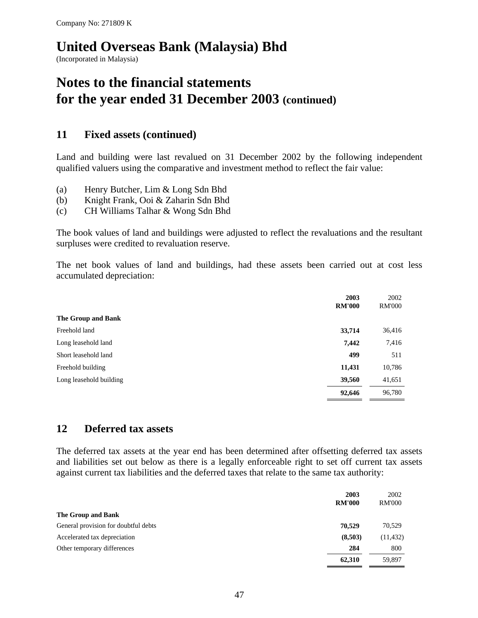(Incorporated in Malaysia)

# **Notes to the financial statements for the year ended 31 December 2003 (continued)**

#### **11 Fixed assets (continued)**

Land and building were last revalued on 31 December 2002 by the following independent qualified valuers using the comparative and investment method to reflect the fair value:

- (a) Henry Butcher, Lim & Long Sdn Bhd
- (b) Knight Frank, Ooi & Zaharin Sdn Bhd
- (c) CH Williams Talhar & Wong Sdn Bhd

The book values of land and buildings were adjusted to reflect the revaluations and the resultant surpluses were credited to revaluation reserve.

The net book values of land and buildings, had these assets been carried out at cost less accumulated depreciation:

|                         | 2003                                       | 2002                                                   |
|-------------------------|--------------------------------------------|--------------------------------------------------------|
|                         | <b>RM'000</b>                              | <b>RM'000</b>                                          |
| The Group and Bank      |                                            |                                                        |
| Freehold land           | 33,714                                     | 36,416                                                 |
| Long leasehold land     | 7,442                                      | 7,416                                                  |
| Short leasehold land    | 499                                        | 511                                                    |
| Freehold building       | 11,431                                     | 10,786                                                 |
| Long leasehold building | 39,560                                     | 41,651                                                 |
|                         | 92,646                                     | the control of the control of the control of<br>96,780 |
|                         | and the state of the state of the state of |                                                        |

#### **12 Deferred tax assets**

The deferred tax assets at the year end has been determined after offsetting deferred tax assets and liabilities set out below as there is a legally enforceable right to set off current tax assets against current tax liabilities and the deferred taxes that relate to the same tax authority:

|                                      | 2003          | 2002          |
|--------------------------------------|---------------|---------------|
|                                      | <b>RM'000</b> | <b>RM'000</b> |
| The Group and Bank                   |               |               |
| General provision for doubtful debts | 70,529        | 70,529        |
| Accelerated tax depreciation         | (8,503)       | (11, 432)     |
| Other temporary differences          | 284           | 800           |
|                                      | 62,310        | 59,897        |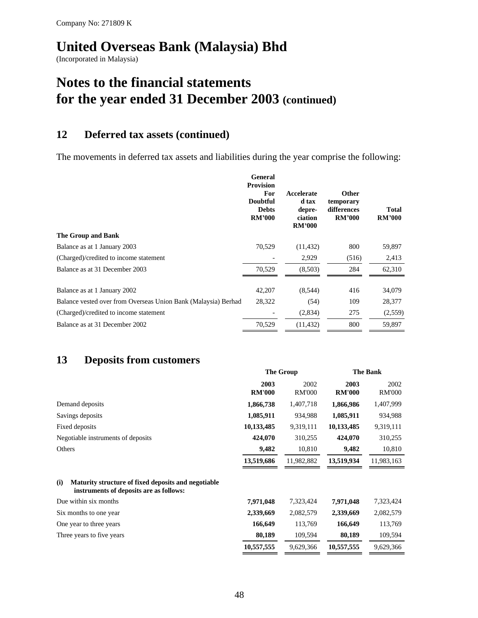(Incorporated in Malaysia)

# **Notes to the financial statements for the year ended 31 December 2003 (continued)**

## **12 Deferred tax assets (continued)**

The movements in deferred tax assets and liabilities during the year comprise the following:

|                                                                | General                  |                                                                                                                                                                                                                                                                                                                                                                                                                                                                                                    |               |               |
|----------------------------------------------------------------|--------------------------|----------------------------------------------------------------------------------------------------------------------------------------------------------------------------------------------------------------------------------------------------------------------------------------------------------------------------------------------------------------------------------------------------------------------------------------------------------------------------------------------------|---------------|---------------|
|                                                                | <b>Provision<br/>For</b> |                                                                                                                                                                                                                                                                                                                                                                                                                                                                                                    |               |               |
|                                                                |                          | Accelerate                                                                                                                                                                                                                                                                                                                                                                                                                                                                                         | Other         |               |
|                                                                | Doubtful                 | d tax                                                                                                                                                                                                                                                                                                                                                                                                                                                                                              | temporary     |               |
|                                                                | <b>Debts</b>             | depre-                                                                                                                                                                                                                                                                                                                                                                                                                                                                                             | differences   | <b>Total</b>  |
|                                                                | <b>RM'000</b>            | ciation<br><b>RM'000</b>                                                                                                                                                                                                                                                                                                                                                                                                                                                                           | <b>RM'000</b> | <b>RM'000</b> |
|                                                                |                          |                                                                                                                                                                                                                                                                                                                                                                                                                                                                                                    |               |               |
| The Group and Bank                                             |                          |                                                                                                                                                                                                                                                                                                                                                                                                                                                                                                    |               |               |
| Balance as at 1 January 2003                                   | 70,529                   | (11.432)                                                                                                                                                                                                                                                                                                                                                                                                                                                                                           | 800           | 59,897        |
| (Charged)/credited to income statement                         |                          | 2,929                                                                                                                                                                                                                                                                                                                                                                                                                                                                                              | (516)         | 2,413         |
| Balance as at 31 December 2003                                 | 70,529                   | (8.503)                                                                                                                                                                                                                                                                                                                                                                                                                                                                                            | 284           | 62,310        |
|                                                                |                          |                                                                                                                                                                                                                                                                                                                                                                                                                                                                                                    |               |               |
| Balance as at 1 January 2002                                   | 42,207                   | (8, 544)                                                                                                                                                                                                                                                                                                                                                                                                                                                                                           | 416           | 34,079        |
|                                                                |                          |                                                                                                                                                                                                                                                                                                                                                                                                                                                                                                    |               |               |
| Balance vested over from Overseas Union Bank (Malaysia) Berhad | 28,322                   | (54)                                                                                                                                                                                                                                                                                                                                                                                                                                                                                               | 109           | 28,377        |
| (Charged)/credited to income statement                         |                          | (2.834)                                                                                                                                                                                                                                                                                                                                                                                                                                                                                            | 275           | (2,559)       |
| Balance as at 31 December 2002                                 | 70,529                   | $\begin{tabular}{lllllllllllll} \toprule \multicolumn{1}{l}{} & \multicolumn{1}{l}{} & \multicolumn{1}{l}{} & \multicolumn{1}{l}{} & \multicolumn{1}{l}{} & \multicolumn{1}{l}{} & \multicolumn{1}{l}{} & \multicolumn{1}{l}{} & \multicolumn{1}{l}{} & \multicolumn{1}{l}{} & \multicolumn{1}{l}{} & \multicolumn{1}{l}{} & \multicolumn{1}{l}{} & \multicolumn{1}{l}{} & \multicolumn{1}{l}{} & \multicolumn{1}{l}{} & \multicolumn{1}{l}{} & \multicolumn{1}{l}{} & \multicolumn{$<br>(11, 432) | 800           | 59,897        |

# **13 Deposits from customers**

|                                                                                                    |                       | The Group             |                       | <b>The Bank</b>       |
|----------------------------------------------------------------------------------------------------|-----------------------|-----------------------|-----------------------|-----------------------|
|                                                                                                    | 2003<br><b>RM'000</b> | 2002<br><b>RM'000</b> | 2003<br><b>RM'000</b> | 2002<br><b>RM'000</b> |
|                                                                                                    |                       |                       |                       |                       |
| Demand deposits                                                                                    | 1,866,738             | 1,407,718             | 1,866,986             | 1,407,999             |
| Savings deposits                                                                                   | 1,085,911             | 934,988               | 1,085,911             | 934,988               |
| Fixed deposits                                                                                     | 10,133,485            | 9,319,11              | 10,133,485            | 9,319,111             |
| Negotiable instruments of deposits                                                                 | 424,07                | 310,255               | 424,070               | 310,255               |
| Others                                                                                             | 9,482                 | 10,810                | 9,482                 | 10,810                |
|                                                                                                    | 13,519,686            | 11,982,882            | 13,519,934            | 11,983,163            |
|                                                                                                    |                       |                       |                       |                       |
| (i) Maturity structure of fixed deposits and negotiable<br>instruments of deposits are as follows: |                       |                       |                       |                       |
| Due within six months                                                                              | 7,971,048             | 7,323,424             | 7,971,048             | 7,323,424             |
| Six months to one year                                                                             | 2,339,669             | 2,082,579             | 2,339,669             | 2,082,579             |
| One year to three years                                                                            | 166,649               | 113,769               | 166,649               | 113,769               |
| Three years to five years                                                                          | 80,189                | 109,594               | 80,189                | 109,594               |
|                                                                                                    | 10,557,555            | 9,629,366             | 10,557,555            | 9,629,366             |
|                                                                                                    |                       |                       | ________              |                       |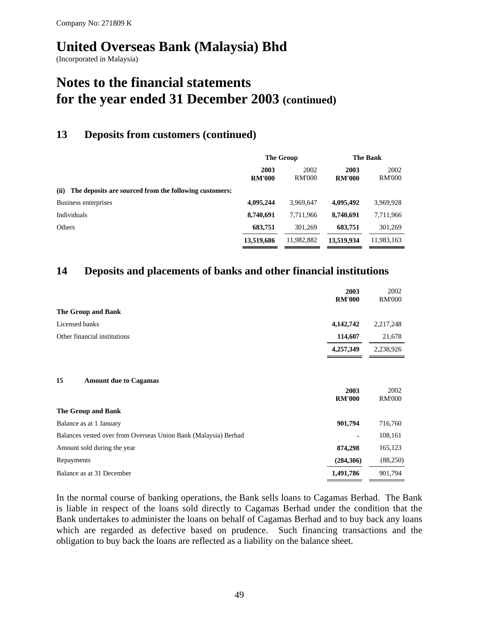(Incorporated in Malaysia)

# **Notes to the financial statements for the year ended 31 December 2003 (continued)**

## **13 Deposits from customers (continued)**

|                                                             | The Group             |                       |                       | The Bank              |
|-------------------------------------------------------------|-----------------------|-----------------------|-----------------------|-----------------------|
|                                                             | 2003<br><b>RM'000</b> | 2002<br><b>RM'000</b> | 2003<br><b>RM'000</b> | 2002<br><b>RM'000</b> |
| (ii) The deposits are sourced from the following customers: |                       |                       |                       |                       |
| Business enterprises                                        | 4,095,244             | 3,969,647             | 4,095,492             | 3,969,928             |
| Individuals                                                 | 8,740,691             | 7,711,966             | 8,740,691             | 7,711,966             |
| Others                                                      | 683,751               | 301,269               | 683,751               | 301,269               |
|                                                             | 13,519,686            | 11,982,882            | 13,519,934 11,983,163 |                       |

## **14 Deposits and placements of banks and other financial institutions**

|                                                                 | 2003          | 2002                  |
|-----------------------------------------------------------------|---------------|-----------------------|
|                                                                 | <b>RM'000</b> | <b>RM'000</b>         |
| The Group and Bank                                              |               |                       |
| Licensed banks                                                  | 4,142,742     | 2,217,248             |
| Other financial institutions                                    | 114,607       | 21,678                |
|                                                                 | 4,257,349     | ________<br>2,238,926 |
|                                                                 |               |                       |
| 15<br><b>Amount due to Cagamas</b>                              |               |                       |
|                                                                 | 2003          | 2002                  |
|                                                                 | <b>RM'000</b> | <b>RM'000</b>         |
| The Group and Bank                                              |               |                       |
| Balance as at 1 January                                         | 901,794       | 716,760               |
| Balances vested over from Overseas Union Bank (Malaysia) Berhad | $\sim$        | 108,161               |
| Amount sold during the year                                     | 874,298       | 165,123               |
| Repayments                                                      | (284, 306)    | (88,250)              |
| Balance as at 31 December                                       | 1,491,786     | 901,794               |
|                                                                 |               |                       |

In the normal course of banking operations, the Bank sells loans to Cagamas Berhad. The Bank is liable in respect of the loans sold directly to Cagamas Berhad under the condition that the Bank undertakes to administer the loans on behalf of Cagamas Berhad and to buy back any loans which are regarded as defective based on prudence. Such financing transactions and the obligation to buy back the loans are reflected as a liability on the balance sheet.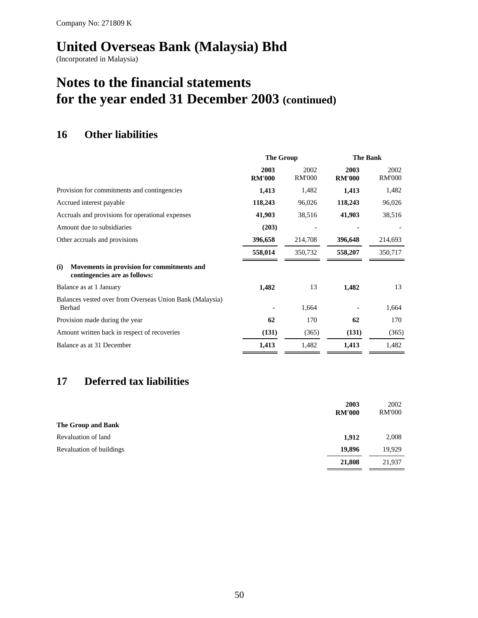(Incorporated in Malaysia)

# **Notes to the financial statements for the year ended 31 December 2003 (continued)**

## **16 Other liabilities**

|                                                                                    | The Group             |                       |                       | The Bank              |  |
|------------------------------------------------------------------------------------|-----------------------|-----------------------|-----------------------|-----------------------|--|
|                                                                                    | 2003<br><b>RM'000</b> | 2002<br><b>RM'000</b> | 2003<br><b>RM'000</b> | 2002<br><b>RM'000</b> |  |
| Provision for commitments and contingencies                                        | 1,413                 | 1,482                 | 1,413                 | 1,482                 |  |
| Accrued interest payable                                                           | 118,243               | 96,026                | 118,243               | 96,026                |  |
| Accruals and provisions for operational expenses                                   | 41,903                | 38,516                | 41,903                | 38,516                |  |
| Amount due to subsidiaries                                                         | (203)                 |                       |                       | $\sim$                |  |
| Other accruals and provisions                                                      | 396,658               | 214,708               | 396,648               | 214,693               |  |
|                                                                                    | 558,014               | 350,732               | 558,207               | 350,717               |  |
| Movements in provision for commitments and<br>(i)<br>contingencies are as follows: |                       |                       |                       |                       |  |
| Balance as at 1 January                                                            | 1,482                 | 13                    | 1,482                 | 13                    |  |
| Balances vested over from Overseas Union Bank (Malaysia)<br>Berhad                 |                       | 1,664                 |                       | 1,664                 |  |
| Provision made during the year                                                     | 62                    | 170                   | 62                    | 170                   |  |
| Amount written back in respect of recoveries                                       | (131)                 | (365)                 | (131)                 | (365)                 |  |
| Balance as at 31 December                                                          | 1,413                 | 1,482                 | 1,413                 | 1,482                 |  |

## **17 Deferred tax liabilities**

|                          | 2003<br><b>RM'000</b> | 2002<br><b>RM'000</b> |
|--------------------------|-----------------------|-----------------------|
| The Group and Bank       |                       |                       |
| Revaluation of land      | 1,912                 | 2,008                 |
| Revaluation of buildings | 19,896                | 19,929                |
|                          | 21,808                | 21,937                |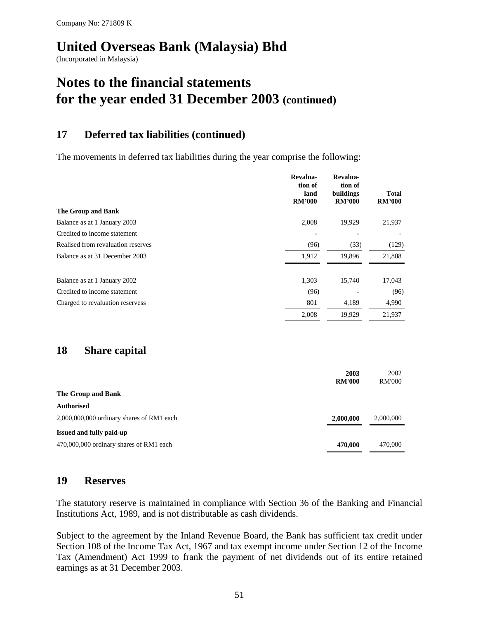(Incorporated in Malaysia)

# **Notes to the financial statements for the year ended 31 December 2003 (continued)**

## **17 Deferred tax liabilities (continued)**

The movements in deferred tax liabilities during the year comprise the following:

|                                                                    | Revalua- Revalua- |                          |                             |
|--------------------------------------------------------------------|-------------------|--------------------------|-----------------------------|
|                                                                    | tion of           | tion of                  |                             |
|                                                                    | land              | buildings                | <b>Total</b>                |
|                                                                    | <b>RM'000</b>     | RM'000 RM'000            |                             |
| The Group and Bank                                                 |                   |                          |                             |
| Balance as at 1 January 2003                                       | 2,008             | 19,929 21,937            |                             |
|                                                                    |                   |                          | and the control of the con- |
| Credited to income statement<br>Realised from revaluation reserves | (96)              | $(33)$ $(129)$           |                             |
| Balance as at 31 December 2003                                     | 1,912             | 19,896                   | 21,808                      |
|                                                                    |                   |                          |                             |
| Balance as at 1 January 2002                                       | 1,303             |                          | 15,740 17,043               |
|                                                                    |                   |                          |                             |
| Credited to income statement                                       | (96)              | <b>Contract Contract</b> | (96)                        |
| Charged to revaluation reservess                                   | 801               | 4,189                    | 4,990                       |
|                                                                    | 2,008             | 19,929                   | 21,937                      |
|                                                                    |                   |                          |                             |

## **18 Share capital**

|                                           | 2003          | 2002          |
|-------------------------------------------|---------------|---------------|
|                                           | <b>RM'000</b> | <b>RM'000</b> |
| The Group and Bank                        |               |               |
| <b>Authorised</b>                         |               |               |
| 2,000,000,000 ordinary shares of RM1 each | 2,000,000     | 2,000,000     |
| Issued and fully paid-up                  |               |               |
| 470,000,000 ordinary shares of RM1 each   | 470,000       | 470,000       |

#### **19 Reserves**

The statutory reserve is maintained in compliance with Section 36 of the Banking and Financial Institutions Act, 1989, and is not distributable as cash dividends.

Subject to the agreement by the Inland Revenue Board, the Bank has sufficient tax credit under Section 108 of the Income Tax Act, 1967 and tax exempt income under Section 12 of the Income Tax (Amendment) Act 1999 to frank the payment of net dividends out of its entire retained earnings as at 31 December 2003.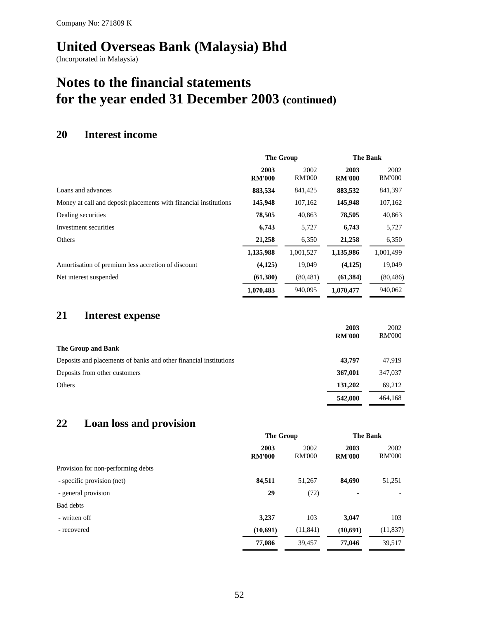(Incorporated in Malaysia)

# **Notes to the financial statements for the year ended 31 December 2003 (continued)**

#### **20 Interest income**

|                                                                  | The Group             |                       |                       | The Bank              |
|------------------------------------------------------------------|-----------------------|-----------------------|-----------------------|-----------------------|
|                                                                  | 2003<br><b>RM'000</b> | 2002<br><b>RM'000</b> | 2003<br><b>RM'000</b> | 2002<br><b>RM'000</b> |
| Loans and advances                                               | 883,534               | 841,425               | 883,532               | 841,397               |
| Money at call and deposit placements with financial institutions | 145,948               | 107,162               | 145,948               | 107,162               |
| Dealing securities                                               | 78,505                | 40,863                | 78,505                | 40,863                |
| Investment securities                                            | 6,743                 | 5,727                 | 6,743                 | 5,727                 |
| Others                                                           | 21,258                | 6,350                 | 21,258                | 6,350                 |
|                                                                  | 1,135,988             | 1,001,527             | 1,135,986             | 1,001,499             |
| Amortisation of premium less accretion of discount               | (4,125)               | 19,049                | (4,125)               | 19,049                |
| Net interest suspended                                           | (61, 380)             | (80, 481)             | (61, 384)             | (80, 486)             |
|                                                                  | 1,070,483             | 940,095               | 1,070,477             | 940,062               |

#### **21 Interest expense**

|                                                                   | 2003          | 2002                                                                                       |
|-------------------------------------------------------------------|---------------|--------------------------------------------------------------------------------------------|
|                                                                   | <b>RM'000</b> | <b>RM'000</b>                                                                              |
| The Group and Bank                                                |               |                                                                                            |
| Deposits and placements of banks and other financial institutions | 43,797        | 47,919                                                                                     |
| Deposits from other customers                                     | 367,001       | 347,037                                                                                    |
| Others                                                            | 131,202       | 69,212                                                                                     |
|                                                                   | 542,000       | the contract of the contract of the contract of the contract of the contract of<br>464,168 |

## **22 Loan loss and provision**

|                                    | The Group             |                       |                           | <b>The Bank</b>       |
|------------------------------------|-----------------------|-----------------------|---------------------------|-----------------------|
|                                    | 2003<br><b>RM'000</b> | 2002<br><b>RM'000</b> | 2003<br><b>RM'000</b>     | 2002<br><b>RM'000</b> |
| Provision for non-performing debts |                       |                       |                           |                       |
| - specific provision (net)         | 84,511                | 51,267                | 84,690                    | 51,251                |
| - general provision                | 29                    | (72)                  | <b><i><u>ALCO</u></i></b> | $\sim$ $-$            |
| Bad debts                          |                       |                       |                           |                       |
| - written off                      | 3,237                 | 103                   | 3,047                     | 103                   |
| - recovered                        | (10,691)              | (11, 841)             | (10,691)                  | (11, 837)             |
|                                    | 77,086                | 39,457                | 77,046                    | 39,517                |
|                                    |                       |                       |                           |                       |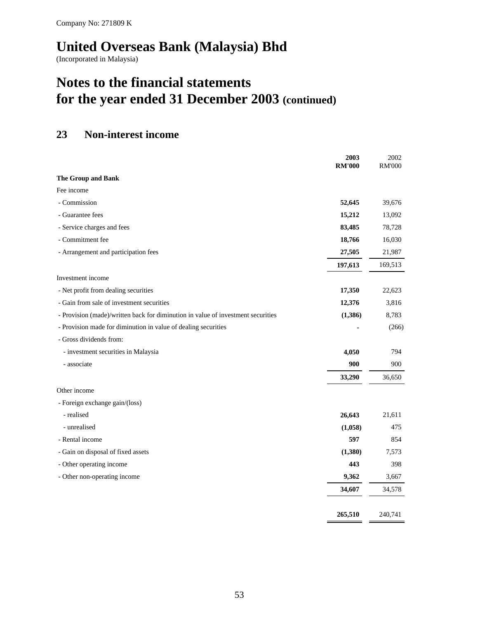(Incorporated in Malaysia)

# **Notes to the financial statements for the year ended 31 December 2003 (continued)**

## **23 Non-interest income**

|                                                                                  | 2003<br><b>RM'000</b> | 2002<br><b>RM'000</b> |
|----------------------------------------------------------------------------------|-----------------------|-----------------------|
| The Group and Bank                                                               |                       |                       |
| Fee income                                                                       |                       |                       |
| - Commission                                                                     | 52,645                | 39,676                |
| - Guarantee fees                                                                 | 15,212                | 13,092                |
| - Service charges and fees                                                       | 83,485                | 78,728                |
| - Commitment fee                                                                 | 18,766                | 16,030                |
| - Arrangement and participation fees                                             | 27,505                | 21,987                |
|                                                                                  | 197,613               | 169,513               |
| Investment income                                                                |                       |                       |
| - Net profit from dealing securities                                             | 17,350                | 22,623                |
| - Gain from sale of investment securities                                        | 12,376                | 3,816                 |
| - Provision (made)/written back for diminution in value of investment securities | (1,386)               | 8,783                 |
| - Provision made for diminution in value of dealing securities                   | $\sim$                | (266)                 |
| - Gross dividends from:                                                          |                       |                       |
| - investment securities in Malaysia                                              | 4,050                 | 794                   |
| - associate                                                                      | 900                   | 900                   |
|                                                                                  | 33,290                | 36,650                |
| Other income                                                                     |                       |                       |
| - Foreign exchange gain/(loss)                                                   |                       |                       |
| - realised                                                                       | 26,643                | 21,611                |
| - unrealised                                                                     | (1,058)               | 475                   |
| - Rental income                                                                  | 597                   | 854                   |
| - Gain on disposal of fixed assets                                               | (1,380)               | 7,573                 |
| - Other operating income                                                         | 443                   | 398                   |
| - Other non-operating income                                                     | 9,362                 | 3,667                 |
|                                                                                  | 34,607                | 34,578                |
|                                                                                  |                       |                       |
|                                                                                  | 265,510               | 240,741               |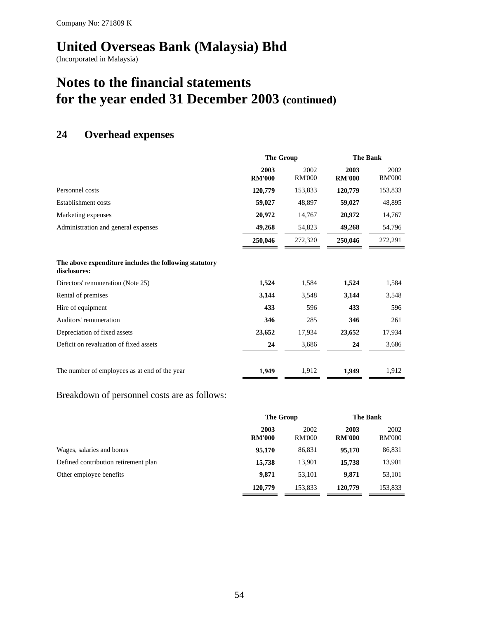(Incorporated in Malaysia)

# **Notes to the financial statements for the year ended 31 December 2003 (continued)**

## **24 Overhead expenses**

|                                                                        | <b>The Group</b>      |                       | The Bank              |                                                   |
|------------------------------------------------------------------------|-----------------------|-----------------------|-----------------------|---------------------------------------------------|
|                                                                        | 2003<br><b>RM'000</b> | 2002<br><b>RM'000</b> | 2003<br><b>RM'000</b> | 2002<br><b>RM'000</b>                             |
| Personnel costs                                                        | 120,779               | 153,833               | 120,779               | 153,833                                           |
| Establishment costs                                                    | 59,027                | 48,897                | 59,027                | 48,895                                            |
| Marketing expenses                                                     | 20,972                | 14,767                | 20,972                | 14,767                                            |
| Administration and general expenses                                    | 49,268                | 54,823                | 49,268                | 54,796                                            |
|                                                                        | 250,046               | 272,320               | 250,046               | 272,291                                           |
|                                                                        |                       |                       |                       |                                                   |
| The above expenditure includes the following statutory<br>disclosures: |                       |                       |                       |                                                   |
| Directors' remuneration (Note 25)                                      | 1,524                 | 1,584                 | 1,524                 | 1,584                                             |
| Rental of premises                                                     | 3,144                 | 3,548                 | 3,144                 | 3,548                                             |
| Hire of equipment                                                      | 433                   | 596                   | 433                   | 596                                               |
| Auditors' remuneration                                                 | 346                   | 285                   | 346                   | 261                                               |
| Depreciation of fixed assets                                           | 23,652                | 17,934                | 23,652                | 17,934                                            |
| Deficit on revaluation of fixed assets                                 | 24                    | 3,686                 | 24                    | 3,686                                             |
|                                                                        |                       |                       | ___________           | <u> The Communication of the Communication of</u> |
| The number of employees as at end of the year                          | 1,949                 | 1,912                 | 1,949                 | 1,912                                             |

#### Breakdown of personnel costs are as follows:

|                                      |                       | The Group             |                       | The Bank              |
|--------------------------------------|-----------------------|-----------------------|-----------------------|-----------------------|
|                                      | 2003<br><b>RM'000</b> | 2002<br><b>RM'000</b> | 2003<br><b>RM'000</b> | 2002<br><b>RM'000</b> |
| Wages, salaries and bonus            | 95,170                | 86,831                | 95,170                | 86,831                |
| Defined contribution retirement plan | 15,738                | 13,901                | 15,738                | 13,901                |
| Other employee benefits              | 9,871                 | 53,101                | 9,871                 | 53,101                |
|                                      | 120,779               | 153,833               | 120,779               | 153,833               |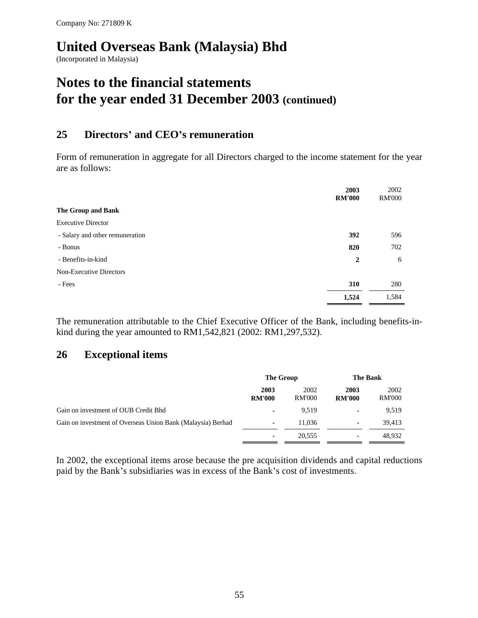(Incorporated in Malaysia)

# **Notes to the financial statements for the year ended 31 December 2003 (continued)**

## **25 Directors and CEO s remuneration**

Form of remuneration in aggregate for all Directors charged to the income statement for the year are as follows:

| The Group and Bank<br><b>Executive Director</b> | 2003<br><b>RM'000</b>                                                                                                                       | 2002<br><b>RM'000</b> |
|-------------------------------------------------|---------------------------------------------------------------------------------------------------------------------------------------------|-----------------------|
|                                                 |                                                                                                                                             |                       |
|                                                 |                                                                                                                                             |                       |
|                                                 |                                                                                                                                             |                       |
| - Salary and other remuneration                 | 392                                                                                                                                         | 596                   |
| - Bonus                                         | 820                                                                                                                                         | 702                   |
| - Benefits-in-kind                              |                                                                                                                                             |                       |
| Non-Executive Directors                         |                                                                                                                                             |                       |
| - Fees                                          | 310                                                                                                                                         | 280                   |
|                                                 | <u> London a la componenta del componente del componente del componente del componente del componente del componente del compo</u><br>1,524 | 1,584                 |

The remuneration attributable to the Chief Executive Officer of the Bank, including benefits-in kind during the year amounted to RM1,542,821 (2002: RM1,297,532).

#### **26 Exceptional items**

|                                                             | The Group             |               |                       | The Bank              |
|-------------------------------------------------------------|-----------------------|---------------|-----------------------|-----------------------|
|                                                             | 2003<br><b>RM'000</b> | <b>RM'000</b> | 2003<br><b>RM'000</b> | 2002<br><b>RM'000</b> |
| Gain on investment of OUB Credit Bhd                        |                       | 9,519         |                       | 9,519                 |
| Gain on investment of Overseas Union Bank (Malaysia) Berhad |                       | 11,036        |                       | 39,413                |
|                                                             |                       | 20,555        |                       | 48,932                |

In 2002, the exceptional items arose because the pre acquisition dividends and capital reductions paid by the Bank's subsidiaries was in excess of the Bank's cost of investments.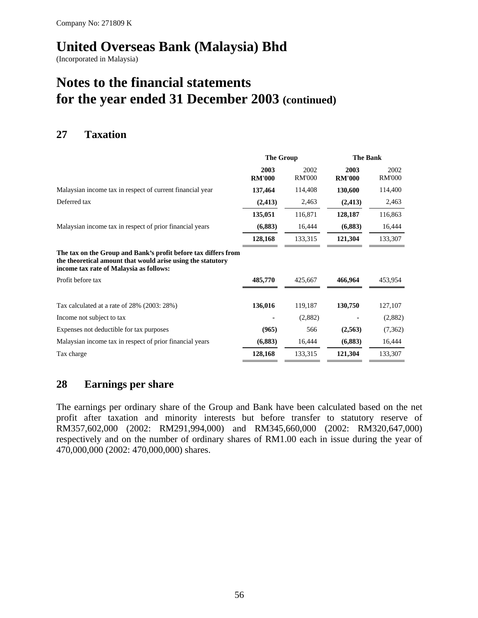(Incorporated in Malaysia)

# **Notes to the financial statements for the year ended 31 December 2003 (continued)**

## **27 Taxation**

|                                                                                                                                                                          | The Group                                          |                                                                                                                                                                                                                                                 | The Bank                                                                                                                          |                                                                                                                                                                                                                                                 |
|--------------------------------------------------------------------------------------------------------------------------------------------------------------------------|----------------------------------------------------|-------------------------------------------------------------------------------------------------------------------------------------------------------------------------------------------------------------------------------------------------|-----------------------------------------------------------------------------------------------------------------------------------|-------------------------------------------------------------------------------------------------------------------------------------------------------------------------------------------------------------------------------------------------|
|                                                                                                                                                                          | 2003<br><b>RM'000</b>                              | 2002<br><b>RM'000</b>                                                                                                                                                                                                                           | 2003<br><b>RM'000</b>                                                                                                             | 2002<br><b>RM'000</b>                                                                                                                                                                                                                           |
| Malaysian income tax in respect of current financial year                                                                                                                | 137,464                                            | 114,408                                                                                                                                                                                                                                         | 130,600                                                                                                                           | 114,400                                                                                                                                                                                                                                         |
| Deferred tax                                                                                                                                                             | (2, 413)                                           | 2,463                                                                                                                                                                                                                                           | (2, 413)                                                                                                                          | 2,463                                                                                                                                                                                                                                           |
|                                                                                                                                                                          | the contract of the contract of<br>135,051         | and the contract of the contract of<br>116,871                                                                                                                                                                                                  | <u> London a componente de la componente de la componente de la componente de la componente de la componente de la</u><br>128,187 | the contract of the contract of the<br>116,863                                                                                                                                                                                                  |
| Malaysian income tax in respect of prior financial years                                                                                                                 | (6,883)                                            | 16,444<br>and the contract of the contract of                                                                                                                                                                                                   | (6, 883)                                                                                                                          | 16,444                                                                                                                                                                                                                                          |
|                                                                                                                                                                          | 128,168                                            | 133,315<br><u> The Communication of the Communication of the Communication of the Communication of the Communication of the Communication of the Communication of the Communication of the Communication of the Communication of the Commun</u> | 121,304                                                                                                                           | 133,307<br><u> The Communication of the Communication of the Communication of the Communication of the Communication of the Communication of the Communication of the Communication of the Communication of the Communication of the Commun</u> |
| The tax on the Group and Bank's profit before tax differs from<br>the theoretical amount that would arise using the statutory<br>income tax rate of Malaysia as follows: |                                                    |                                                                                                                                                                                                                                                 | ________                                                                                                                          |                                                                                                                                                                                                                                                 |
| Profit before tax                                                                                                                                                        | 485,770<br>__________                              | 425,667                                                                                                                                                                                                                                         | 466,964                                                                                                                           | 453,954                                                                                                                                                                                                                                         |
| Tax calculated at a rate of 28% (2003: 28%)                                                                                                                              | 136,016                                            | 119,187                                                                                                                                                                                                                                         | 130,750                                                                                                                           | 127,107                                                                                                                                                                                                                                         |
| Income not subject to tax                                                                                                                                                |                                                    | (2,882)                                                                                                                                                                                                                                         |                                                                                                                                   | (2,882)                                                                                                                                                                                                                                         |
| Expenses not deductible for tax purposes                                                                                                                                 | (965)                                              | 566                                                                                                                                                                                                                                             | (2,563)                                                                                                                           | (7, 362)                                                                                                                                                                                                                                        |
| Malaysian income tax in respect of prior financial years                                                                                                                 | (6,883)<br>and the contract of the contract of the | 16,444<br>the contract of the contract of the                                                                                                                                                                                                   | (6, 883)<br>the contract of the contract of the contract of                                                                       | 16,444<br>the contract of the contract of the                                                                                                                                                                                                   |
| Tax charge                                                                                                                                                               | 128,168                                            | 133,315                                                                                                                                                                                                                                         | 121,304                                                                                                                           | 133,307                                                                                                                                                                                                                                         |

## **28 Earnings per share**

The earnings per ordinary share of the Group and Bank have been calculated based on the net profit after taxation and minority interests but before transfer to statutory reserve of RM357,602,000 (2002: RM291,994,000) and RM345,660,000 (2002: RM320,647,000) respectively and on the number of ordinary shares of RM1.00 each in issue during the year of 470,000,000 (2002: 470,000,000) shares.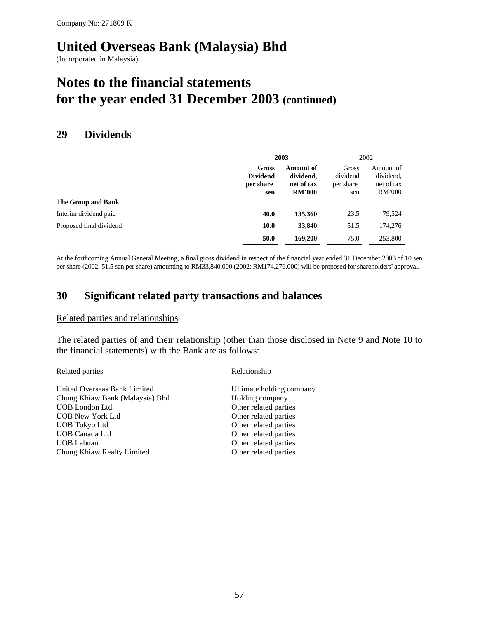(Incorporated in Malaysia)

# **Notes to the financial statements for the year ended 31 December 2003 (continued)**

## **29 Dividends**

|                         |                 | Gross Amount of                                                                  |                    | Gross Amount of |
|-------------------------|-----------------|----------------------------------------------------------------------------------|--------------------|-----------------|
|                         | <b>Dividend</b> | dividend,                                                                        | dividend dividend, |                 |
|                         |                 | <b>per share net of tax per share net of tax</b><br><b>sen RM'000 sen RM'000</b> |                    |                 |
|                         |                 |                                                                                  |                    |                 |
| The Group and Bank      |                 |                                                                                  |                    |                 |
| Interim dividend paid   |                 | 40.0 135,360                                                                     |                    | 23.5 79,524     |
| Proposed final dividend | 10.0            | 33,840                                                                           |                    | 51.5 174,276    |
|                         |                 | 50.0 169,200                                                                     |                    | 253,800         |
|                         |                 |                                                                                  |                    |                 |

At the forthcoming Annual General Meeting, a final gross dividend in respect of the financial year ended 31 December 2003 of 10 sen per share (2002: 51.5 sen per share) amounting to RM33,840,000 (2002: RM174,276,000) will be proposed for shareholders' approval.

## **30 Significant related party transactions and balances**

#### Related parties and relationships

The related parties of and their relationship (other than those disclosed in Note 9 and Note 10 to the financial statements) with the Bank are as follows:

#### Related parties and the contract of the Relationship Relationship Relationship

United Overseas Bank Limited **Example 2018** Ultimate holding company Chung Khiaw Bank (Malaysia) Bhd Holding company UOB London Ltd **Other related parties** UOB New York Ltd **Other related parties** UOB Tokyo Ltd **Other related parties** UOB Canada Ltd **Other related parties** UOB Labuan **Details and Community** Other related parties **Other related** parties Chung Khiaw Realty Limited Other related parties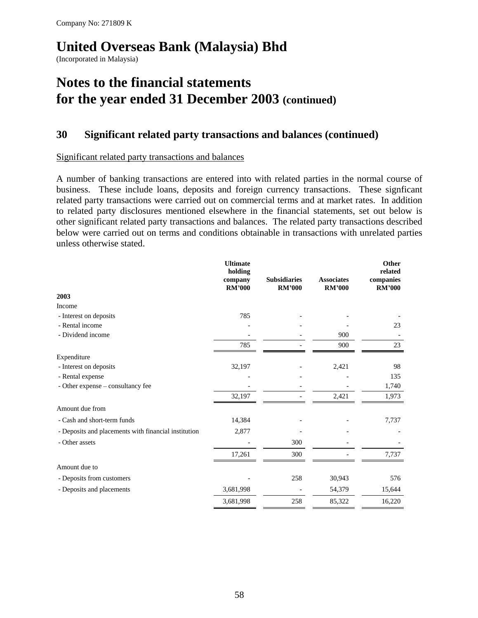(Incorporated in Malaysia)

# **Notes to the financial statements for the year ended 31 December 2003 (continued)**

## **30 Significant related party transactions and balances (continued)**

Significant related party transactions and balances

A number of banking transactions are entered into with related parties in the normal course of business. These include loans, deposits and foreign currency transactions. These signficant related party transactions were carried out on commercial terms and at market rates. In addition to related party disclosures mentioned elsewhere in the financial statements, set out below is other significant related party transactions and balances. The related party transactions described below were carried out on terms and conditions obtainable in transactions with unrelated parties unless otherwise stated.

|                                                      | <b>Ultimate</b><br>holding          |                                                                                 |                                                                                                                                                                                                                                                | Other                      |
|------------------------------------------------------|-------------------------------------|---------------------------------------------------------------------------------|------------------------------------------------------------------------------------------------------------------------------------------------------------------------------------------------------------------------------------------------|----------------------------|
|                                                      |                                     |                                                                                 |                                                                                                                                                                                                                                                | related                    |
|                                                      | company<br>RM'000                   | Subsidiaries<br><b>RM'000</b>                                                   | <b>Associates</b><br><b>RM'000</b>                                                                                                                                                                                                             | companies<br><b>RM'000</b> |
| 2003                                                 |                                     |                                                                                 |                                                                                                                                                                                                                                                |                            |
| Income                                               |                                     |                                                                                 |                                                                                                                                                                                                                                                |                            |
| - Interest on deposits                               | 785                                 |                                                                                 |                                                                                                                                                                                                                                                |                            |
| - Rental income                                      | <b>Contract Contract</b>            |                                                                                 |                                                                                                                                                                                                                                                |                            |
| - Dividend income                                    | and the contract of the contract of | $-$ 900                                                                         |                                                                                                                                                                                                                                                |                            |
|                                                      | 785                                 |                                                                                 | 900                                                                                                                                                                                                                                            |                            |
|                                                      |                                     |                                                                                 |                                                                                                                                                                                                                                                |                            |
| Expenditure                                          |                                     |                                                                                 |                                                                                                                                                                                                                                                |                            |
| - Interest on deposits                               | 32,197                              |                                                                                 | 2,421                                                                                                                                                                                                                                          |                            |
| - Rental expense                                     |                                     |                                                                                 |                                                                                                                                                                                                                                                | 13                         |
| - Other expense - consultancy fee                    |                                     | the contract of the contract of the contract of the contract of the contract of |                                                                                                                                                                                                                                                | 1.740                      |
|                                                      | 32.197                              | and the state of the state of                                                   | 2,421                                                                                                                                                                                                                                          | 1,973                      |
| Amount due from                                      | ____________                        |                                                                                 |                                                                                                                                                                                                                                                |                            |
| - Cash and short-term funds                          | 14,384                              |                                                                                 |                                                                                                                                                                                                                                                | 7,737                      |
| - Deposits and placements with financial institution | 2,877                               |                                                                                 |                                                                                                                                                                                                                                                |                            |
|                                                      |                                     |                                                                                 |                                                                                                                                                                                                                                                |                            |
| - Other assets                                       |                                     | 300                                                                             |                                                                                                                                                                                                                                                |                            |
|                                                      | 17,261                              | 300                                                                             |                                                                                                                                                                                                                                                | 7,737                      |
| Amount due to                                        |                                     |                                                                                 |                                                                                                                                                                                                                                                |                            |
| - Deposits from customers                            | $\sim$ $-$                          | 258                                                                             | 30,943                                                                                                                                                                                                                                         | 576                        |
|                                                      | 3,681,998                           |                                                                                 |                                                                                                                                                                                                                                                | 15,644                     |
| - Deposits and placements                            |                                     | $\alpha$ , $\alpha$ , $\alpha$ , $\alpha$ , $\alpha$                            | 54,379<br><u> The Communication of the Communication of the Communication of the Communication of the Communication of the Communication of the Communication of the Communication of the Communication of the Communication of the Commun</u> |                            |
|                                                      | 3,681,998                           | 258                                                                             | 85,322                                                                                                                                                                                                                                         | 16,220                     |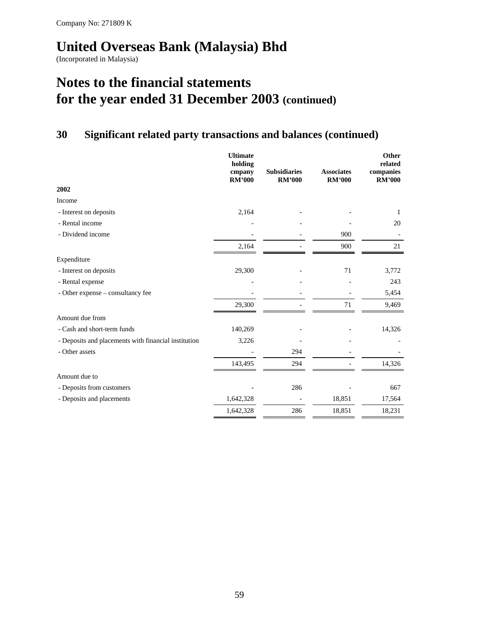(Incorporated in Malaysia)

# **Notes to the financial statements for the year ended 31 December 2003 (continued)**

## **30 Significant related party transactions and balances (continued)**

|                                                      | <b>Ultimate</b><br>holding    |                                                                                 |                                                                                 | Other                                      |
|------------------------------------------------------|-------------------------------|---------------------------------------------------------------------------------|---------------------------------------------------------------------------------|--------------------------------------------|
|                                                      |                               | <b>Subsidiaries</b>                                                             | <b>Associates</b>                                                               | related<br>companies                       |
|                                                      | cmpany<br>RM'000              | <b>RM'000</b>                                                                   | <b>RM'000</b>                                                                   | <b>RM'000</b>                              |
| 2002                                                 |                               |                                                                                 |                                                                                 |                                            |
| Income                                               |                               |                                                                                 |                                                                                 |                                            |
| - Interest on deposits                               | 2,164                         |                                                                                 |                                                                                 |                                            |
| - Rental income                                      | <b>Contract Contract</b>      | <b>Contract Contract</b>                                                        | $\sim$ $-$                                                                      |                                            |
| - Dividend income                                    |                               | the contract of the contract of the contract of the contract of the contract of | 900                                                                             |                                            |
|                                                      | 2,164                         | and the state of the state of                                                   | 900                                                                             |                                            |
| Expenditure                                          |                               |                                                                                 |                                                                                 |                                            |
| - Interest on deposits                               | 29,300                        | <b>Contract Contract</b>                                                        |                                                                                 | 3,772                                      |
| - Rental expense                                     | <b>Contract Contract</b>      | <b>Contract Contract</b>                                                        |                                                                                 | 243                                        |
| - Other expense - consultancy fee                    | and the state of the state    |                                                                                 | the contract of the contract of the contract of the contract of the contract of | 5,454                                      |
|                                                      | 29,300                        | the control of the control of the                                               |                                                                                 | 9,469                                      |
| Amount due from                                      |                               |                                                                                 |                                                                                 | <b>Contract Contract Contract Contract</b> |
| - Cash and short-term funds                          | 140,269                       |                                                                                 |                                                                                 | 14,326                                     |
| - Deposits and placements with financial institution | 3,226                         |                                                                                 |                                                                                 |                                            |
| - Other assets                                       |                               | 294                                                                             | $\sim 100$ m $^{-1}$                                                            | and the control of the con-                |
|                                                      | 143,495                       | 294                                                                             |                                                                                 | 14,326                                     |
| Amount due to                                        |                               |                                                                                 |                                                                                 |                                            |
| - Deposits from customers                            | <b>Service Contract State</b> | 286                                                                             |                                                                                 | 667                                        |
| - Deposits and placements                            | 1,642,328                     |                                                                                 | 18,851                                                                          | 17,564                                     |
|                                                      |                               |                                                                                 | and the contract of the contract of                                             |                                            |
|                                                      | 1,642,328                     | 286                                                                             | 18,851                                                                          | 18,231                                     |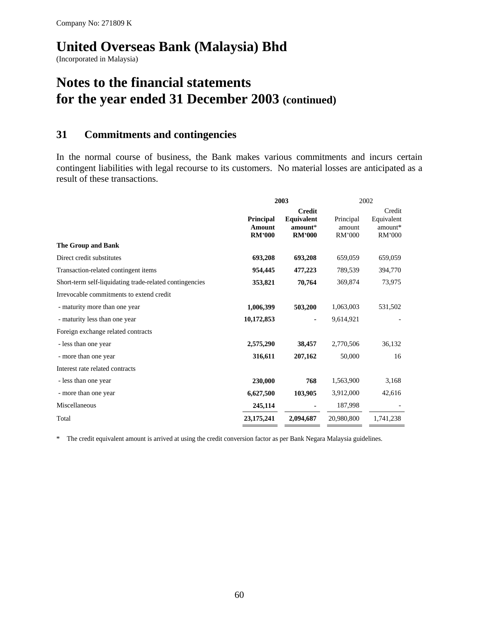(Incorporated in Malaysia)

# **Notes to the financial statements for the year ended 31 December 2003 (continued)**

## **31 Commitments and contingencies**

In the normal course of business, the Bank makes various commitments and incurs certain contingent liabilities with legal recourse to its customers. No material losses are anticipated as a result of these transactions.

|                                                         | 2003                                                        |                          | 2002                           |                                                           |
|---------------------------------------------------------|-------------------------------------------------------------|--------------------------|--------------------------------|-----------------------------------------------------------|
|                                                         |                                                             | Credit                   |                                | Credit                                                    |
|                                                         | Principal                                                   | Equivalent               | Principal                      | Equivalent                                                |
|                                                         | Amount<br><b>RM'000</b>                                     | amount*<br><b>RM'000</b> | amount<br><b>RM'000</b>        | amount*<br><b>RM'000</b>                                  |
| The Group and Bank                                      |                                                             |                          |                                |                                                           |
| Direct credit substitutes                               | 693,208                                                     | 693,208                  | 659,059                        | 659,059                                                   |
| Transaction-related contingent items                    | 954,445                                                     | 477,223                  |                                | 789,539 394,770                                           |
|                                                         | 353,821                                                     | 70,764                   | 369,874                        | 73,975                                                    |
| Short-term self-liquidating trade-related contingencies |                                                             |                          |                                |                                                           |
| Irrevocable commitments to extend credit                |                                                             |                          |                                |                                                           |
| - maturity more than one year                           | 1,006,399                                                   | 503,200                  | 1,063,003                      | 531,502                                                   |
| - maturity less than one year                           | 10,172,853                                                  | $\sim 100$               | 9,614,921                      | $\mathcal{L}_{\rm{max}}$ and $\mathcal{L}_{\rm{max}}$     |
| Foreign exchange related contracts                      |                                                             |                          |                                |                                                           |
| - less than one year                                    | 2,575,290                                                   | 38,457                   | 2,770,506                      | 36,132                                                    |
| - more than one year                                    | 316,611                                                     | 207,162                  | 50,000                         | 16                                                        |
| Interest rate related contracts                         |                                                             |                          |                                |                                                           |
| - less than one year                                    | 230,000                                                     |                          | 768 1,563,900                  | 3,168                                                     |
|                                                         |                                                             |                          |                                |                                                           |
| - more than one year                                    | 6,627,500                                                   | 103,905                  | 3,912,000                      | 42,616                                                    |
| Miscellaneous                                           | 245,114<br>$\sim$ $\sim$ $\sim$ $\sim$ $\sim$ $\sim$ $\sim$ | <b>Contract</b>          | 187,998                        | $\mathcal{L}_{\text{max}}$ and $\mathcal{L}_{\text{max}}$ |
| Total                                                   | 23, 175, 241                                                |                          | 2,094,687 20,980,800 1,741,238 |                                                           |

\* The credit equivalent amount is arrived at using the credit conversion factor as per Bank Negara Malaysia guidelines.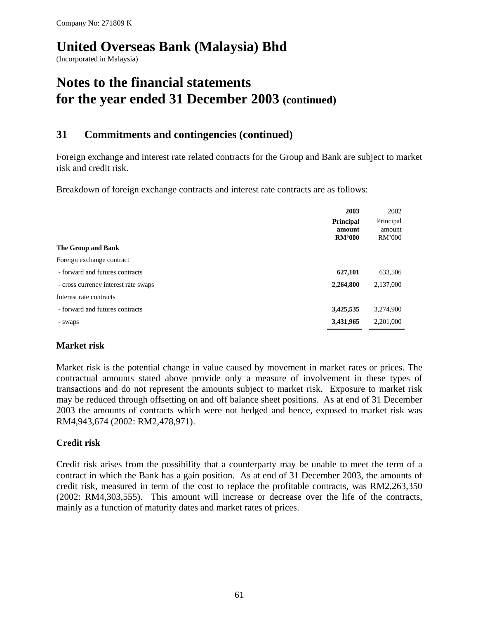(Incorporated in Malaysia)

# **Notes to the financial statements for the year ended 31 December 2003 (continued)**

## **31 Commitments and contingencies (continued)**

Foreign exchange and interest rate related contracts for the Group and Bank are subject to market risk and credit risk.

Breakdown of foreign exchange contracts and interest rate contracts are as follows:

|                                      | 2002<br>2003         |
|--------------------------------------|----------------------|
|                                      | Principal Principal  |
|                                      | amount<br>amount     |
|                                      | <b>RM'000</b> RM'000 |
| The Group and Bank                   |                      |
| Foreign exchange contract            |                      |
| - forward and futures contracts      | 627,101 633,506      |
| - cross currency interest rate swaps | 2,264,800 2,137,000  |
| Interest rate contracts              |                      |
|                                      |                      |
| - forward and futures contracts      | 3,425,535 3,274,900  |
| - swaps                              | 3,431,965 2,201,000  |
|                                      |                      |

#### **Market risk**

Market risk is the potential change in value caused by movement in market rates or prices. The contractual amounts stated above provide only a measure of involvement in these types of transactions and do not represent the amounts subject to market risk. Exposure to market risk may be reduced through offsetting on and off balance sheet positions. As at end of 31 December 2003 the amounts of contracts which were not hedged and hence, exposed to market risk was RM4,943,674 (2002: RM2,478,971).

#### **Credit risk**

Credit risk arises from the possibility that a counterparty may be unable to meet the term of a contract in which the Bank has a gain position. As at end of 31 December 2003, the amounts of credit risk, measured in term of the cost to replace the profitable contracts, was RM2,263,350 (2002: RM4,303,555). This amount will increase or decrease over the life of the contracts, mainly as a function of maturity dates and market rates of prices.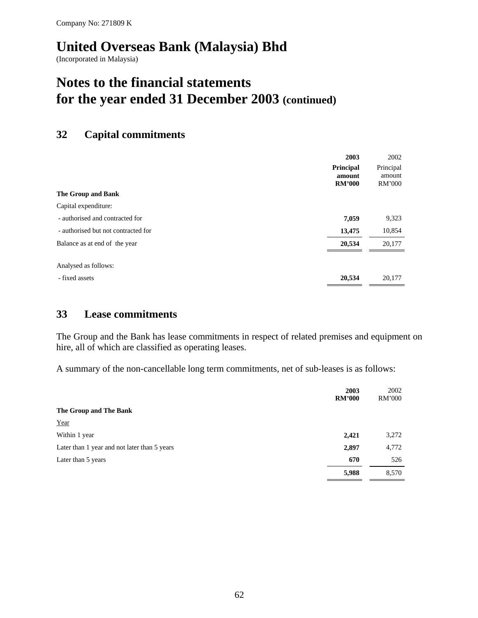(Incorporated in Malaysia)

# **Notes to the financial statements for the year ended 31 December 2003 (continued)**

## **32 Capital commitments**

|                                     | 2003                                                                                                            | 2002          |
|-------------------------------------|-----------------------------------------------------------------------------------------------------------------|---------------|
|                                     | Principal Principal                                                                                             |               |
|                                     |                                                                                                                 |               |
|                                     | amount amount<br>RM'000 RM'000                                                                                  |               |
| The Group and Bank                  |                                                                                                                 |               |
|                                     |                                                                                                                 |               |
| Capital expenditure:                |                                                                                                                 |               |
| - authorised and contracted for     |                                                                                                                 | 7,059 9,323   |
| - authorised but not contracted for |                                                                                                                 |               |
|                                     | $\frac{13,475}{ }$ $\frac{10,854}{ }$                                                                           |               |
| Balance as at end of the year       |                                                                                                                 |               |
|                                     |                                                                                                                 |               |
|                                     |                                                                                                                 |               |
| Analysed as follows:                |                                                                                                                 |               |
| - fixed assets                      |                                                                                                                 | 20,534 20,177 |
|                                     | the contract of the contract of the contract of the contract of the contract of the contract of the contract of |               |

## **33 Lease commitments**

The Group and the Bank has lease commitments in respect of related premises and equipment on hire, all of which are classified as operating leases.

A summary of the non-cancellable long term commitments, net of sub-leases is as follows:

|                                              | 2003                 | $\sim$<br>$\sim$ vvz |
|----------------------------------------------|----------------------|----------------------|
|                                              | <b>RM'000</b> RM'000 |                      |
| The Group and The Bank                       |                      |                      |
| <u>Year</u>                                  |                      |                      |
| Within 1 year                                | 2,421                | 3,272                |
| Later than 1 year and not later than 5 years | 2,897                | 4,772                |
| Later than 5 years                           | 670                  | 506                  |
|                                              | 5,988                | 8,570                |
|                                              |                      |                      |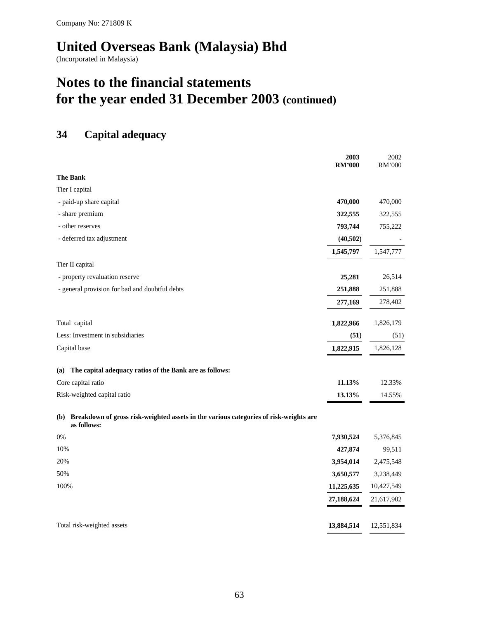(Incorporated in Malaysia)

# **Notes to the financial statements for the year ended 31 December 2003 (continued)**

## **34 Capital adequacy**

|                                                                                                          | 2002<br>2003<br>RM'000<br>RM'000  |
|----------------------------------------------------------------------------------------------------------|-----------------------------------|
| The Bank                                                                                                 |                                   |
| Tier I capital                                                                                           |                                   |
| - paid-up share capital                                                                                  | 470,000<br>470,000                |
| - share premium                                                                                          | 322,555<br>322,555                |
| - other reserves                                                                                         | 755,222<br>793,744                |
| - deferred tax adjustment                                                                                | (40, 502)<br>$\sim 100$ m $^{-1}$ |
|                                                                                                          | 1,545,797 1,547,777               |
| Tier II capital                                                                                          |                                   |
| - property revaluation reserve                                                                           | 26,514<br>25,281                  |
| - general provision for bad and doubtful debts                                                           | 251,888<br>251,888                |
|                                                                                                          | 277,169 278,402                   |
|                                                                                                          |                                   |
| Total capital                                                                                            | 1,822,966 1,826,179               |
| Less: Investment in subsidiaries                                                                         | (51)<br>(51)                      |
| Capital base                                                                                             | 1,822,915 1,826,128               |
| (a) The capital adequacy ratios of the Bank are as follows:                                              |                                   |
| Core capital ratio                                                                                       | 11.13% 12.33%                     |
| Risk-weighted capital ratio                                                                              | 13.13% 14.55%                     |
|                                                                                                          |                                   |
| (b) Breakdown of gross risk-weighted assets in the various categories of risk-weights are<br>as follows: |                                   |
| 0%                                                                                                       | 7,930,524 5,376,845               |
| 10%                                                                                                      | 427,874<br>99,511                 |
| 20%                                                                                                      | 3,954,014<br>2,475,548            |
| 50%                                                                                                      | 3,238,449<br>3,650,577            |
| 100%                                                                                                     | 11,225,635 10,427,549             |
|                                                                                                          | 27,188,624 21,617,902             |
|                                                                                                          |                                   |
| Total risk-weighted assets                                                                               | 13,884,514 12,551,834             |
|                                                                                                          |                                   |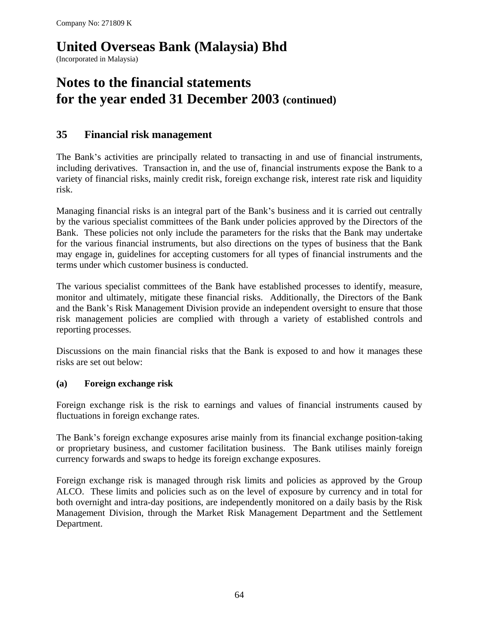(Incorporated in Malaysia)

# **Notes to the financial statements for the year ended 31 December 2003 (continued)**

## **35 Financial risk management**

The Bank's activities are principally related to transacting in and use of financial instruments, including derivatives. Transaction in, and the use of, financial instruments expose the Bank to a variety of financial risks, mainly credit risk, foreign exchange risk, interest rate risk and liquidity risk.

Managing financial risks is an integral part of the Bank's business and it is carried out centrally by the various specialist committees of the Bank under policies approved by the Directors of the Bank. These policies not only include the parameters for the risks that the Bank may undertake for the various financial instruments, but also directions on the types of business that the Bank may engage in, guidelines for accepting customers for all types of financial instruments and the terms under which customer business is conducted.

The various specialist committees of the Bank have established processes to identify, measure, monitor and ultimately, mitigate these financial risks. Additionally, the Directors of the Bank and the Bank's Risk Management Division provide an independent oversight to ensure that those risk management policies are complied with through a variety of established controls and reporting processes.

Discussions on the main financial risks that the Bank is exposed to and how it manages these risks are set out below:

#### **(a) Foreign exchange risk**

Foreign exchange risk is the risk to earnings and values of financial instruments caused by fluctuations in foreign exchange rates.

The Bank's foreign exchange exposures arise mainly from its financial exchange position-taking or proprietary business, and customer facilitation business. The Bank utilises mainly foreign currency forwards and swaps to hedge its foreign exchange exposures.

Foreign exchange risk is managed through risk limits and policies as approved by the Group ALCO. These limits and policies such as on the level of exposure by currency and in total for both overnight and intra-day positions, are independently monitored on a daily basis by the Risk Management Division, through the Market Risk Management Department and the Settlement Department.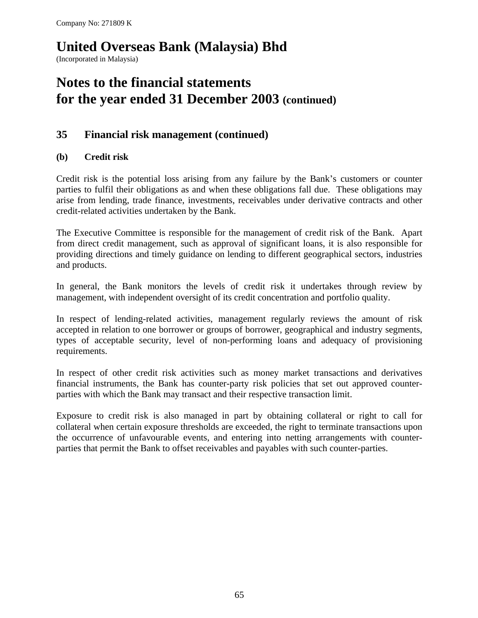(Incorporated in Malaysia)

# **Notes to the financial statements for the year ended 31 December 2003 (continued)**

## **35 Financial risk management (continued)**

#### **(b) Credit risk**

Credit risk is the potential loss arising from any failure by the Bank's customers or counter parties to fulfil their obligations as and when these obligations fall due. These obligations may arise from lending, trade finance, investments, receivables under derivative contracts and other credit-related activities undertaken by the Bank.

The Executive Committee is responsible for the management of credit risk of the Bank. Apart from direct credit management, such as approval of significant loans, it is also responsible for providing directions and timely guidance on lending to different geographical sectors, industries and products.

In general, the Bank monitors the levels of credit risk it undertakes through review by management, with independent oversight of its credit concentration and portfolio quality.

In respect of lending-related activities, management regularly reviews the amount of risk accepted in relation to one borrower or groups of borrower, geographical and industry segments, types of acceptable security, level of non-performing loans and adequacy of provisioning requirements.

In respect of other credit risk activities such as money market transactions and derivatives financial instruments, the Bank has counter-party risk policies that set out approved counter parties with which the Bank may transact and their respective transaction limit.

Exposure to credit risk is also managed in part by obtaining collateral or right to call for collateral when certain exposure thresholds are exceeded, the right to terminate transactions upon the occurrence of unfavourable events, and entering into netting arrangements with counter parties that permit the Bank to offset receivables and payables with such counter-parties.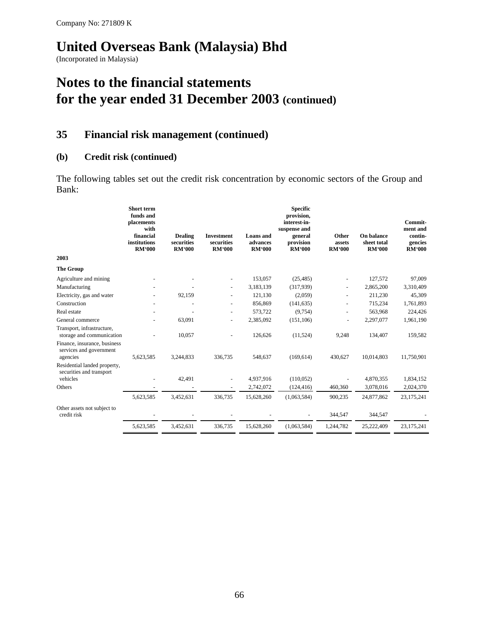(Incorporated in Malaysia)

# **Notes to the financial statements for the year ended 31 December 2003 (continued)**

## **35 Financial risk management (continued)**

#### **(b) Credit risk (continued)**

The following tables set out the credit risk concentration by economic sectors of the Group and Bank: The contract of the contract of the contract of the contract of the contract of the contract of the contract of the contract of the contract of the contract of the contract of the contract of the contract of the cont

|                                                                      | Short term                 |                                             |                          |                  | Specific                                                                                                    |                          |               |                    |
|----------------------------------------------------------------------|----------------------------|---------------------------------------------|--------------------------|------------------|-------------------------------------------------------------------------------------------------------------|--------------------------|---------------|--------------------|
|                                                                      | funds and                  |                                             |                          |                  | provision,                                                                                                  |                          |               |                    |
|                                                                      | placements                 |                                             |                          |                  | interest-in-                                                                                                |                          |               | <b>Commit-</b>     |
|                                                                      | with                       |                                             |                          |                  | suspense a                                                                                                  |                          |               | ment and           |
|                                                                      | financial<br>institutions  | <b>Dealing</b>                              | Investment               | <b>Loans</b> and | general                                                                                                     | Other<br>assets          | On balance    | contin-<br>gencies |
|                                                                      | <b>RM'000</b>              | securities<br><b>RM'000</b>                 | <b>RM'000</b>            | <b>RM'000</b>    | <b>RM'000</b>                                                                                               | <b>RM'000</b>            | <b>RM'000</b> | <b>RM'000</b>      |
| 2003                                                                 |                            |                                             |                          |                  |                                                                                                             |                          |               |                    |
| The Group                                                            |                            |                                             |                          |                  |                                                                                                             |                          |               |                    |
|                                                                      |                            |                                             |                          |                  | (25, 485)                                                                                                   |                          |               |                    |
| Agriculture and mining                                               |                            | the company's company's programs to         | <b>Service</b> State     | 153,057          |                                                                                                             |                          | 127,572       | 97,009             |
| Manufacturing                                                        |                            | the company's company's company's           |                          | 3,183,139        | (317, 939)                                                                                                  |                          | 2,865,200     | 3,310,409          |
| Electricity, gas and water                                           |                            | $-92,159$                                   | <b>Contract Contract</b> | 121,130          | (2,059)                                                                                                     | and the contract of      | 211,230       | 45,309             |
| Construction                                                         |                            | the company's company's company's           | <b>Contract Contract</b> | 856,869          | (141, 635)                                                                                                  | <b>Contract Contract</b> | 715,234       | 1,761,893          |
| Real estate                                                          |                            | the company's company's company's company's |                          | 573,722          | (9,754)                                                                                                     |                          | 563,968       | 224,426            |
| General commerce                                                     | the company of the company | 63,091                                      | <b>Contract Contract</b> | 2,385,092        | (151, 106)                                                                                                  |                          | $-2,297,077$  | 1,961,190          |
| Transport, infrastructure,<br>storage and communication              |                            |                                             |                          |                  |                                                                                                             |                          |               |                    |
|                                                                      |                            | 10,057                                      |                          | 126,626          | (11,524)                                                                                                    | 9,248                    | 134,407       | 159,582            |
| Finance, insurance, business                                         |                            |                                             |                          |                  |                                                                                                             |                          |               |                    |
| services and government                                              |                            |                                             |                          |                  |                                                                                                             |                          |               |                    |
|                                                                      | 5,623,585                  | 3,244,833                                   | 336,735                  | 548,637          | (169, 614)                                                                                                  | 430,627                  | 10,014,803    | 11,750,901         |
| agencies<br>Residential landed property,<br>securities and transport |                            |                                             |                          |                  |                                                                                                             |                          |               |                    |
|                                                                      |                            |                                             |                          |                  |                                                                                                             |                          |               |                    |
| vehicles                                                             |                            | 42,491                                      |                          | 4.937.916        |                                                                                                             |                          | 4,870,355     | 1,834,152          |
| Others                                                               |                            |                                             |                          |                  | $\frac{2,742,072}{2}$ $\frac{(124,416)}{2}$ $\frac{460,360}{2}$ $\frac{3,078,016}{2}$ $\frac{2,024,370}{2}$ |                          |               |                    |
|                                                                      | 5,623,585                  | 3,452,631                                   |                          |                  | 336,735 15,628,260 (1,063,584) 900,235 24,877,862 23,175,241                                                |                          |               |                    |
| Other assets not subject to                                          |                            |                                             |                          |                  |                                                                                                             |                          |               |                    |
| credit risk                                                          | <b>Service Contract</b>    |                                             |                          |                  | $-344,547$                                                                                                  |                          | 344,547       |                    |
|                                                                      | 5,623,585                  | 3,452,631                                   |                          |                  | 336,735 15,628,260 (1,063,584) 1,244,782 25,222,409 23,175,241                                              |                          |               |                    |
|                                                                      |                            |                                             |                          |                  |                                                                                                             |                          |               |                    |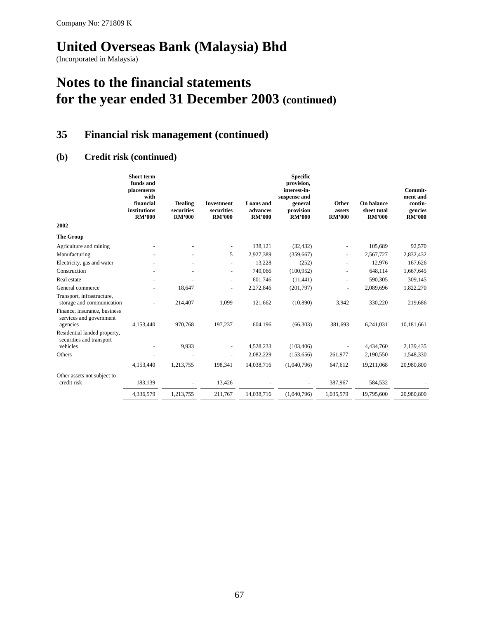(Incorporated in Malaysia)

# **Notes to the financial statements for the year ended 31 December 2003 (continued)**

## **35 Financial risk management (continued)**

#### **(b) Credit risk (continued)**

| Short term                                                           |                                             |                          |                              | Specific                                                                                                                            |                   |               |                                                                |
|----------------------------------------------------------------------|---------------------------------------------|--------------------------|------------------------------|-------------------------------------------------------------------------------------------------------------------------------------|-------------------|---------------|----------------------------------------------------------------|
| funds and                                                            |                                             |                          |                              | provision,                                                                                                                          |                   |               |                                                                |
| placements                                                           |                                             |                          |                              | interest-in-                                                                                                                        |                   |               | <b>Commit-</b>                                                 |
| with<br>financial                                                    |                                             |                          |                              | suspense a                                                                                                                          |                   | On balance    | ment and                                                       |
| institutions                                                         | <b>Dealing</b><br>securities                | Investment<br>securities | <b>Loans</b> and<br>advances | general                                                                                                                             | Other<br>assets   | sheet total   | contin-<br>gencies                                             |
| <b>RM'000</b>                                                        | <b>RM'000</b>                               | <b>RM'000</b>            | <b>RM'000</b>                | provision<br>RM'000                                                                                                                 | <b>RM'000</b>     | <b>RM'000</b> | <b>RM'000</b>                                                  |
|                                                                      |                                             |                          |                              |                                                                                                                                     |                   |               |                                                                |
|                                                                      |                                             |                          |                              |                                                                                                                                     |                   |               |                                                                |
|                                                                      |                                             |                          |                              |                                                                                                                                     |                   | 105,689       | 92,570                                                         |
| Agriculture and mining                                               | the company's company's company's           |                          | 138,121<br>2,927,389         | (32, 432)<br>(359, 667)                                                                                                             |                   | 2,567,727     | 2,832,432                                                      |
|                                                                      | the company's company's program             |                          |                              |                                                                                                                                     |                   | 12,976        | 167,626                                                        |
| Electricity, gas and water                                           | the company's company's company's company's |                          | 13,228                       | (252)                                                                                                                               |                   |               |                                                                |
|                                                                      | the company's company's company's           | <b>Contract Contract</b> | 749,066                      | (100, 952)                                                                                                                          | <b>Contractor</b> | 648,114       | 1,667,645                                                      |
|                                                                      | the company's company's company's           | <b>Contract Contract</b> | 601,746                      | (11, 441)                                                                                                                           |                   | 590,305       | 309,145                                                        |
|                                                                      | $-18,647$                                   |                          | $-2,272,846$                 | (201,797)                                                                                                                           |                   | $-2,089,696$  | 1,822,270                                                      |
| Transport, infrastructure,<br>storage and communication              |                                             |                          |                              |                                                                                                                                     |                   |               |                                                                |
|                                                                      | 214,407                                     | 1,099                    | 121,662                      | (10, 890)                                                                                                                           | 3,942             | 330,220       | 219,686                                                        |
| Finance, insurance, business                                         |                                             |                          |                              |                                                                                                                                     |                   |               |                                                                |
| services and government<br>4,153,440                                 | 970,768                                     | 197,237                  | 604,196                      | (66,303)                                                                                                                            | 381,693           | 6,241,031     | 10,181,661                                                     |
|                                                                      |                                             |                          |                              |                                                                                                                                     |                   |               |                                                                |
| agencies<br>Residential landed property,<br>securities and transport |                                             |                          |                              |                                                                                                                                     |                   |               |                                                                |
| and the company                                                      | 9,933                                       |                          | 4,528,233                    | (103, 406)                                                                                                                          |                   | 4,434,760     | 2,139,435                                                      |
|                                                                      |                                             |                          |                              | $\frac{2,082,229}{2}$ $\frac{(153,656)}{2}$ $\frac{2,082,229}{2}$ $\frac{(153,656)}{2}$ $\frac{2,190,550}{2}$ $\frac{1,548,330}{2}$ |                   |               |                                                                |
|                                                                      |                                             |                          |                              | 4,153,440 1,213,755 198,341 14,038,716 (1,040,796) 647,612 19,211,068 20,980,800                                                    |                   |               |                                                                |
|                                                                      |                                             |                          |                              |                                                                                                                                     |                   |               |                                                                |
| Other assets not subject to<br>credit risk                           |                                             |                          |                              |                                                                                                                                     |                   |               |                                                                |
| 183,139                                                              |                                             |                          |                              |                                                                                                                                     |                   | 584,532       |                                                                |
| 4,336,579                                                            | 1,213,755                                   |                          |                              |                                                                                                                                     |                   |               |                                                                |
|                                                                      |                                             |                          |                              | 13,426                                                                                                                              |                   | $-387,967$    | 211,767 14,038,716 (1,040,796) 1,035,579 19,795,600 20,980,800 |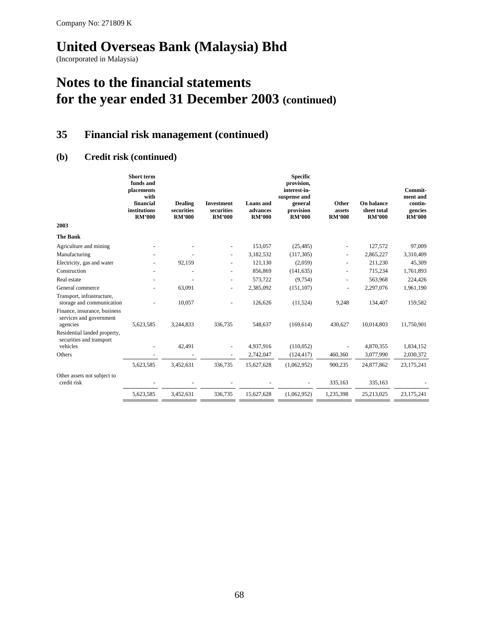(Incorporated in Malaysia)

# **Notes to the financial statements for the year ended 31 December 2003 (continued)**

## **35 Financial risk management (continued)**

#### **(b) Credit risk (continued)**

|                                                          | Short term      |                                             |                            |                  | <b>Specific</b>                                                                                                                                                                                                                                                                                                     |                          |               |                |  |
|----------------------------------------------------------|-----------------|---------------------------------------------|----------------------------|------------------|---------------------------------------------------------------------------------------------------------------------------------------------------------------------------------------------------------------------------------------------------------------------------------------------------------------------|--------------------------|---------------|----------------|--|
|                                                          | funds and       |                                             |                            |                  | provision,                                                                                                                                                                                                                                                                                                          |                          |               |                |  |
|                                                          | placements      |                                             |                            |                  | interest-in-                                                                                                                                                                                                                                                                                                        |                          |               | <b>Commit-</b> |  |
|                                                          | with            |                                             |                            |                  | suspense a                                                                                                                                                                                                                                                                                                          |                          |               | ment and       |  |
|                                                          | financial       | <b>Dealing</b>                              | Investment                 | <b>Loans</b> and | genera                                                                                                                                                                                                                                                                                                              | Other                    | On balance    | contin-        |  |
|                                                          | institutions    | securities                                  |                            | advances         |                                                                                                                                                                                                                                                                                                                     | assets                   | sheet total   | gencies        |  |
|                                                          | <b>RM'000</b>   | <b>RM'000</b>                               | <b>RM'000</b>              | <b>RM'000</b>    | <b>RM'000</b>                                                                                                                                                                                                                                                                                                       | <b>RM'000</b>            | <b>RM'000</b> | <b>RM'000</b>  |  |
| 2003                                                     |                 |                                             |                            |                  |                                                                                                                                                                                                                                                                                                                     |                          |               |                |  |
| The Bank                                                 |                 |                                             |                            |                  |                                                                                                                                                                                                                                                                                                                     |                          |               |                |  |
| Agriculture and mining                                   |                 | the company's company's company's           | and the first products     | 153,057          | (25, 485)                                                                                                                                                                                                                                                                                                           |                          | 127,572       | 97,009         |  |
| Manufacturing                                            |                 | the company's company's company's           | <b>Service Contract</b>    | 3,182,532        | (317, 305)                                                                                                                                                                                                                                                                                                          |                          | 2,865,227     | 3,310,409      |  |
| Electricity, gas and water                               |                 | $-92,159$                                   |                            | 121,130          | (2,059)                                                                                                                                                                                                                                                                                                             |                          | 211,230       | 45,309         |  |
| Construction                                             |                 | the company's company's company's company's | and the state of the       | 856,869          | (141, 635)                                                                                                                                                                                                                                                                                                          | and the state of the     | 715,234       | 1,761,893      |  |
| Real estate                                              |                 | the company's company's company's company's | and the state of the       | 573,722          | (9,754)                                                                                                                                                                                                                                                                                                             |                          | $-563,968$    | 224,426        |  |
|                                                          |                 | 63,091                                      |                            | 2,385,092        | (151, 107)                                                                                                                                                                                                                                                                                                          |                          | $-2,297,076$  | 1,961,190      |  |
| General commerce                                         | and the company |                                             |                            |                  |                                                                                                                                                                                                                                                                                                                     |                          |               |                |  |
| Transport, infrastructure,                               |                 | 10,057                                      |                            |                  |                                                                                                                                                                                                                                                                                                                     |                          | 134,407       | 159,582        |  |
| storage and communication                                |                 |                                             | the company of the company | 126,626          | (11,524)                                                                                                                                                                                                                                                                                                            | 9,248                    |               |                |  |
| Finance, insurance, business                             |                 |                                             |                            |                  |                                                                                                                                                                                                                                                                                                                     |                          |               |                |  |
| services and government<br>agencies                      | 5,623,585       | 3,244,833                                   | 336,735                    | 548,637          | (169, 614)                                                                                                                                                                                                                                                                                                          | 430,627                  | 10,014,803    | 11,750,901     |  |
|                                                          |                 |                                             |                            |                  |                                                                                                                                                                                                                                                                                                                     |                          |               |                |  |
| Residential landed property,<br>securities and transport |                 |                                             |                            |                  |                                                                                                                                                                                                                                                                                                                     |                          |               |                |  |
| vehicles                                                 |                 | $-42,491$                                   | <b>Service Contract</b>    | 4,937,916        | (110,052)                                                                                                                                                                                                                                                                                                           | <b>State State State</b> | 4,870,355     | 1,834,152      |  |
| Others                                                   |                 |                                             |                            |                  | $\frac{1}{1}$ $\frac{1}{1}$ $\frac{1}{1}$ $\frac{1}{1}$ $\frac{1}{1}$ $\frac{1}{1}$ $\frac{1}{1}$ $\frac{1}{1}$ $\frac{1}{1}$ $\frac{1}{1}$ $\frac{1}{1}$ $\frac{1}{1}$ $\frac{1}{1}$ $\frac{1}{1}$ $\frac{1}{1}$ $\frac{1}{1}$ $\frac{1}{1}$ $\frac{1}{1}$ $\frac{1}{1}$ $\frac{1}{1}$ $\frac{1}{1}$ $\frac{1}{1}$ |                          |               |                |  |
|                                                          |                 |                                             |                            |                  |                                                                                                                                                                                                                                                                                                                     |                          |               |                |  |
|                                                          | 5,623,585       | 3,452,631                                   |                            |                  | 336,735 15,627,628 (1,062,952) 900,235 24,877,862 23,175,241                                                                                                                                                                                                                                                        |                          |               |                |  |
| Other assets not subject to                              |                 |                                             |                            |                  |                                                                                                                                                                                                                                                                                                                     |                          |               |                |  |
| credit risk                                              |                 |                                             |                            |                  |                                                                                                                                                                                                                                                                                                                     | 335,163                  | 335.163       |                |  |
|                                                          | 5,623,585       | 3,452,631                                   |                            |                  | 336,735 15,627,628 (1,062,952) 1,235,398 25,213,025                                                                                                                                                                                                                                                                 |                          |               | 23, 175, 241   |  |
|                                                          |                 |                                             |                            |                  |                                                                                                                                                                                                                                                                                                                     |                          |               |                |  |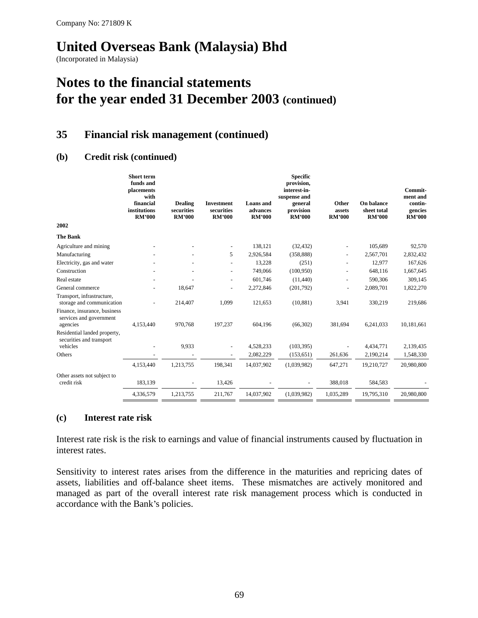(Incorporated in Malaysia)

# **Notes to the financial statements for the year ended 31 December 2003 (continued)**

## **35 Financial risk management (continued)**

#### **(b) Credit risk (continued)**

|                                                                      | Short term                    |                                             |                            |                           | Specific                                                       |                          |               |                          |
|----------------------------------------------------------------------|-------------------------------|---------------------------------------------|----------------------------|---------------------------|----------------------------------------------------------------|--------------------------|---------------|--------------------------|
|                                                                      | funds and                     |                                             |                            |                           | provision,                                                     |                          |               |                          |
|                                                                      | placements                    |                                             |                            |                           | interest-in-                                                   |                          |               | <b>Commit-</b>           |
|                                                                      | with                          |                                             |                            |                           | suspense and                                                   |                          |               | ment and                 |
|                                                                      | financial                     | <b>Dealing</b>                              | Investment                 | <b>Loans and</b>          | general                                                        | Other                    |               | contin-                  |
|                                                                      | institutions<br><b>RM'000</b> | securities<br><b>RM'000</b>                 | securitie<br><b>RM'000</b> | advances<br><b>RM'000</b> | <b>RM'000</b>                                                  | assets<br><b>RM'000</b>  | <b>RM'000</b> | gencies<br><b>RM'000</b> |
| 2002                                                                 |                               |                                             |                            |                           |                                                                |                          |               |                          |
|                                                                      |                               |                                             |                            |                           |                                                                |                          |               |                          |
| The Bank                                                             |                               |                                             |                            |                           |                                                                |                          |               |                          |
| Agriculture and mining                                               |                               | the company's company's company's           |                            | 138,121                   | (32, 432)                                                      |                          | 105,689       | 92,570                   |
| Manufacturing                                                        |                               | the company's company's program             |                            | 2,926,584                 | (358, 888)                                                     |                          | 2,567,701     | 2,832,432                |
| Electricity, gas and water                                           |                               | the company's company's company's company's | and the contract of        | 13,228                    | (251)                                                          |                          | 12,977        | 167,626                  |
| Construction                                                         |                               | the company's company's company's           | <b>Contractor</b>          | 749,066                   | (100, 950)                                                     | <b>Contract Contract</b> | 648,116       | 1,667,645                |
| Real estate                                                          |                               | the company's company's company's           | <b>Contract Contract</b>   | 601,746                   | (11, 440)                                                      |                          | 590,306       | 309,145                  |
| General commerce                                                     |                               | $-18,647$                                   |                            | $-2,272,846$              | (201,792)                                                      | and the contract of      | 2,089,701     | 1,822,270                |
|                                                                      |                               |                                             |                            |                           |                                                                |                          |               |                          |
| Transport, infrastructure,<br>storage and communication              |                               | 214,407                                     | 1,099                      | 121,653                   | (10, 881)                                                      | 3,941                    | 330,219       | 219,686                  |
| Finance, insurance, business                                         |                               |                                             |                            |                           |                                                                |                          |               |                          |
|                                                                      |                               |                                             |                            |                           |                                                                |                          |               |                          |
| services and government                                              | 4,153,440                     | 970,768                                     | 197,237                    | 604,196                   | (66, 302)                                                      | 381,694                  | 6,241,033     | 10,181,661               |
|                                                                      |                               |                                             |                            |                           |                                                                |                          |               |                          |
| agencies<br>Residential landed property,<br>securities and transport |                               |                                             |                            |                           |                                                                |                          |               |                          |
| vehicles                                                             | and the company               | 9,933                                       |                            | 4,528,233                 | (103, 395)                                                     |                          | 4,434,771     | 2,139,435                |
| Others                                                               |                               |                                             |                            |                           |                                                                |                          |               |                          |
|                                                                      |                               |                                             |                            |                           |                                                                |                          |               |                          |
|                                                                      | 4,153,440                     | 1,213,755                                   |                            |                           | 198,341 14,037,902 (1,039,982) 647,271 19,210,727 20,980,800   |                          |               |                          |
| Other assets not subject to                                          |                               |                                             |                            |                           |                                                                |                          |               |                          |
| credit risk                                                          | 183,139                       |                                             | 13,426                     | <b>Contract Contract</b>  | and the control of the con-                                    | 388,018                  | 584,583       |                          |
|                                                                      | 4,336,579                     | 1,213,755                                   |                            |                           | 211,767 14,037,902 (1,039,982) 1,035,289 19,795,310 20,980,800 |                          |               |                          |
|                                                                      |                               |                                             |                            |                           |                                                                |                          |               |                          |

#### **(c) Interest rate risk**

Interest rate risk is the risk to earnings and value of financial instruments caused by fluctuation in interest rates.

Sensitivity to interest rates arises from the difference in the maturities and repricing dates of assets, liabilities and off-balance sheet items. These mismatches are actively monitored and managed as part of the overall interest rate risk management process which is conducted in accordance with the Bank's policies.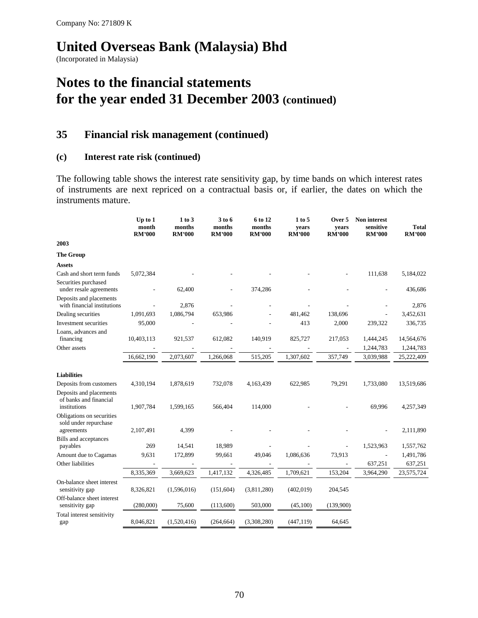(Incorporated in Malaysia)

# **Notes to the financial statements for the year ended 31 December 2003 (continued)**

#### **35 Financial risk management (continued)**

#### **(c) Interest rate risk (continued)**

The following table shows the interest rate sensitivity gap, by time bands on which interest rates of instruments are next repriced on a contractual basis or, if earlier, the dates on which the instruments mature.

|                                                                       | Up to 1<br>month         | 1 to 3<br>months         | 3 to 6<br>months           | 6 to 12<br>months | 1 to 5                                                                                                          |                                               | Over 5 Non interest<br>sensitive                 |                                                                                                                                                                                                                                                                                                                                                                                             |
|-----------------------------------------------------------------------|--------------------------|--------------------------|----------------------------|-------------------|-----------------------------------------------------------------------------------------------------------------|-----------------------------------------------|--------------------------------------------------|---------------------------------------------------------------------------------------------------------------------------------------------------------------------------------------------------------------------------------------------------------------------------------------------------------------------------------------------------------------------------------------------|
|                                                                       |                          |                          |                            |                   | years                                                                                                           | years                                         | RM'000 RM'000 RM'000 RM'000 RM'000 RM'000 RM'000 | Total<br><b>RM'000</b>                                                                                                                                                                                                                                                                                                                                                                      |
| 2003                                                                  |                          |                          |                            |                   |                                                                                                                 |                                               |                                                  |                                                                                                                                                                                                                                                                                                                                                                                             |
| The Group                                                             |                          |                          |                            |                   |                                                                                                                 |                                               |                                                  |                                                                                                                                                                                                                                                                                                                                                                                             |
| <b>Assets</b>                                                         |                          |                          |                            |                   |                                                                                                                 |                                               |                                                  |                                                                                                                                                                                                                                                                                                                                                                                             |
| Cash and short term funds 5,072,384                                   |                          |                          |                            |                   |                                                                                                                 |                                               |                                                  | $111,638$ $5,184,022$                                                                                                                                                                                                                                                                                                                                                                       |
| Securities purchased                                                  |                          |                          |                            |                   |                                                                                                                 |                                               |                                                  |                                                                                                                                                                                                                                                                                                                                                                                             |
| under resale agreements                                               |                          | $-62,400$                |                            | $-374,286$        | and the state of the                                                                                            |                                               | and the state of the                             | $-436,686$                                                                                                                                                                                                                                                                                                                                                                                  |
| Deposits and placements                                               |                          |                          |                            |                   |                                                                                                                 |                                               |                                                  |                                                                                                                                                                                                                                                                                                                                                                                             |
| with financial institutions                                           | <b>Contract Contract</b> | 2,876                    | the company of the company |                   | the company's company's programs to                                                                             |                                               | and the state of                                 | 2,876<br><b>Contract Contract</b>                                                                                                                                                                                                                                                                                                                                                           |
| Dealing securities                                                    | 1,091,693                | 1,086,794                | 653,986                    |                   | 481,462<br><b>Contractor</b>                                                                                    | 138,696                                       |                                                  | $-3,452,631$                                                                                                                                                                                                                                                                                                                                                                                |
| Investment securities                                                 | 95,000                   | <b>Contract Contract</b> | <b>Contractor</b>          | <b>Contractor</b> | 413                                                                                                             | 2,000                                         | 239,322                                          | 336,735                                                                                                                                                                                                                                                                                                                                                                                     |
| Loans, advances and<br>financing                                      |                          | 10,403,113 921,537       | 612,082                    | 140,919           | 825,727                                                                                                         | 217,053                                       |                                                  | 1,444,245 14,564,676                                                                                                                                                                                                                                                                                                                                                                        |
| Other assets                                                          |                          |                          |                            |                   |                                                                                                                 |                                               |                                                  |                                                                                                                                                                                                                                                                                                                                                                                             |
|                                                                       |                          |                          |                            |                   |                                                                                                                 |                                               |                                                  | 16,662,190 2,073,607 1,266,068 515,205 1,307,602 357,749 3,039,988 25,222,409                                                                                                                                                                                                                                                                                                               |
|                                                                       |                          |                          |                            |                   |                                                                                                                 |                                               |                                                  | $\frac{1}{2}$ , $\frac{1}{2}$ , $\frac{1}{2}$ , $\frac{1}{2}$ , $\frac{1}{2}$ , $\frac{1}{2}$ , $\frac{1}{2}$ , $\frac{1}{2}$ , $\frac{1}{2}$ , $\frac{1}{2}$ , $\frac{1}{2}$ , $\frac{1}{2}$ , $\frac{1}{2}$ , $\frac{1}{2}$ , $\frac{1}{2}$ , $\frac{1}{2}$                                                                                                                               |
| Liabilities                                                           |                          |                          |                            |                   |                                                                                                                 |                                               |                                                  |                                                                                                                                                                                                                                                                                                                                                                                             |
| Deposits from customers 4,310,194 1,878,619 732,078 4,163,439 622,985 |                          |                          |                            |                   |                                                                                                                 |                                               |                                                  | 79,291 1,733,080 13,519,686                                                                                                                                                                                                                                                                                                                                                                 |
| Deposits and placements<br>of banks and financial                     |                          |                          |                            |                   |                                                                                                                 |                                               |                                                  |                                                                                                                                                                                                                                                                                                                                                                                             |
|                                                                       |                          |                          |                            |                   |                                                                                                                 |                                               |                                                  |                                                                                                                                                                                                                                                                                                                                                                                             |
| institutions                                                          |                          | 1,907,784 1,599,165      | 566,404 114,000            |                   | <b>Contractor</b>                                                                                               |                                               | <b>Contract Contract</b>                         | 69,996 4,257,349                                                                                                                                                                                                                                                                                                                                                                            |
| Obligations on securities<br>sold under repurchase                    |                          |                          |                            |                   |                                                                                                                 |                                               |                                                  |                                                                                                                                                                                                                                                                                                                                                                                             |
| agreements                                                            | 2,107,491                | 4,399                    |                            |                   |                                                                                                                 |                                               |                                                  | $\sim$ 2,111,890                                                                                                                                                                                                                                                                                                                                                                            |
| Bills and acceptances                                                 |                          |                          |                            |                   |                                                                                                                 |                                               |                                                  |                                                                                                                                                                                                                                                                                                                                                                                             |
| payables                                                              | 269                      | 14,541                   | 18,989                     |                   | <b>Contract Contract</b><br>and the state of the state                                                          |                                               | $-1,523,963$                                     | 1,557,762                                                                                                                                                                                                                                                                                                                                                                                   |
| Amount due to Cagamas                                                 | 9,631                    | 172,899                  | 99,661                     | 49,046            | 1,086,636                                                                                                       | 73,913                                        |                                                  | $-1,491,786$                                                                                                                                                                                                                                                                                                                                                                                |
| Other liabilities                                                     |                          |                          |                            |                   |                                                                                                                 |                                               |                                                  | $-637,251$ $-637,251$ $-637,251$                                                                                                                                                                                                                                                                                                                                                            |
|                                                                       |                          |                          |                            |                   |                                                                                                                 |                                               |                                                  | 8,335,369 3,669,623 1,417,132 4,326,485 1,709,621 153,204 3,964,290 23,575,724<br>$\frac{1}{2}$ , $\frac{1}{2}$ , $\frac{1}{2}$ , $\frac{1}{2}$ , $\frac{1}{2}$ , $\frac{1}{2}$ , $\frac{1}{2}$ , $\frac{1}{2}$ , $\frac{1}{2}$ , $\frac{1}{2}$ , $\frac{1}{2}$ , $\frac{1}{2}$ , $\frac{1}{2}$ , $\frac{1}{2}$ , $\frac{1}{2}$ , $\frac{1}{2}$ , $\frac{1}{2}$ , $\frac{1}{2}$ , $\frac{1$ |
| On-balance sheet interest                                             |                          |                          |                            |                   |                                                                                                                 |                                               |                                                  |                                                                                                                                                                                                                                                                                                                                                                                             |
| sensitivity gap<br>Off-balance sheet interest                         |                          |                          |                            |                   | 8,326,821 (1,596,016) (151,604) (3,811,280) (402,019) 204,545                                                   |                                               |                                                  |                                                                                                                                                                                                                                                                                                                                                                                             |
| sensitivity gap                                                       |                          |                          |                            |                   | $\frac{(280,000)}{1}$ $\frac{75,600}{1}$ $\frac{(113,600)}{503,000}$ $\frac{(45,100)}{1}$ $\frac{(139,900)}{1}$ |                                               |                                                  |                                                                                                                                                                                                                                                                                                                                                                                             |
| Total interest sensitivity                                            |                          |                          |                            |                   |                                                                                                                 |                                               |                                                  |                                                                                                                                                                                                                                                                                                                                                                                             |
| gap                                                                   |                          |                          |                            |                   | 8,046,821 (1,520,416) (264,664) (3,308,280) (447,119)                                                           | 64.645<br>the contract of the contract of the |                                                  |                                                                                                                                                                                                                                                                                                                                                                                             |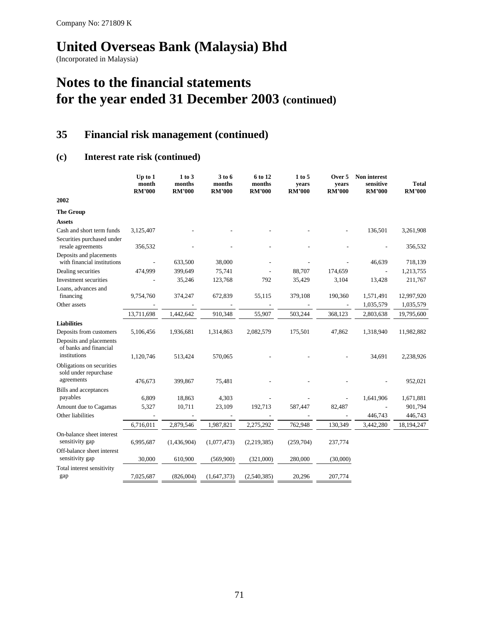(Incorporated in Malaysia)

### **Notes to the financial statements for the year ended 31 December 2003 (continued)**

### **35 Financial risk management (continued)**

#### **(c) Interest rate risk (continued)**

|                                                        | Up to $1$<br>month                | 1 to 3<br>months | 3 to 6<br>months                                                | 6 to 12<br>months | 1 to 5<br>vears                             | vears             | Over 5 Non interest<br>sensitive                                                                                     | Total          |
|--------------------------------------------------------|-----------------------------------|------------------|-----------------------------------------------------------------|-------------------|---------------------------------------------|-------------------|----------------------------------------------------------------------------------------------------------------------|----------------|
|                                                        | <b>RM'000</b>                     |                  | RM'000 RM'000                                                   | <b>RM'000</b>     | <b>RM'000</b>                               |                   | RM'000 RM'000                                                                                                        | <b>RM'000</b>  |
| 2002                                                   |                                   |                  |                                                                 |                   |                                             |                   |                                                                                                                      |                |
| The Group                                              |                                   |                  |                                                                 |                   |                                             |                   |                                                                                                                      |                |
| <b>Assets</b>                                          |                                   |                  |                                                                 |                   |                                             |                   |                                                                                                                      |                |
| Cash and short term funds 3,125,407                    |                                   |                  |                                                                 |                   |                                             |                   | $\frac{136,501}{3,261,908}$                                                                                          |                |
| Securities purchased under                             |                                   |                  |                                                                 |                   |                                             |                   |                                                                                                                      |                |
| resale agreements                                      | 356,532                           |                  |                                                                 |                   |                                             |                   | $\sim$ 356,532                                                                                                       |                |
| Deposits and placements<br>with financial institutions |                                   | $-633,500$       | 38,000                                                          |                   | the company's company's company's company's | <b>Contractor</b> | 46,639                                                                                                               | 718.139        |
| Dealing securities                                     | 474,999                           | 399,649          | 75,741                                                          |                   | $-88,707$                                   | 174,659           |                                                                                                                      | $-1,213,755$   |
| Investment securities                                  | <b>Contractor</b> Contractor      | 35,246           | 123,768                                                         | 792               | 35,429                                      | 3,104             |                                                                                                                      | 13,428 211,767 |
| Loans, advances and                                    |                                   |                  |                                                                 |                   |                                             |                   |                                                                                                                      |                |
| financing                                              | 9,754,760 374,247                 |                  | 672,839                                                         | 55,115            | 379,108                                     |                   | 190,360 1,571,491 12,997,920                                                                                         |                |
| Other assets                                           |                                   |                  |                                                                 |                   |                                             |                   |                                                                                                                      |                |
|                                                        |                                   |                  |                                                                 |                   |                                             |                   | 13,711,698 1,442,642 910,348 55,907 503,244 368,123 2.803.638 19.795.600                                             |                |
| Liabilities                                            |                                   |                  |                                                                 |                   |                                             |                   |                                                                                                                      |                |
| Deposits from customers                                |                                   |                  | 5,106,456 1,936,681 1,314,863 2,082,579 175,501                 |                   |                                             |                   | 47,862 1,318,940 11,982,882                                                                                          |                |
| Deposits and placements                                |                                   |                  |                                                                 |                   |                                             |                   |                                                                                                                      |                |
| of banks and financial                                 |                                   |                  |                                                                 |                   |                                             |                   |                                                                                                                      |                |
| institutions                                           | 1,120,746                         |                  | 513,424 570,065                                                 |                   |                                             |                   | $34,691$ $2,238,926$                                                                                                 |                |
| Obligations on securities<br>sold under repurchase     |                                   |                  |                                                                 |                   |                                             |                   |                                                                                                                      |                |
| agreements                                             | 476,673                           | 399,867          | 75,481                                                          |                   |                                             |                   | $-$ 952,021                                                                                                          |                |
| Bills and acceptances                                  |                                   |                  |                                                                 |                   |                                             |                   |                                                                                                                      |                |
| payables                                               | 6,809                             | 18,863           | 4,303                                                           |                   |                                             |                   | $-1,641,906$                                                                                                         | 1,671,881      |
| Amount due to Cagamas                                  | 5,327                             | 10,711           | 23,109                                                          | 192,713           | 587,447                                     | 82,487            |                                                                                                                      | $-901,794$     |
| Other liabilities                                      | <b>Contract Contract Contract</b> |                  |                                                                 |                   |                                             |                   | $\sim$ 446.743                                                                                                       | 446.743        |
|                                                        |                                   |                  |                                                                 |                   |                                             |                   | 6,716,011 2,879,546 1,987,821 2,275,292 762,948 130,349 3,442,280 18,194,247                                         |                |
| On-balance sheet interest                              |                                   |                  |                                                                 |                   |                                             |                   | <u> 1999 - Andrej Andrej Andrej Andrej Andrej Andrej Andrej Andrej Andrej Andrej Andrej Andrej Andrej Andrej And</u> |                |
| sensitivity gap                                        |                                   |                  | 6,995,687 (1,436,904) (1,077,473) (2,219,385) (259,704) 237,774 |                   |                                             |                   |                                                                                                                      |                |
| Off-balance sheet interest                             |                                   |                  |                                                                 |                   |                                             |                   |                                                                                                                      |                |
| sensitivity gap                                        | 30,000                            |                  | 610,900 (569,900) (321,000) 280,000 (30,000)                    |                   |                                             |                   |                                                                                                                      |                |
| Total interest sensitivity                             |                                   |                  |                                                                 |                   |                                             |                   |                                                                                                                      |                |
| gap                                                    |                                   |                  | 7,025,687 (826,004) (1,647,373) (2,540,385) 20,296 207,774      |                   |                                             |                   |                                                                                                                      |                |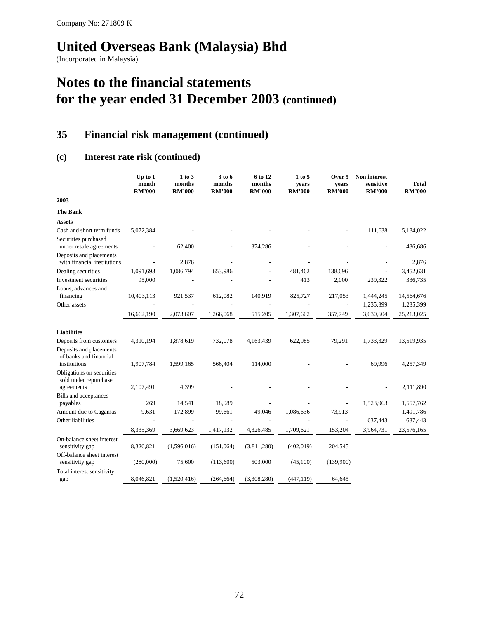(Incorporated in Malaysia)

### **Notes to the financial statements for the year ended 31 December 2003 (continued)**

### **35 Financial risk management (continued)**

#### **(c) Interest rate risk (continued)**

|                                                                                                   | Up to 1<br>month                                                                                                                                                                                                                                                                                                                                                                                              | 1 to 3<br>months               | 3 to 6<br>months                    | 6 to 12<br>months                             | 1 to 5<br>years                                                                                                                                                                                                               | years                               | Over 5 Non interest<br>sensitive                                                                                                                                                                                                                                                                          | Total                |
|---------------------------------------------------------------------------------------------------|---------------------------------------------------------------------------------------------------------------------------------------------------------------------------------------------------------------------------------------------------------------------------------------------------------------------------------------------------------------------------------------------------------------|--------------------------------|-------------------------------------|-----------------------------------------------|-------------------------------------------------------------------------------------------------------------------------------------------------------------------------------------------------------------------------------|-------------------------------------|-----------------------------------------------------------------------------------------------------------------------------------------------------------------------------------------------------------------------------------------------------------------------------------------------------------|----------------------|
|                                                                                                   | <b>RM'000</b>                                                                                                                                                                                                                                                                                                                                                                                                 | <b>RM'000</b>                  | <b>RM'000</b>                       |                                               | RM'000 RM'000                                                                                                                                                                                                                 |                                     | RM'000 RM'000                                                                                                                                                                                                                                                                                             | <b>RM'000</b>        |
| 2003                                                                                              |                                                                                                                                                                                                                                                                                                                                                                                                               |                                |                                     |                                               |                                                                                                                                                                                                                               |                                     |                                                                                                                                                                                                                                                                                                           |                      |
| The Bank                                                                                          |                                                                                                                                                                                                                                                                                                                                                                                                               |                                |                                     |                                               |                                                                                                                                                                                                                               |                                     |                                                                                                                                                                                                                                                                                                           |                      |
| <b>Assets</b>                                                                                     |                                                                                                                                                                                                                                                                                                                                                                                                               |                                |                                     |                                               |                                                                                                                                                                                                                               |                                     |                                                                                                                                                                                                                                                                                                           |                      |
| Cash and short term funds 5,072,384                                                               |                                                                                                                                                                                                                                                                                                                                                                                                               |                                |                                     |                                               |                                                                                                                                                                                                                               |                                     | $      111,638$ $5,184,022$                                                                                                                                                                                                                                                                               |                      |
| Securities purchased                                                                              |                                                                                                                                                                                                                                                                                                                                                                                                               |                                |                                     |                                               |                                                                                                                                                                                                                               |                                     |                                                                                                                                                                                                                                                                                                           |                      |
| under resale agreements                                                                           | <b>Contractor</b>                                                                                                                                                                                                                                                                                                                                                                                             | 62,400                         |                                     | $-374,286$                                    | and the state of the                                                                                                                                                                                                          |                                     | and the state of the state of                                                                                                                                                                                                                                                                             | $-436,686$           |
| Deposits and placements<br>with financial institutions                                            |                                                                                                                                                                                                                                                                                                                                                                                                               |                                |                                     |                                               |                                                                                                                                                                                                                               |                                     |                                                                                                                                                                                                                                                                                                           | 2,876                |
|                                                                                                   | <b>Contractor</b><br>1,091,693                                                                                                                                                                                                                                                                                                                                                                                | 2,876<br>1,086,794             | <b>Contract Contract</b><br>653,986 |                                               | and the company's company's company's<br>481,462                                                                                                                                                                              | 138,696                             | <b>Contract Contract</b><br><b>Contract Contract</b>                                                                                                                                                                                                                                                      | $-3,452,631$         |
| Dealing securities<br>Investment securities                                                       | 95,000                                                                                                                                                                                                                                                                                                                                                                                                        | <b>Contract Contract State</b> | and the state of                    | <b>Contractor</b><br><b>Contract Contract</b> | 413                                                                                                                                                                                                                           | 2,000                               | 239,322                                                                                                                                                                                                                                                                                                   | 336,735              |
| Loans, advances and                                                                               |                                                                                                                                                                                                                                                                                                                                                                                                               |                                |                                     |                                               |                                                                                                                                                                                                                               |                                     |                                                                                                                                                                                                                                                                                                           |                      |
| financing                                                                                         | 10,403,113 921,537                                                                                                                                                                                                                                                                                                                                                                                            |                                | 612,082                             | 140,919                                       | 825,727                                                                                                                                                                                                                       | 217,053                             |                                                                                                                                                                                                                                                                                                           | 1,444,245 14,564,676 |
| Other assets                                                                                      |                                                                                                                                                                                                                                                                                                                                                                                                               |                                |                                     |                                               |                                                                                                                                                                                                                               |                                     | $\frac{1}{2}$ 1.235.399 $\frac{1}{2}$ 1.235.399 $\frac{1}{2}$ 1.235.399 $\frac{1}{2}$ 1.235.399 $\frac{1}{2}$                                                                                                                                                                                             |                      |
|                                                                                                   |                                                                                                                                                                                                                                                                                                                                                                                                               |                                |                                     |                                               |                                                                                                                                                                                                                               |                                     | 16,662,190 2,073,607 1,266,068 515,205 1,307,602 357,749 3,030,604 25,213,025                                                                                                                                                                                                                             |                      |
|                                                                                                   |                                                                                                                                                                                                                                                                                                                                                                                                               |                                |                                     |                                               |                                                                                                                                                                                                                               |                                     | $\frac{1}{2}$ , $\frac{1}{2}$ , $\frac{1}{2}$ , $\frac{1}{2}$ , $\frac{1}{2}$ , $\frac{1}{2}$ , $\frac{1}{2}$ , $\frac{1}{2}$ , $\frac{1}{2}$ , $\frac{1}{2}$ , $\frac{1}{2}$ , $\frac{1}{2}$ , $\frac{1}{2}$ , $\frac{1}{2}$ , $\frac{1}{2}$ , $\frac{1}{2}$ , $\frac{1}{2}$ , $\frac{1}{2}$ , $\frac{1$ |                      |
| Liabilities                                                                                       |                                                                                                                                                                                                                                                                                                                                                                                                               |                                |                                     |                                               |                                                                                                                                                                                                                               |                                     |                                                                                                                                                                                                                                                                                                           |                      |
| Deposits from customers 4,310,194 1,878,619 732,078 4,163,439 622,985 79,291 1,733,329 13,519,935 |                                                                                                                                                                                                                                                                                                                                                                                                               |                                |                                     |                                               |                                                                                                                                                                                                                               |                                     |                                                                                                                                                                                                                                                                                                           |                      |
| Deposits and placements<br>of banks and financial                                                 |                                                                                                                                                                                                                                                                                                                                                                                                               |                                |                                     |                                               |                                                                                                                                                                                                                               |                                     |                                                                                                                                                                                                                                                                                                           |                      |
|                                                                                                   |                                                                                                                                                                                                                                                                                                                                                                                                               |                                |                                     |                                               |                                                                                                                                                                                                                               |                                     |                                                                                                                                                                                                                                                                                                           |                      |
| institutions                                                                                      |                                                                                                                                                                                                                                                                                                                                                                                                               | 1,907,784 1,599,165            | 566,404 114,000                     |                                               | <b>Contract Contract</b>                                                                                                                                                                                                      |                                     | <b>Contractor</b>                                                                                                                                                                                                                                                                                         | 69,996 4,257,349     |
| Obligations on securities<br>sold under repurchase                                                |                                                                                                                                                                                                                                                                                                                                                                                                               |                                |                                     |                                               |                                                                                                                                                                                                                               |                                     |                                                                                                                                                                                                                                                                                                           |                      |
| agreements                                                                                        | 2,107,491                                                                                                                                                                                                                                                                                                                                                                                                     | 4,399                          | <b>Contractor</b>                   |                                               | the company of the company of the company of the company of the company of the company of the company of the company of the company of the company of the company of the company of the company of the company of the company |                                     |                                                                                                                                                                                                                                                                                                           | $-2,111,890$         |
| Bills and acceptances                                                                             |                                                                                                                                                                                                                                                                                                                                                                                                               |                                |                                     |                                               |                                                                                                                                                                                                                               |                                     |                                                                                                                                                                                                                                                                                                           |                      |
| payables                                                                                          | 269                                                                                                                                                                                                                                                                                                                                                                                                           | 14,541                         | 18,989                              |                                               | and the company<br>and the state of the                                                                                                                                                                                       |                                     | $-1,523,963$                                                                                                                                                                                                                                                                                              | 1,557,762            |
| Amount due to Cagamas                                                                             | 9,631                                                                                                                                                                                                                                                                                                                                                                                                         | 172,899                        | 99,661                              | 49,046                                        | 1,086,636                                                                                                                                                                                                                     | 73,913                              |                                                                                                                                                                                                                                                                                                           | $-1,491,786$         |
| Other liabilities                                                                                 |                                                                                                                                                                                                                                                                                                                                                                                                               |                                |                                     |                                               |                                                                                                                                                                                                                               |                                     |                                                                                                                                                                                                                                                                                                           |                      |
|                                                                                                   |                                                                                                                                                                                                                                                                                                                                                                                                               |                                |                                     |                                               |                                                                                                                                                                                                                               |                                     | $\frac{8,335,369}{0}$ $\frac{3,669,623}{0}$ $\frac{1,417,132}{0}$ $\frac{4,326,485}{0}$ $\frac{1,709,621}{0}$ $\frac{153,204}{0}$ $\frac{3,964,731}{0}$ $\frac{23,576,165}{0}$                                                                                                                            |                      |
| On-balance sheet interest                                                                         |                                                                                                                                                                                                                                                                                                                                                                                                               |                                |                                     |                                               |                                                                                                                                                                                                                               |                                     |                                                                                                                                                                                                                                                                                                           |                      |
| sensitivity gap                                                                                   |                                                                                                                                                                                                                                                                                                                                                                                                               |                                |                                     |                                               | 8,326,821 (1,596,016) (151,064) (3,811,280) (402,019) 204,545                                                                                                                                                                 |                                     |                                                                                                                                                                                                                                                                                                           |                      |
| Off-balance sheet interest                                                                        | (280.000)                                                                                                                                                                                                                                                                                                                                                                                                     | 75,600                         | $(113,600)$ $503,000$               |                                               | $(45,100)$ $(139,900)$                                                                                                                                                                                                        |                                     |                                                                                                                                                                                                                                                                                                           |                      |
| sensitivity gap<br>Total interest sensitivity                                                     | $\frac{1}{\sqrt{1-\frac{1}{2}+\frac{1}{2}+\frac{1}{2}}}\frac{1}{\sqrt{1-\frac{1}{2}+\frac{1}{2}+\frac{1}{2}}}\frac{1}{\sqrt{1-\frac{1}{2}+\frac{1}{2}+\frac{1}{2}}}\frac{1}{\sqrt{1-\frac{1}{2}+\frac{1}{2}+\frac{1}{2}}}\frac{1}{\sqrt{1-\frac{1}{2}+\frac{1}{2}+\frac{1}{2}}}\frac{1}{\sqrt{1-\frac{1}{2}+\frac{1}{2}+\frac{1}{2}}}\frac{1}{\sqrt{1-\frac{1}{2}+\frac{1}{2}+\frac{1}{2}}}}\frac{1}{\sqrt{1$ |                                |                                     |                                               |                                                                                                                                                                                                                               |                                     |                                                                                                                                                                                                                                                                                                           |                      |
| gap                                                                                               |                                                                                                                                                                                                                                                                                                                                                                                                               |                                |                                     |                                               | 8,046,821 (1,520,416) (264,664) (3,308,280) (447,119) 64,645                                                                                                                                                                  |                                     |                                                                                                                                                                                                                                                                                                           |                      |
|                                                                                                   |                                                                                                                                                                                                                                                                                                                                                                                                               |                                |                                     |                                               |                                                                                                                                                                                                                               | the contract of the contract of the |                                                                                                                                                                                                                                                                                                           |                      |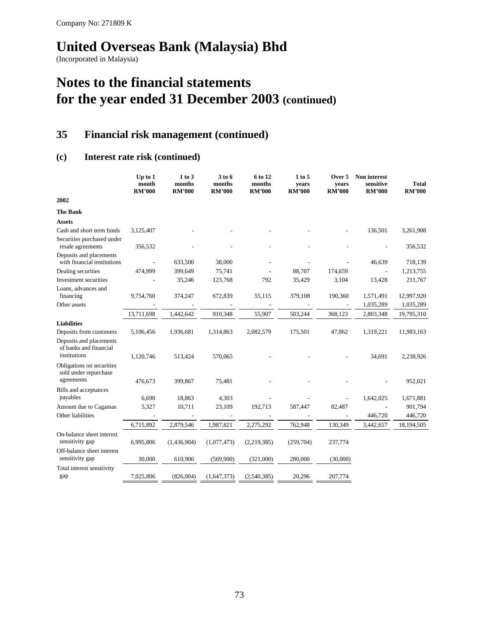(Incorporated in Malaysia)

### **Notes to the financial statements for the year ended 31 December 2003 (continued)**

### **35 Financial risk management (continued)**

#### **(c) Interest rate risk (continued)**

|                                                        | Up to $1$<br>month                | 1 to 3<br>months  | 3 to 6<br>months                                                                                               | <b>6 to 12</b><br>months | 1 to 5<br>vears                                          |         | Over 5 Non interest<br>sensitive<br>vears                                                                            | Total          |
|--------------------------------------------------------|-----------------------------------|-------------------|----------------------------------------------------------------------------------------------------------------|--------------------------|----------------------------------------------------------|---------|----------------------------------------------------------------------------------------------------------------------|----------------|
|                                                        |                                   |                   | RM'000 RM'000 RM'000                                                                                           | <b>RM'000</b>            | <b>RM'000</b>                                            |         | RM'000 RM'000                                                                                                        | <b>RM'000</b>  |
| 2002                                                   |                                   |                   |                                                                                                                |                          |                                                          |         |                                                                                                                      |                |
| The Bank                                               |                                   |                   |                                                                                                                |                          |                                                          |         |                                                                                                                      |                |
| <b>Assets</b>                                          |                                   |                   |                                                                                                                |                          |                                                          |         |                                                                                                                      |                |
| Cash and short term funds 3,125,407                    |                                   |                   |                                                                                                                |                          |                                                          |         | $\frac{136,501}{3,261,908}$                                                                                          |                |
| Securities purchased under                             |                                   |                   |                                                                                                                |                          |                                                          |         |                                                                                                                      |                |
| resale agreements                                      | 356,532                           |                   |                                                                                                                |                          |                                                          |         | $\sim$ 356,532                                                                                                       |                |
| Deposits and placements<br>with financial institutions |                                   | $-633,500$        | 38,000                                                                                                         |                          |                                                          |         | 46,639                                                                                                               | 718,139        |
|                                                        | 474,999                           | 399,649           | 75,741                                                                                                         |                          | the company's company's company's company's<br>$-88,707$ | 174,659 | <b>Contractor</b>                                                                                                    | $-1,213,755$   |
| Dealing securities<br>Investment securities            | <b>Contractor</b> Contractor      | 35,246            | 123,768                                                                                                        | 792                      | 35,429                                                   |         | 3,104                                                                                                                | 13,428 211,767 |
| Loans, advances and                                    |                                   |                   |                                                                                                                |                          |                                                          |         |                                                                                                                      |                |
| financing                                              |                                   | 9,754,760 374,247 | 672,839                                                                                                        | 55,115                   |                                                          |         | 379,108 190,360 1,571,491 12,997,920                                                                                 |                |
| Other assets                                           |                                   |                   |                                                                                                                |                          |                                                          |         |                                                                                                                      |                |
|                                                        |                                   |                   |                                                                                                                |                          |                                                          |         | 13,711,698 1,442,642 910,348 55,907 503,244 368,123 2.803.348 19.795.310                                             |                |
| Liabilities                                            |                                   |                   |                                                                                                                |                          |                                                          |         |                                                                                                                      |                |
| Deposits from customers                                |                                   |                   | 5,106,456 1,936,681 1,314,863 2,082,579 175,501                                                                |                          |                                                          |         | 47,862 1,319,221 11,983,163                                                                                          |                |
| Deposits and placements                                |                                   |                   |                                                                                                                |                          |                                                          |         |                                                                                                                      |                |
| of banks and financial                                 |                                   |                   |                                                                                                                |                          |                                                          |         |                                                                                                                      |                |
| institutions                                           | 1,120,746                         |                   | 513,424 570,065                                                                                                |                          |                                                          |         | $34,691$ $2,238,926$                                                                                                 |                |
| Obligations on securities                              |                                   |                   |                                                                                                                |                          |                                                          |         |                                                                                                                      |                |
| sold under repurchase<br>agreements                    |                                   |                   |                                                                                                                |                          |                                                          |         |                                                                                                                      |                |
|                                                        | 476,673                           | 399,867           | 75,481                                                                                                         |                          |                                                          |         | $-$ 952,021                                                                                                          |                |
| Bills and acceptances<br>payables                      | 6,690                             | 18,863            | 4,303                                                                                                          |                          |                                                          |         | $-1,642,025$                                                                                                         | 1,671,881      |
| Amount due to Cagamas                                  | 5,327                             | 10,711            | 23,109                                                                                                         | 192,713                  | 587,447                                                  | 82,487  |                                                                                                                      | $-901,794$     |
| Other liabilities                                      | <b>Contract Contract Contract</b> |                   | 1000 - Carolina Andrea Santa Andrea Santa Andrea Santa Andrea Santa Andrea Santa Andrea Santa Andrea Santa And |                          |                                                          |         | 446,720                                                                                                              | 446,720        |
|                                                        |                                   |                   |                                                                                                                |                          |                                                          |         | 6,715,892  2,879,546  1,987,821  2,275,292  762,948  130,349  3,442,657  18,194,505                                  |                |
| On-balance sheet interest                              |                                   |                   |                                                                                                                |                          |                                                          |         | <u> 1999 - Andrej Andrej Andrej Andrej Andrej Andrej Andrej Andrej Andrej Andrej Andrej Andrej Andrej Andrej And</u> |                |
| sensitivity gap                                        |                                   |                   | 6,995,806 (1,436,904) (1,077,473) (2,219,385) (259,704) 237,774                                                |                          |                                                          |         |                                                                                                                      |                |
| Off-balance sheet interest                             |                                   |                   |                                                                                                                |                          |                                                          |         |                                                                                                                      |                |
| sensitivity gap                                        |                                   |                   | 30,000 610,900 (569,900) (321,000) 280,000 (30,000)                                                            |                          |                                                          |         |                                                                                                                      |                |
| Total interest sensitivity                             |                                   |                   |                                                                                                                |                          |                                                          |         |                                                                                                                      |                |
| gap                                                    |                                   |                   | 7,025,806 (826,004) (1,647,373) (2,540,385) 20,296 207,774                                                     |                          |                                                          |         |                                                                                                                      |                |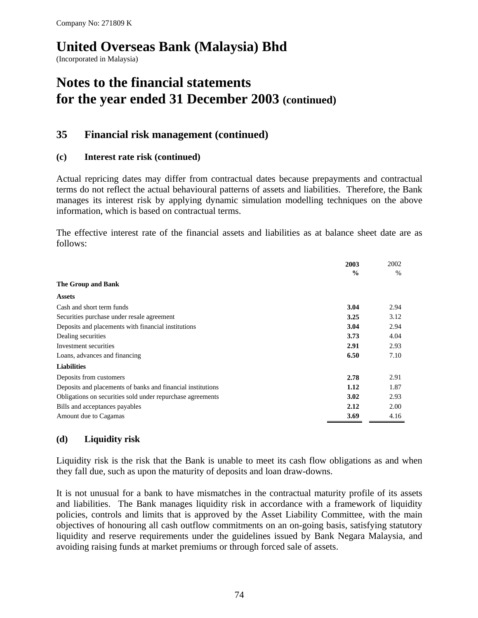(Incorporated in Malaysia)

### **Notes to the financial statements for the year ended 31 December 2003 (continued)**

#### **35 Financial risk management (continued)**

#### **(c) Interest rate risk (continued)**

Actual repricing dates may differ from contractual dates because prepayments and contractual terms do not reflect the actual behavioural patterns of assets and liabilities. Therefore, the Bank manages its interest risk by applying dynamic simulation modelling techniques on the above information, which is based on contractual terms.

The effective interest rate of the financial assetsand liabilities as at balance sheet date are as follows:

|                                                             | 2003 | 2002 |
|-------------------------------------------------------------|------|------|
|                                                             |      |      |
| The Group and Bank                                          |      |      |
| <b>Assets</b>                                               |      |      |
| Cash and short term funds                                   | 3.04 | 2.94 |
| Securities purchase under resale agreement                  | 3.25 | 3.12 |
| Deposits and placements with financial institutions         | 3.04 | 2.94 |
| Dealing securities                                          | 3.73 | 4.04 |
| Investment securities                                       | 2.91 | 2.93 |
| Loans, advances and financing                               | 6.50 | 7.10 |
| Liabilities                                                 |      |      |
| Deposits from customers                                     | 2.78 | 2.91 |
| Deposits and placements of banks and financial institutions | 1.12 | 1.87 |
| Obligations on securities sold under repurchase agreements  | 3.02 | 2.93 |
| Bills and acceptances payables                              | 2.12 | 2.00 |
| Amount due to Cagamas                                       | 3.69 | 4.16 |
|                                                             |      |      |

#### **(d) Liquidity risk**

Liquidity risk is the risk that the Bank is unable to meet its cash flow obligations as and when they fall due, such as upon the maturity of deposits and loan draw-downs.

It is not unusual for a bank to have mismatches in the contractual maturity profile of its assets and liabilities. The Bank manages liquidity risk in accordance with a framework of liquidity policies, controls and limits that is approved by the Asset Liability Committee, with the main objectives of honouring all cash outflow commitments on an on-going basis, satisfying statutory liquidity and reserve requirements under the guidelines issued by Bank Negara Malaysia, and avoiding raising funds at market premiums or through forced sale of assets.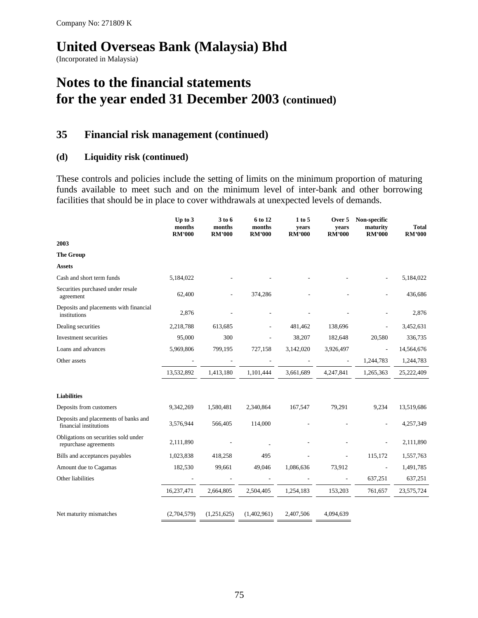(Incorporated in Malaysia)

### **Notes to the financial statements for the year ended 31 December 2003 (continued)**

#### **35 Financial risk management (continued)**

#### **(d) Liquidity risk (continued)**

These controls and policies include the setting of limits on the minimum proportion of maturing funds available to meet such and on the minimum level of inter-bank and other borrowing facilities that should be in place to cover withdrawals at unexpected levels of demands.

|                                                                | Up to $3$<br>months                                                       | 3 to 6<br>months   | 6 to 12<br>months |                                    | 1 to 5<br>vear<br>RM'000 RM'000 RM'000 RM'000 RM'000 RM'000 RM'000 | Over 5 Non-specific<br>years | maturity | Total            |
|----------------------------------------------------------------|---------------------------------------------------------------------------|--------------------|-------------------|------------------------------------|--------------------------------------------------------------------|------------------------------|----------|------------------|
| 2003                                                           |                                                                           |                    |                   |                                    |                                                                    |                              |          |                  |
| The Group                                                      |                                                                           |                    |                   |                                    |                                                                    |                              |          |                  |
| Assets                                                         |                                                                           |                    |                   |                                    |                                                                    |                              |          |                  |
| Cash and short term funds                                      | 5,184,022                                                                 |                    |                   |                                    | $-$ 5,184,022                                                      |                              |          |                  |
| Securities purchased under resale<br>agreement                 | 62,400                                                                    |                    | $-374,286$        |                                    | $-436,686$                                                         |                              |          |                  |
| Deposits and placements with financial<br>institutions         | 2,876                                                                     |                    |                   |                                    | 2,876                                                              |                              |          |                  |
| Dealing securities                                             | 2,218,788 613,685                                                         |                    |                   | $-481,462$                         | 138,696                                                            |                              |          | $-3,452,631$     |
| Investment securities                                          | 95,000                                                                    | 300                |                   | 38,207<br><b>Contract Contract</b> | 182,648                                                            |                              |          | 20,580 336,735   |
| Loans and advances                                             | 5,969,806 799,195                                                         |                    | 727,158           |                                    | 3,142,020 3,926,497                                                |                              |          | $-14,564,676$    |
| Other assets                                                   |                                                                           |                    |                   |                                    | $         1,244,783$ $1,244,783$                                   |                              |          |                  |
|                                                                | 13,532,892 1,413,180 1,101,444 3,661,689 4,247,841 1,265,363 25,222,409   |                    |                   |                                    |                                                                    |                              |          |                  |
|                                                                |                                                                           |                    |                   |                                    |                                                                    |                              |          |                  |
| Liabilities                                                    |                                                                           |                    |                   |                                    |                                                                    |                              |          |                  |
| Deposits from customers                                        | 9,342,269 1,580,481                                                       |                    | 2,340,864         | 167,547                            |                                                                    | 79,291                       |          | 9,234 13,519,686 |
| Deposits and placements of banks and<br>financial institutions | 3,576,944                                                                 | 566,405            | 114,000           |                                    | $-4,257,349$                                                       |                              |          |                  |
| Obligations on securities sold under<br>repurchase agreements  | 2,111,890                                                                 | <b>State State</b> |                   | <b>Contract Contract Contract</b>  | $-2,111,890$                                                       |                              |          |                  |
| Bills and acceptances payables                                 | 1,023,838 418,258                                                         |                    | 495               |                                    | $-115,172$ $1,557,763$                                             |                              |          |                  |
| Amount due to Cagamas                                          | 182,530                                                                   | 99,661             | 49,046            | 1,086,636                          | 73,912                                                             |                              |          | $-1,491,785$     |
| Other liabilities                                              |                                                                           |                    |                   |                                    | $-637,251$                                                         |                              |          | 637,251          |
|                                                                | 16,237,471  2,664,805  2,504,405  1,254,183  153,203  761,657  23,575,724 |                    |                   |                                    |                                                                    |                              |          |                  |
|                                                                |                                                                           |                    |                   |                                    |                                                                    |                              |          |                  |
| Net maturity mismatches                                        | $(2,704,579)$ $(1,251,625)$ $(1,402,961)$ $2,407,506$ $4,094,639$         |                    |                   |                                    |                                                                    |                              |          |                  |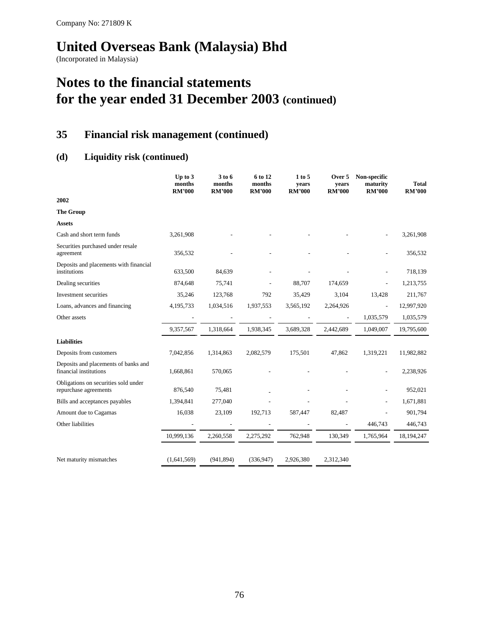(Incorporated in Malaysia)

### **Notes to the financial statements for the year ended 31 December 2003 (continued)**

### **35 Financial risk management (continued)**

#### **(d) Liquidity risk (continued)**

|                                                                | Up to $3$<br>months | 3 to 6<br>months<br>RM'000 RM'000 | 6 to 12<br>months<br><b>RM'000</b> | 1 to 5<br>vears                                                                                                    | years     | Over 5 Non-specific<br>maturity<br>RM'000 RM'000 RM'000 RM'000         | Total          |
|----------------------------------------------------------------|---------------------|-----------------------------------|------------------------------------|--------------------------------------------------------------------------------------------------------------------|-----------|------------------------------------------------------------------------|----------------|
| 2002                                                           |                     |                                   |                                    |                                                                                                                    |           |                                                                        |                |
| <b>The Group</b>                                               |                     |                                   |                                    |                                                                                                                    |           |                                                                        |                |
| <b>Assets</b>                                                  |                     |                                   |                                    |                                                                                                                    |           |                                                                        |                |
| Cash and short term funds                                      | 3,261,908           |                                   |                                    |                                                                                                                    |           | $\sim$ 3,261,908                                                       |                |
| Securities purchased under resale<br>agreement                 | 356,532             |                                   |                                    |                                                                                                                    |           | $\sim$ 356,532                                                         |                |
| Deposits and placements with financial                         |                     |                                   |                                    |                                                                                                                    |           |                                                                        |                |
| institutions                                                   | 633,500             | 84,639                            |                                    |                                                                                                                    |           | $-$ 718,139                                                            |                |
| Dealing securities                                             | 874,648             | 75,741                            | <b>Contractor</b>                  | 88,707                                                                                                             | 174,659   |                                                                        | $-1,213,755$   |
| Investment securities                                          | 35,246              | 123,768                           | 792                                | 35,429                                                                                                             | 3,104     |                                                                        | 13,428 211,767 |
| Loans, advances and financing                                  | 4,195,733 1,034,516 |                                   |                                    | 1,937,553 3,565,192                                                                                                | 2,264,926 |                                                                        | $-12,997,920$  |
| Other assets                                                   |                     |                                   |                                    |                                                                                                                    |           |                                                                        |                |
|                                                                |                     |                                   |                                    |                                                                                                                    |           | 9,357,567 1,318,664 1,938,345 3,689,328 2,442,689 1,049,007 19,795,600 |                |
| Liabilities                                                    |                     |                                   |                                    |                                                                                                                    |           |                                                                        |                |
| Deposits from customers                                        | 7,042,856 1,314,863 |                                   |                                    |                                                                                                                    |           | 2,082,579 175,501 47,862 1,319,221 11,982,882                          |                |
| Deposits and placements of banks and<br>financial institutions | 1,668,861           | 570,065                           |                                    |                                                                                                                    |           | $-2,238,926$                                                           |                |
| Obligations on securities sold under<br>repurchase agreements  | 876,540             | 75,481                            | <b>Contract Contract</b>           |                                                                                                                    |           | $-$ 952,021                                                            |                |
| Bills and acceptances payables                                 | 1,394,841 277,040   |                                   |                                    |                                                                                                                    |           | $-1,671,881$                                                           |                |
| Amount due to Cagamas                                          | 16,038              | 23,109                            |                                    | 192,713 587,447                                                                                                    | 82,487    |                                                                        | $-901,794$     |
| Other liabilities                                              |                     |                                   |                                    |                                                                                                                    |           | $\sim$ 446,743                                                         | 446,743        |
|                                                                |                     |                                   |                                    |                                                                                                                    |           | 10,999,136 2,260,558 2,275,292 762,948 130,349 1,765,964 18,194,247    |                |
|                                                                |                     |                                   |                                    |                                                                                                                    |           |                                                                        |                |
| Net maturity mismatches                                        |                     |                                   |                                    | $(1,641,569)$ $(941,894)$ $(336,947)$ $2,926,380$ $2,312,340$<br><u> 1988 - Andrea San Andrew Maria (h. 1988).</u> |           |                                                                        |                |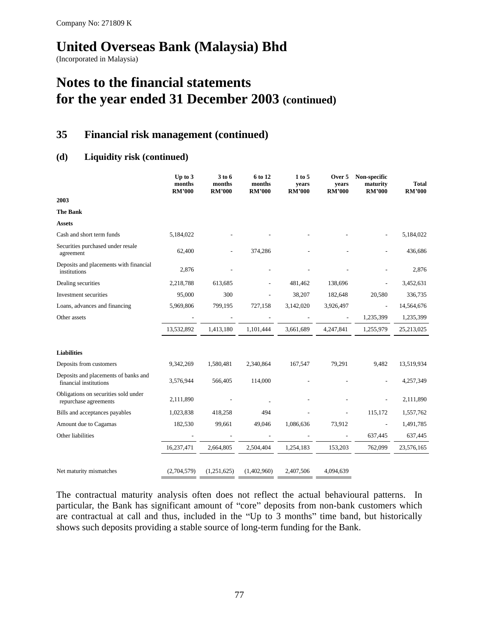(Incorporated in Malaysia)

### **Notes to the financial statements for the year ended 31 December 2003 (continued)**

#### **35 Financial risk management (continued)**

#### **(d) Liquidity risk (continued)**

|                                                                | Up to $3$<br>months | 3 to 6<br>months         | 6 to 12<br>months        | 1 to 5                                                            | vears                             | Over 5 Non-specific<br>maturity<br>RM'000 RM'000 RM'000 RM'000 RM'000 RM'000 RM'000 | Total         |
|----------------------------------------------------------------|---------------------|--------------------------|--------------------------|-------------------------------------------------------------------|-----------------------------------|-------------------------------------------------------------------------------------|---------------|
| 2003                                                           |                     |                          |                          |                                                                   |                                   |                                                                                     |               |
| The Bank                                                       |                     |                          |                          |                                                                   |                                   |                                                                                     |               |
| <b>Assets</b>                                                  |                     |                          |                          |                                                                   |                                   |                                                                                     |               |
| Cash and short term funds                                      | 5,184,022           |                          |                          |                                                                   |                                   | 5,184,022                                                                           |               |
| Securities purchased under resale<br>agreement                 | 62,400              |                          | $-374,286$               |                                                                   |                                   | $-436,686$                                                                          |               |
| Deposits and placements with financial<br>institutions         | 2,876               |                          |                          |                                                                   |                                   | $\sim$ 2,876                                                                        |               |
| Dealing securities                                             | 2,218,788           | 613,685                  |                          | $-481,462$                                                        | 138,696                           |                                                                                     | $-3,452,631$  |
| Investment securities                                          | 95,000              | 300                      |                          | $-38,207$                                                         | 182,648                           | 20,580 336,735                                                                      |               |
| Loans, advances and financing                                  |                     | 5,969,806 799,195        |                          | 727,158 3,142,020 3,926,497                                       |                                   |                                                                                     | $-14,564,676$ |
| Other assets                                                   |                     |                          |                          |                                                                   |                                   |                                                                                     |               |
|                                                                |                     |                          |                          |                                                                   |                                   | 13,532,892 1,413,180 1,101,444 3,661,689 4,247,841 1,255,979 25,213,025             |               |
|                                                                |                     |                          |                          |                                                                   |                                   |                                                                                     |               |
| Liabilities                                                    |                     |                          |                          |                                                                   |                                   |                                                                                     |               |
| Deposits from customers                                        |                     | 9,342,269 1,580,481      | 2,340,864                | 167,547                                                           | 79,291                            | 9,482 13,519,934                                                                    |               |
| Deposits and placements of banks and<br>financial institutions | 3,576,944           | 566,405                  | 114,000                  |                                                                   |                                   | 4,257,349                                                                           |               |
| Obligations on securities sold under<br>repurchase agreements  | 2,111,890           | <b>Contract Contract</b> | <b>Contract Contract</b> |                                                                   | and the state of the state of the | $-2,111,890$                                                                        |               |
| Bills and acceptances payables                                 |                     | 1,023,838 418,258        | 494                      |                                                                   |                                   | $-115,172$ $1,557,762$                                                              |               |
| Amount due to Cagamas                                          | 182,530             | 99.661                   |                          | 49,046 1,086,636                                                  | 73,912                            |                                                                                     | $-1,491,785$  |
| Other liabilities                                              |                     |                          |                          |                                                                   |                                   | $-$ 637,445 637,445                                                                 |               |
|                                                                |                     |                          |                          |                                                                   |                                   | 16,237,471 2,664,805 2,504,404 1,254,183 153,203 762,099 23,576,165                 |               |
|                                                                |                     |                          |                          |                                                                   |                                   |                                                                                     |               |
| Net maturity mismatches                                        |                     |                          |                          | $(2,704,579)$ $(1,251,625)$ $(1,402,960)$ $2,407,506$ $4,094,639$ |                                   |                                                                                     |               |
|                                                                |                     |                          |                          |                                                                   |                                   |                                                                                     |               |

The contractual maturity analysis often does not reflect the actual behavioural patterns. In particular, the Bank has significant amount of "core" deposits from non-bank customers which are contractual at call and thus, included in the "Up to  $\overline{3}$  months" time band, but historically shows such deposits providing a stable source of long-term funding for the Bank.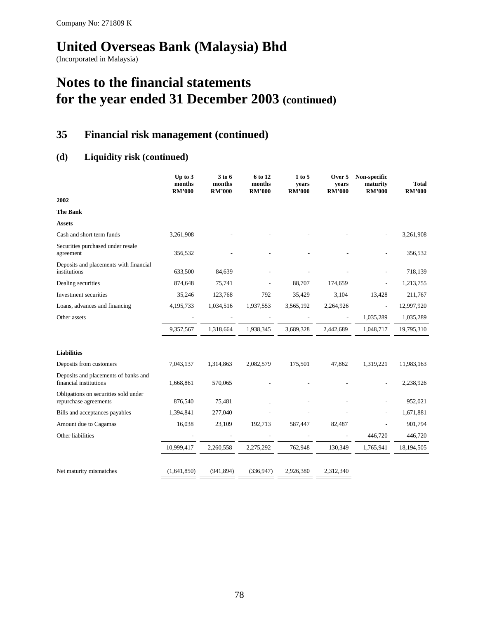(Incorporated in Malaysia)

### **Notes to the financial statements for the year ended 31 December 2003 (continued)**

### **35 Financial risk management (continued)**

#### **(d) Liquidity risk (continued)**

|                                                               | Up to $3$<br>months | 3 to 6<br>months<br>RM'000 RM'000 | 6 to 12<br>months | 1 to 5<br>years | years                                                         | Over 5 Non-specific<br>maturity | Total<br>RM'000 RM'000 RM'000 RM'000 RM'000                            |
|---------------------------------------------------------------|---------------------|-----------------------------------|-------------------|-----------------|---------------------------------------------------------------|---------------------------------|------------------------------------------------------------------------|
| 2002                                                          |                     |                                   |                   |                 |                                                               |                                 |                                                                        |
| <b>The Bank</b>                                               |                     |                                   |                   |                 |                                                               |                                 |                                                                        |
| Assets                                                        |                     |                                   |                   |                 |                                                               |                                 |                                                                        |
| Cash and short term funds                                     | 3,261,908           |                                   |                   |                 |                                                               |                                 | $\sim$ 3.261.908                                                       |
| Securities purchased under resale<br>agreement                | 356,532             |                                   |                   |                 |                                                               |                                 | $-356,532$                                                             |
| Deposits and placements with financial<br>institutions        | 633,500             | 84,639                            |                   |                 |                                                               |                                 | $-$ 718,139                                                            |
| Dealing securities                                            | 874,648             | 75,741                            |                   |                 | $-88,707$ 174,659                                             |                                 | $-1,213,755$                                                           |
| Investment securities                                         |                     | 35,246 123,768                    | 792               | 35,429          | 3,104                                                         |                                 | 13,428 211,767                                                         |
| Loans, advances and financing                                 |                     |                                   |                   |                 | 4,195,733 1,034,516 1,937,553 3,565,192 2,264,926             |                                 | $-12,997,920$                                                          |
| Other assets                                                  |                     |                                   |                   |                 |                                                               |                                 |                                                                        |
|                                                               |                     |                                   |                   |                 |                                                               |                                 | 9,357,567 1,318,664 1,938,345 3,689,328 2,442,689 1,048,717 19,795,310 |
|                                                               |                     |                                   |                   |                 |                                                               |                                 |                                                                        |
| Liabilities                                                   |                     |                                   |                   |                 |                                                               |                                 |                                                                        |
| Deposits from customers                                       |                     |                                   |                   |                 |                                                               |                                 | 7,043,137 1,314,863 2,082,579 175,501 47,862 1,319,221 11,983,163      |
| Deposits and placements of banks and                          |                     |                                   |                   |                 |                                                               |                                 |                                                                        |
| financial institutions                                        |                     | 1,668,861 570,065                 |                   |                 |                                                               |                                 | $-2,238,926$                                                           |
| Obligations on securities sold under<br>repurchase agreements |                     | 876,540 75,481                    |                   |                 |                                                               |                                 |                                                                        |
| Bills and acceptances payables                                |                     | 1,394,841 277,040                 |                   |                 |                                                               |                                 | 1,671,881                                                              |
| Amount due to Cagamas                                         |                     | 16,038 23,109                     |                   |                 | 192,713 587,447 82,487                                        |                                 | $-901,794$                                                             |
| Other liabilities                                             |                     |                                   |                   |                 |                                                               |                                 |                                                                        |
|                                                               | 10.999.417          |                                   |                   |                 |                                                               |                                 | 2,260,558 2,275,292 762,948 130,349 1,765,941 18,194,505               |
|                                                               |                     |                                   |                   |                 |                                                               |                                 |                                                                        |
| Net maturity mismatches                                       |                     |                                   |                   |                 | $(1,641,850)$ $(941,894)$ $(336,947)$ $2,926,380$ $2,312,340$ |                                 |                                                                        |
|                                                               |                     |                                   |                   |                 |                                                               |                                 |                                                                        |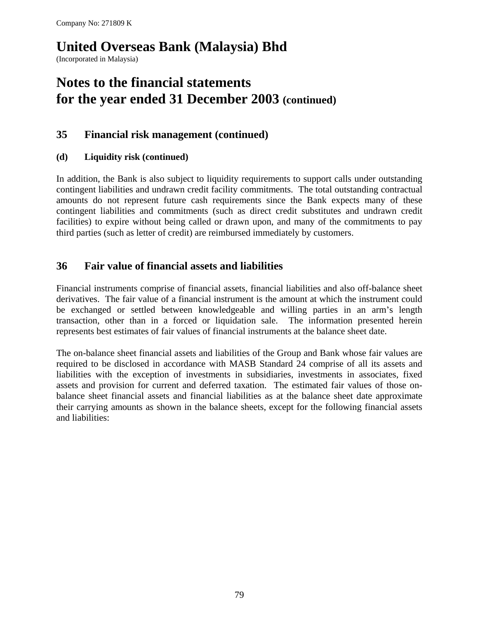(Incorporated in Malaysia)

### **Notes to the financial statements for the year ended 31 December 2003 (continued)**

#### **35 Financial risk management (continued)**

#### **(d) Liquidity risk (continued)**

In addition, the Bank is also subject to liquidity requirements to support calls under outstanding contingent liabilities and undrawn credit facility commitments. The total outstanding contractual amounts do not represent future cash requirements since the Bank expects many of these contingent liabilities and commitments (such as direct credit substitutes and undrawn credit facilities) to expire without being called or drawn upon, and many of the commitments to pay third parties (such as letter of credit) are reimbursed immediately by customers.

#### **36 Fair value of financial assets and liabilities**

Financial instruments comprise of financial assets, financial liabilities and also off-balance sheet derivatives. The fair value of a financial instrument is the amount at which the instrument could be exchanged or settled between knowledgeable and willing parties in an arm's length transaction, other than in a forced or liquidation sale. The information presented herein represents best estimates of fair values of financial instruments at the balance sheet date.

The on-balance sheet financial assets and liabilities of the Group and Bank whose fair values are required to be disclosed in accordance with MASB Standard 24 comprise of all its assets and liabilities with the exception of investments in subsidiaries, investments in associates, fixed assets and provision for current and deferred taxation. The estimated fair values of those on balance sheet financial assets and financial liabilities as at the balance sheet date approximate their carrying amounts as shown in the balance sheets, except for the following financial assets and liabilities: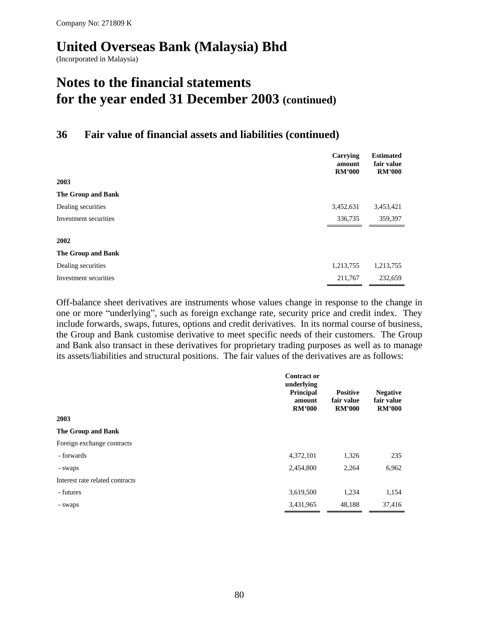(Incorporated in Malaysia)

### **Notes to the financial statements for the year ended 31 December 2003 (continued)**

#### **36 Fair value of financial assets and liabilities (continued)**

|                                                                   | <b>Carrying Estimated<br/> amount fair value<br/> RM'000 RM'000</b> |
|-------------------------------------------------------------------|---------------------------------------------------------------------|
| 2003                                                              |                                                                     |
|                                                                   |                                                                     |
| The Group and Bank<br>Dealing securities                          |                                                                     |
| Investment securities                                             | $3,452,631$ $3,453,421$<br>$336,735$ $359,397$                      |
|                                                                   |                                                                     |
| 2002                                                              |                                                                     |
| The Group and Bank<br>Dealing securities<br>Investment securities |                                                                     |
|                                                                   | 1,213,755 1,213,755<br>211,767 232,659                              |
|                                                                   |                                                                     |

Off-balance sheet derivatives are instruments whose values change in response to the change in one or more "underlying", such as foreign exchange rate, security price and credit index. They include forwards, swaps, futures, options and credit derivatives. In its normal course of business, the Group and Bank customise derivative to meet specific needs of their customers. The Group and Bank also transact in these derivatives for proprietary trading purposes as well as to manage its assets/liabilities and structural positions. The fair values of the derivatives are as follows:

|                                 | Contract of             |                       |                 |
|---------------------------------|-------------------------|-----------------------|-----------------|
|                                 | underlying<br>Principal |                       |                 |
|                                 |                         | Positive              | <b>Negative</b> |
|                                 | amount                  | fair value fair value |                 |
|                                 |                         | RM'000 RM'000 RM'000  |                 |
| 2003                            |                         |                       |                 |
| The Group and Bank              |                         |                       |                 |
| Foreign exchange contracts      |                         |                       |                 |
| $\mbox{-}$ forwards             | 4,372,101               |                       | 1,326 235       |
| - swaps                         | 2,454,800               | 2,264                 | 6,962           |
| Interest rate related contracts |                         |                       |                 |
| - futures                       | 3,619,500               | 1,234                 | 1,154           |
| - swaps                         | 3,431,965               | 48,188 37,416         |                 |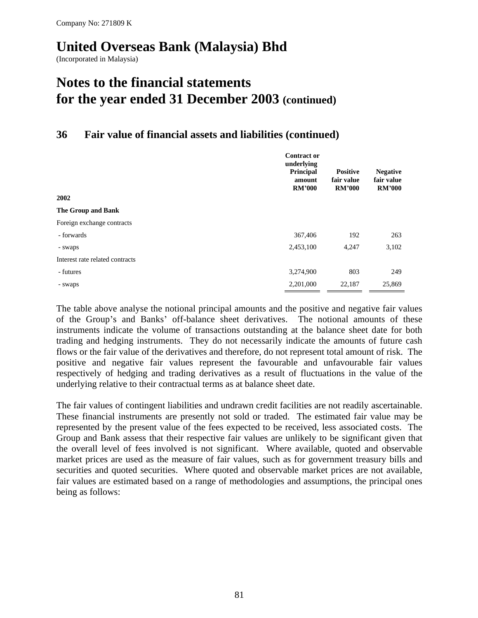(Incorporated in Malaysia)

### **Notes to the financial statements for the year ended 31 December 2003 (continued)**

#### **36 Fair value of financial assets and liabilities (continued)**

|                                 | <b>Contract or</b>             |                       |               |
|---------------------------------|--------------------------------|-----------------------|---------------|
|                                 | underlying<br>Principal        | Positive              | Negative      |
|                                 | amount<br>RM'000 RM'000 RM'000 | fair value fair value |               |
| 2002                            |                                |                       |               |
| The Group and Bank              |                                |                       |               |
| Foreign exchange contracts      |                                |                       |               |
| $\mbox{-}$ forwards             | 367,406                        |                       | 192 263       |
| - swaps                         | 2,453,100                      |                       | 4,247 3,102   |
| Interest rate related contracts |                                |                       |               |
| - futures                       | 3,274,900                      |                       | 803 249       |
| - swaps                         | 2,201,000                      |                       | 22,187 25,869 |

The table above analyse the notional principal amounts and the positive and negative fair values of the Group's and Banks' off-balance sheet derivatives. The notional amounts of these instruments indicate the volume of transactions outstanding at the balance sheet date for both trading and hedging instruments. They do not necessarily indicate the amounts of future cash flows or the fair value of the derivatives and therefore, do not represent total amount of risk. The positive and negative fair values represent the favourable and unfavourable fair values respectively of hedging and trading derivatives as a result of fluctuations in the value of the underlying relative to their contractual terms as at balance sheet date.

The fair values of contingent liabilities and undrawn credit facilities are not readily ascertainable. These financial instruments are presently not sold or traded. The estimated fair value may be represented by the present value of the fees expected to be received, less associated costs. The Group and Bank assess that their respective fair values are unlikely to be significant given that the overall level of fees involved is not significant. Where available, quoted and observable market prices are used as the measure of fair values, such as for government treasury bills and securities and quoted securities. Where quoted and observable market prices are not available, fair values are estimated based on a range of methodologies and assumptions, the principal ones being as follows: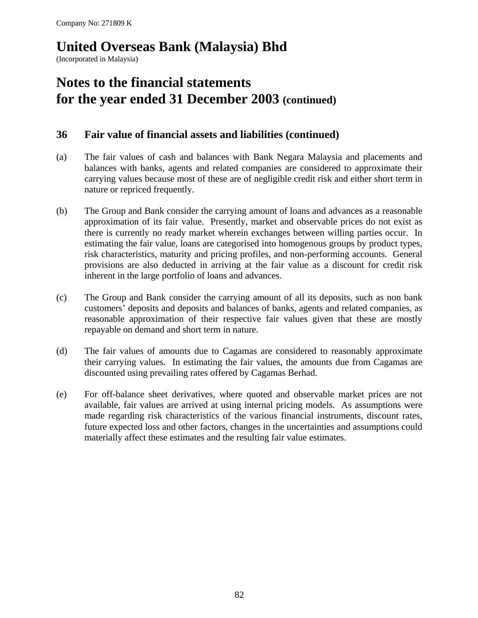(Incorporated in Malaysia)

### **Notes to the financial statements for the year ended 31 December 2003 (continued)**

#### **36 Fair value of financial assets and liabilities (continued)**

- (a) The fair values of cash and balances with Bank Negara Malaysia and placements and balances with banks, agents and related companies are considered to approximate their carrying values because most of these are of negligible credit risk and either short term in nature or repriced frequently.
- (b) The Group and Bank consider the carrying amount of loans and advances as a reasonable approximation of its fair value. Presently, market and observable prices do not exist as there is currently no ready market wherein exchanges between willing parties occur. In estimating the fair value, loans are categorised into homogenous groups by product types, risk characteristics, maturity and pricing profiles, and non-performing accounts. General provisions are also deducted in arriving at the fair value as a discount for credit risk inherent in the large portfolio of loans and advances.
- (c) The Group and Bank consider thecarrying amount of all its deposits, such as non bank customers' deposits and deposits and balances of banks, agents and related companies, as reasonable approximation of their respective fair values given that these are mostly repayable on demand and short term in nature.
- (d) The fair values of amounts due to Cagamas are considered to reasonably approximate their carrying values. In estimating the fair values, the amounts due from Cagamas are discounted using prevailing rates offered by Cagamas Berhad.
- (e) For off-balance sheet derivatives, where quoted and observable market prices are not available, fair values are arrived at using internal pricing models. As assumptions were made regarding risk characteristics of the various financial instruments, discount rates, future expected loss and other factors, changes in the uncertainties and assumptions could materially affect these estimates and the resulting fair value estimates.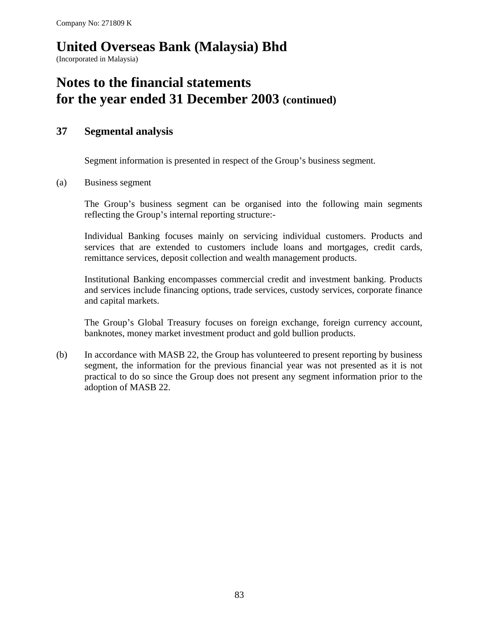(Incorporated in Malaysia)

### **Notes to the financial statements for the year ended 31 December 2003 (continued)**

#### **37 Segmental analysis**

Segment information is presented in respect of the Group's business segment.

(a) Business segment

The Group's business segment can be organised into the following main segments reflecting the Group's internal reporting structure:-

Individual Banking focuses mainly on servicing individual customers. Products and services that are extended to customers include loans and mortgages, credit cards, remittance services, deposit collection and wealth management products.

Institutional Banking encompasses commercial credit and investment banking. Products and services include financing options, trade services, custody services, corporate finance and capital markets.

The Group's Global Treasury focuses on foreign exchange, foreign currency account, banknotes, money market investment product and gold bullion products.

(b) In accordance with MASB 22, the Group has volunteered to present reporting by business segment, the information for the previous financial year was not presented as it is not practical to do so since the Group does not present any segment information prior to the adoption of MASB 22.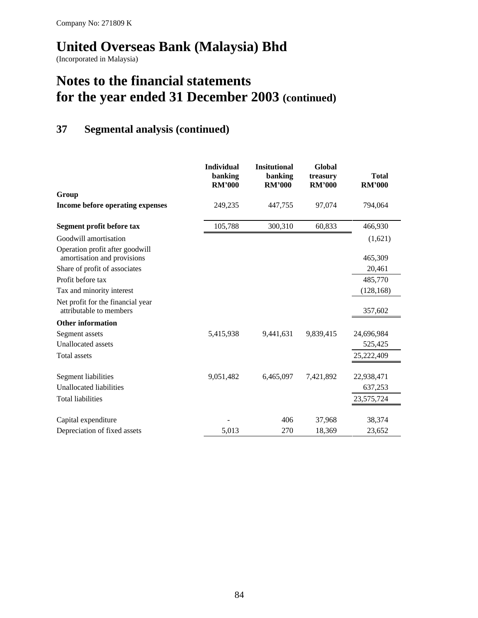(Incorporated in Malaysia)

### **Notes to the financial statements for the year ended 31 December 2003 (continued)**

### **37 Segmental analysis (continued)**

|                                                                | Individual           | <b>Insitutional</b> | Global                |                        |
|----------------------------------------------------------------|----------------------|---------------------|-----------------------|------------------------|
|                                                                | banking              | banking             | treasury              | <b>Total</b>           |
|                                                                | <b>RM'000</b>        | RM'000              | <b>RM'000</b>         | <b>RM'000</b>          |
| Group                                                          |                      |                     |                       |                        |
| Income before operating expenses                               | 249,235              | 447,755             | 97,074                | 794,064                |
| Segment profit before tax                                      | 105,788              | 300,310             | $\underbrace{60,833}$ | 466,930                |
| Goodwill amortisation                                          |                      |                     |                       | (1,621)                |
|                                                                |                      |                     |                       |                        |
| Operation profit after goodwill<br>amortisation and provisions |                      |                     |                       | 465,309                |
| Share of profit of associates                                  |                      |                     |                       | 20,461                 |
| Profit before tax                                              |                      |                     |                       | 485,770                |
| Tax and minority interest                                      |                      |                     |                       | (128, 168)             |
| Net profit for the financial year                              |                      |                     |                       |                        |
| attributable to members                                        |                      |                     |                       | $\frac{357,602}{2}$    |
| Other information                                              |                      |                     |                       |                        |
| Segment assets                                                 | 5,415,938            | 9,441,631 9,839,415 |                       | 24,696,984             |
| Unallocated assets                                             |                      |                     |                       | 525,425                |
| Total assets                                                   |                      |                     |                       | 25,222,409             |
|                                                                |                      |                     |                       |                        |
| Segment liabilities                                            | 9,051,482            | 6,465,097           | 7,421,892             | 22,938,471             |
| Unallocated liabilities                                        |                      |                     |                       | 637,253                |
| Total liabilities                                              |                      |                     |                       | $\frac{23,575,724}{2}$ |
|                                                                |                      |                     |                       |                        |
| Capital expenditure                                            | $\sim 100$ m $^{-1}$ | 406                 | 37,968                | 38,374                 |
| Depreciation of fixed assets                                   | 5,013                | 270                 | 18,369                | 23,652                 |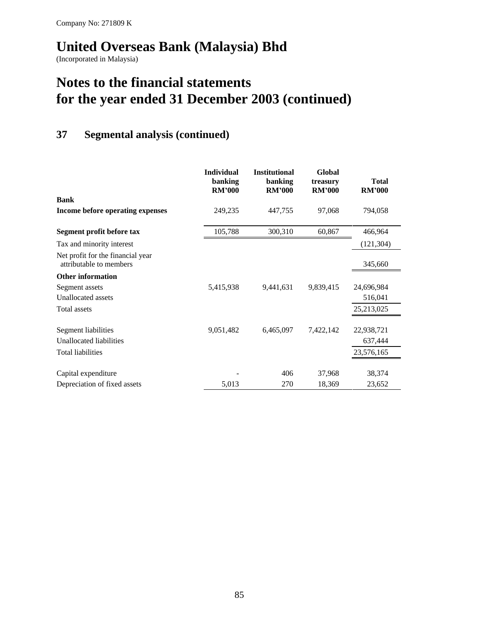(Incorporated in Malaysia)

# **Notes to the financial statements for the year ended 31 December 2003 (continued)**

### **37 Segmental analysis (continued)**

|                                                              | Individual                     | <b>Institutional</b> | Global               |                        |
|--------------------------------------------------------------|--------------------------------|----------------------|----------------------|------------------------|
|                                                              | banking                        | banking              | treasury             | <b>Total</b>           |
|                                                              | <b>RM'000</b>                  | <b>RM'000</b>        | <b>RM'000</b>        | <b>RM'000</b>          |
| <b>Bank</b>                                                  |                                |                      |                      |                        |
| Income before operating expenses                             | 249,235                        | 447,755              | 97,068               | 794,058                |
| Segment profit before tax                                    | 105,788                        | 300,310              | 60,867               | 466,964                |
| Tax and minority interest                                    |                                |                      |                      | (121, 304)             |
| Net profit for the financial year<br>attributable to members |                                |                      |                      |                        |
|                                                              |                                |                      |                      | $\frac{345,660}{2}$    |
| Other information                                            |                                |                      |                      |                        |
| Segment assets                                               | 5,415,938                      | 9,441,631            | 9,839,415            | 24,696,984             |
| Unallocated assets                                           |                                |                      |                      | 516,041                |
| Total assets                                                 |                                |                      |                      | $\frac{1}{25,213,025}$ |
|                                                              |                                |                      |                      |                        |
| Segment liabilities                                          | 9,051,482                      | 6,465,097            | 7,422,142 22,938,721 |                        |
| Unallocated liabilities                                      |                                |                      |                      | 637,444                |
| Total liabilities                                            |                                |                      |                      | $\frac{23,576,165}{2}$ |
|                                                              |                                |                      |                      |                        |
| Capital expenditure                                          | <b>Contract Contract State</b> | 406                  | 37,968               | 38,374                 |
| Depreciation of fixed assets                                 | 5,013                          | 270                  | 18,369               | 23,652                 |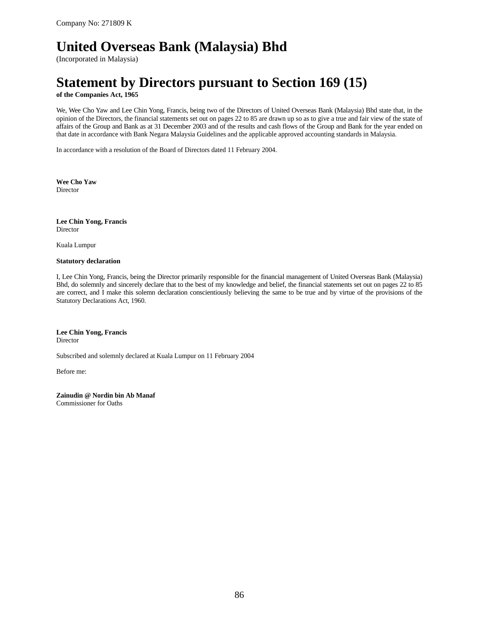(Incorporated in Malaysia)

# **Statement by Directors pursuant to Section 169 (15)** of the Companies Act, 1965

**of the Companies Act, 1965**

We, Wee Cho Yaw and Lee Chin Yong, Francis, being two of the Directors of United Overseas Bank (Malaysia) Bhd state that, in the opinion of the Directors, the financial statements set out on pages 22 to 85 are drawn up so affairs of the Group and Bank as at 31 December 2003 and of the results and cash flows of the Group and Bank for the year ended on that date in accordance with Bank Negara Malaysia Guidelines and the applicable approved accounting standards in Malaysia.

In accordance with a resolution of the Board of Directors dated 11 February 2004.

**Wee Cho Yaw** Director and the contract of the contract of the contract of the contract of the contract of the contract of the contract of the contract of the contract of the contract of the contract of the contract of the contract of t

**Lee Chin Yong, Francis** Director and the contract of the contract of the contract of the contract of the contract of the contract of the contract of the contract of the contract of the contract of the contract of the contract of the contract of t

Kuala Lumpur

#### **Statutory declaration**

I, Lee Chin Yong, Francis, being the Director primarily responsible for the financial management of United Overseas Bank (Malaysia) Bhd, do solemnly and sincerely declare that to the best of my knowledge and belief, the financial statements set out on pages 22 to 85 are correct, and I make this solemn declaration conscientiously believing the same to be true and by virtue of the provisions of the Statutory Declarations Act, 1960.

#### **Lee Chin Yong, Francis** Director and the contract of the contract of the contract of the contract of the contract of the contract of the contract of the contract of the contract of the contract of the contract of the contract of the contract of t

Subscribed and solemnly declared at Kuala Lumpur on 11 February 2004

Before me:

**Zainudin @ Nordin bin Ab Manaf** Commissioner for Oaths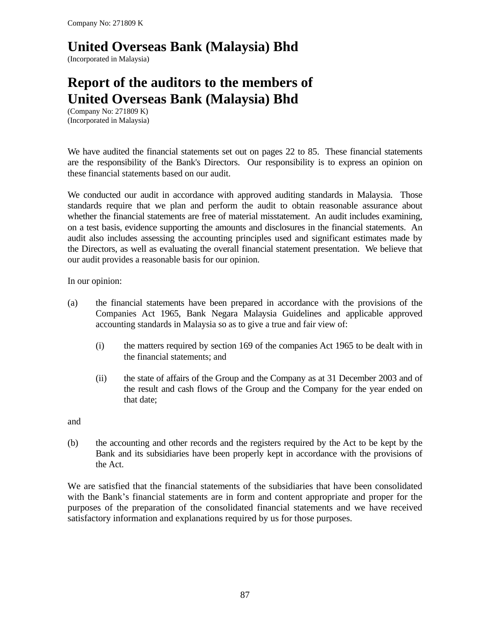Company No: 271809 K

### **United Overseas Bank (Malaysia) Bhd**

(Incorporated in Malaysia)

### **Report of the auditors to the members of United Overseas Bank (Malaysia) Bhd**

(Company No: 271809 K) (Incorporated in Malaysia)

We have audited the financial statements set out on pages 22 to 85. These financial statements are the responsibility of the Bank's Directors. Our responsibility is to express an opinion on these financial statements based on our audit.

We conducted our audit in accordance with approved auditing standards in Malaysia. Those standards require that we plan and perform the audit to obtain reasonable assurance about whether the financial statements are free of material misstatement. An audit includes examining, on a test basis, evidence supporting the amounts and disclosures in the financial statements. An audit also includes assessing the accounting principles used and significant estimates made by the Directors, as well as evaluating the overall financial statement presentation. We believe that our audit provides a reasonable basis for our opinion.

In our opinion:

- (a) the financial statements have been prepared in accordance with the provisions of the Companies Act 1965, Bank Negara Malaysia Guidelines and applicable approved accounting standards in Malaysia so as to give a true and fair view of:
	- (i) the matters required by section 169 of the companies Act 1965 to be dealt with in the financial statements; and
	- (ii) the state of affairs of the Group and the Company as at 31 December 2003 and of the result and cash flows of the Group and the Company for the year ended on that date; the contract of the contract of the contract of the contract of the contract of the contract of the contract of the contract of the contract of the contract of the contract of the contract of the contract of the

and

(b) the accounting and other records and the registers required by the Act to be kept by the Bank and its subsidiaries have been properly kept in accordance with the provisions of the Act.

We are satisfied that the financial statements of the subsidiaries that have been consolidated with the Bank's financial statements are in form and content appropriate and proper for the purposes of the preparation of the consolidated financial statements and we have received satisfactory information and explanations required by us for those purposes.